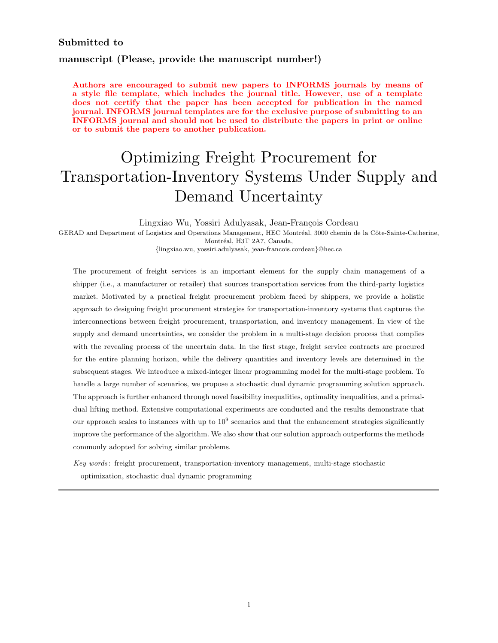## Submitted to

# manuscript (Please, provide the manuscript number!)

Authors are encouraged to submit new papers to INFORMS journals by means of a style file template, which includes the journal title. However, use of a template does not certify that the paper has been accepted for publication in the named journal. INFORMS journal templates are for the exclusive purpose of submitting to an INFORMS journal and should not be used to distribute the papers in print or online or to submit the papers to another publication.

# Optimizing Freight Procurement for Transportation-Inventory Systems Under Supply and Demand Uncertainty

Lingxiao Wu, Yossiri Adulyasak, Jean-François Cordeau GERAD and Department of Logistics and Operations Management, HEC Montréal, 3000 chemin de la Côte-Sainte-Catherine, Montréal, H3T 2A7, Canada,

{lingxiao.wu, yossiri.adulyasak, jean-francois.cordeau}@hec.ca

The procurement of freight services is an important element for the supply chain management of a shipper (i.e., a manufacturer or retailer) that sources transportation services from the third-party logistics market. Motivated by a practical freight procurement problem faced by shippers, we provide a holistic approach to designing freight procurement strategies for transportation-inventory systems that captures the interconnections between freight procurement, transportation, and inventory management. In view of the supply and demand uncertainties, we consider the problem in a multi-stage decision process that complies with the revealing process of the uncertain data. In the first stage, freight service contracts are procured for the entire planning horizon, while the delivery quantities and inventory levels are determined in the subsequent stages. We introduce a mixed-integer linear programming model for the multi-stage problem. To handle a large number of scenarios, we propose a stochastic dual dynamic programming solution approach. The approach is further enhanced through novel feasibility inequalities, optimality inequalities, and a primaldual lifting method. Extensive computational experiments are conducted and the results demonstrate that our approach scales to instances with up to  $10^9$  scenarios and that the enhancement strategies significantly improve the performance of the algorithm. We also show that our solution approach outperforms the methods commonly adopted for solving similar problems.

Key words : freight procurement, transportation-inventory management, multi-stage stochastic optimization, stochastic dual dynamic programming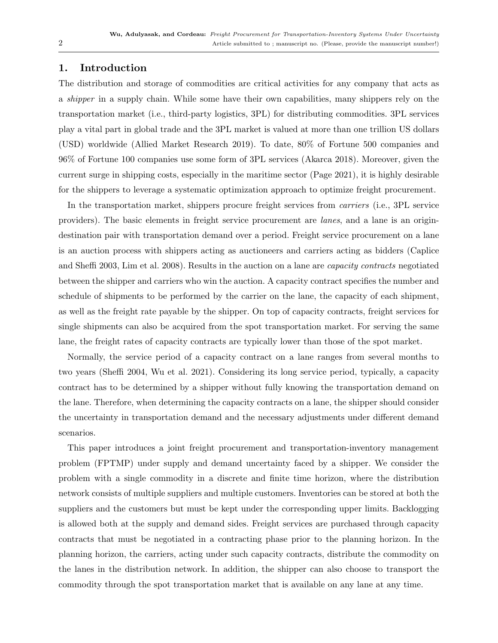# <span id="page-1-0"></span>1. Introduction

The distribution and storage of commodities are critical activities for any company that acts as a shipper in a supply chain. While some have their own capabilities, many shippers rely on the transportation market (i.e., third-party logistics, 3PL) for distributing commodities. 3PL services play a vital part in global trade and the 3PL market is valued at more than one trillion US dollars (USD) worldwide [\(Allied Market Research](#page-37-0) [2019\)](#page-37-0). To date, 80% of Fortune 500 companies and 96% of Fortune 100 companies use some form of 3PL services [\(Akarca](#page-37-1) [2018\)](#page-37-1). Moreover, given the current surge in shipping costs, especially in the maritime sector [\(Page](#page-38-0) [2021\)](#page-38-0), it is highly desirable for the shippers to leverage a systematic optimization approach to optimize freight procurement.

In the transportation market, shippers procure freight services from carriers (i.e., 3PL service providers). The basic elements in freight service procurement are lanes, and a lane is an origindestination pair with transportation demand over a period. Freight service procurement on a lane is an auction process with shippers acting as auctioneers and carriers acting as bidders [\(Caplice](#page-38-1) [and Sheffi](#page-38-1) [2003,](#page-38-1) [Lim et al.](#page-38-2) [2008\)](#page-38-2). Results in the auction on a lane are capacity contracts negotiated between the shipper and carriers who win the auction. A capacity contract specifies the number and schedule of shipments to be performed by the carrier on the lane, the capacity of each shipment, as well as the freight rate payable by the shipper. On top of capacity contracts, freight services for single shipments can also be acquired from the spot transportation market. For serving the same lane, the freight rates of capacity contracts are typically lower than those of the spot market.

Normally, the service period of a capacity contract on a lane ranges from several months to two years [\(Sheffi](#page-39-0) [2004,](#page-39-0) [Wu et al.](#page-39-1) [2021\)](#page-39-1). Considering its long service period, typically, a capacity contract has to be determined by a shipper without fully knowing the transportation demand on the lane. Therefore, when determining the capacity contracts on a lane, the shipper should consider the uncertainty in transportation demand and the necessary adjustments under different demand scenarios.

This paper introduces a joint freight procurement and transportation-inventory management problem (FPTMP) under supply and demand uncertainty faced by a shipper. We consider the problem with a single commodity in a discrete and finite time horizon, where the distribution network consists of multiple suppliers and multiple customers. Inventories can be stored at both the suppliers and the customers but must be kept under the corresponding upper limits. Backlogging is allowed both at the supply and demand sides. Freight services are purchased through capacity contracts that must be negotiated in a contracting phase prior to the planning horizon. In the planning horizon, the carriers, acting under such capacity contracts, distribute the commodity on the lanes in the distribution network. In addition, the shipper can also choose to transport the commodity through the spot transportation market that is available on any lane at any time.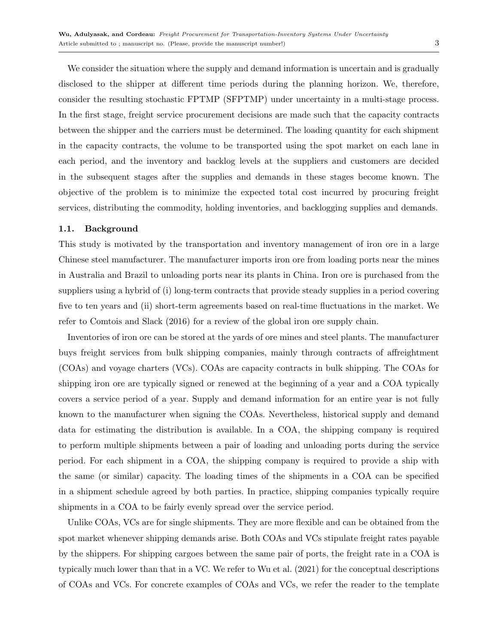We consider the situation where the supply and demand information is uncertain and is gradually disclosed to the shipper at different time periods during the planning horizon. We, therefore, consider the resulting stochastic FPTMP (SFPTMP) under uncertainty in a multi-stage process. In the first stage, freight service procurement decisions are made such that the capacity contracts between the shipper and the carriers must be determined. The loading quantity for each shipment in the capacity contracts, the volume to be transported using the spot market on each lane in each period, and the inventory and backlog levels at the suppliers and customers are decided in the subsequent stages after the supplies and demands in these stages become known. The objective of the problem is to minimize the expected total cost incurred by procuring freight services, distributing the commodity, holding inventories, and backlogging supplies and demands.

### 1.1. Background

This study is motivated by the transportation and inventory management of iron ore in a large Chinese steel manufacturer. The manufacturer imports iron ore from loading ports near the mines in Australia and Brazil to unloading ports near its plants in China. Iron ore is purchased from the suppliers using a hybrid of (i) long-term contracts that provide steady supplies in a period covering five to ten years and (ii) short-term agreements based on real-time fluctuations in the market. We refer to [Comtois and Slack](#page-38-3) [\(2016\)](#page-38-3) for a review of the global iron ore supply chain.

Inventories of iron ore can be stored at the yards of ore mines and steel plants. The manufacturer buys freight services from bulk shipping companies, mainly through contracts of affreightment (COAs) and voyage charters (VCs). COAs are capacity contracts in bulk shipping. The COAs for shipping iron ore are typically signed or renewed at the beginning of a year and a COA typically covers a service period of a year. Supply and demand information for an entire year is not fully known to the manufacturer when signing the COAs. Nevertheless, historical supply and demand data for estimating the distribution is available. In a COA, the shipping company is required to perform multiple shipments between a pair of loading and unloading ports during the service period. For each shipment in a COA, the shipping company is required to provide a ship with the same (or similar) capacity. The loading times of the shipments in a COA can be specified in a shipment schedule agreed by both parties. In practice, shipping companies typically require shipments in a COA to be fairly evenly spread over the service period.

Unlike COAs, VCs are for single shipments. They are more flexible and can be obtained from the spot market whenever shipping demands arise. Both COAs and VCs stipulate freight rates payable by the shippers. For shipping cargoes between the same pair of ports, the freight rate in a COA is typically much lower than that in a VC. We refer to [Wu et al.](#page-39-1) [\(2021\)](#page-39-1) for the conceptual descriptions of COAs and VCs. For concrete examples of COAs and VCs, we refer the reader to the template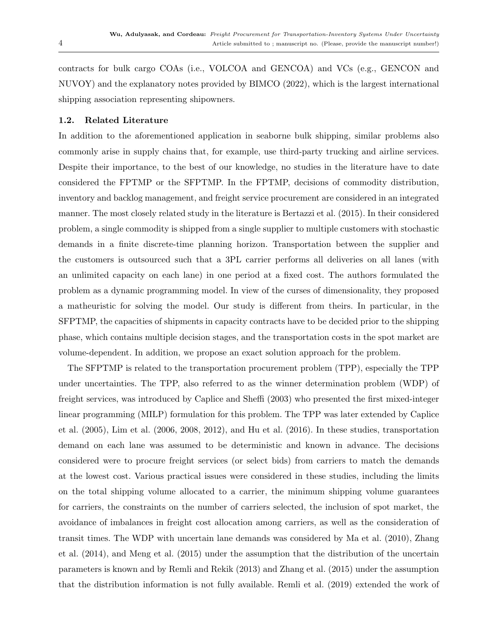contracts for bulk cargo COAs (i.e., VOLCOA and GENCOA) and VCs (e.g., GENCON and NUVOY) and the explanatory notes provided by [BIMCO](#page-38-4) [\(2022\)](#page-38-4), which is the largest international shipping association representing shipowners.

## 1.2. Related Literature

In addition to the aforementioned application in seaborne bulk shipping, similar problems also commonly arise in supply chains that, for example, use third-party trucking and airline services. Despite their importance, to the best of our knowledge, no studies in the literature have to date considered the FPTMP or the SFPTMP. In the FPTMP, decisions of commodity distribution, inventory and backlog management, and freight service procurement are considered in an integrated manner. The most closely related study in the literature is [Bertazzi et al.](#page-37-2) [\(2015\)](#page-37-2). In their considered problem, a single commodity is shipped from a single supplier to multiple customers with stochastic demands in a finite discrete-time planning horizon. Transportation between the supplier and the customers is outsourced such that a 3PL carrier performs all deliveries on all lanes (with an unlimited capacity on each lane) in one period at a fixed cost. The authors formulated the problem as a dynamic programming model. In view of the curses of dimensionality, they proposed a matheuristic for solving the model. Our study is different from theirs. In particular, in the SFPTMP, the capacities of shipments in capacity contracts have to be decided prior to the shipping phase, which contains multiple decision stages, and the transportation costs in the spot market are volume-dependent. In addition, we propose an exact solution approach for the problem.

The SFPTMP is related to the transportation procurement problem (TPP), especially the TPP under uncertainties. The TPP, also referred to as the winner determination problem (WDP) of freight services, was introduced by [Caplice and Sheffi](#page-38-1) [\(2003\)](#page-38-1) who presented the first mixed-integer linear programming (MILP) formulation for this problem. The TPP was later extended by [Caplice](#page-38-5) [et al.](#page-38-5) [\(2005\)](#page-38-5), [Lim et al.](#page-38-6) [\(2006,](#page-38-6) [2008,](#page-38-2) [2012\)](#page-38-7), and [Hu et al.](#page-38-8) [\(2016\)](#page-38-8). In these studies, transportation demand on each lane was assumed to be deterministic and known in advance. The decisions considered were to procure freight services (or select bids) from carriers to match the demands at the lowest cost. Various practical issues were considered in these studies, including the limits on the total shipping volume allocated to a carrier, the minimum shipping volume guarantees for carriers, the constraints on the number of carriers selected, the inclusion of spot market, the avoidance of imbalances in freight cost allocation among carriers, as well as the consideration of transit times. The WDP with uncertain lane demands was considered by [Ma et al.](#page-38-9) [\(2010\)](#page-38-9), [Zhang](#page-39-2) [et al.](#page-39-2) [\(2014\)](#page-39-2), and [Meng et al.](#page-38-10) [\(2015\)](#page-38-10) under the assumption that the distribution of the uncertain parameters is known and by [Remli and Rekik](#page-39-3) [\(2013\)](#page-39-3) and [Zhang et al.](#page-39-4) [\(2015\)](#page-39-4) under the assumption that the distribution information is not fully available. [Remli et al.](#page-39-5) [\(2019\)](#page-39-5) extended the work of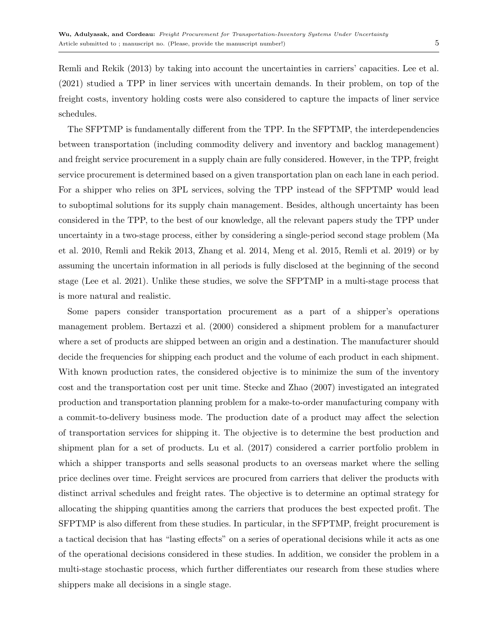[Remli and Rekik](#page-39-3) [\(2013\)](#page-39-3) by taking into account the uncertainties in carriers' capacities. [Lee et al.](#page-38-11) [\(2021\)](#page-38-11) studied a TPP in liner services with uncertain demands. In their problem, on top of the freight costs, inventory holding costs were also considered to capture the impacts of liner service schedules.

The SFPTMP is fundamentally different from the TPP. In the SFPTMP, the interdependencies between transportation (including commodity delivery and inventory and backlog management) and freight service procurement in a supply chain are fully considered. However, in the TPP, freight service procurement is determined based on a given transportation plan on each lane in each period. For a shipper who relies on 3PL services, solving the TPP instead of the SFPTMP would lead to suboptimal solutions for its supply chain management. Besides, although uncertainty has been considered in the TPP, to the best of our knowledge, all the relevant papers study the TPP under uncertainty in a two-stage process, either by considering a single-period second stage problem [\(Ma](#page-38-9) [et al.](#page-38-9) [2010,](#page-38-9) [Remli and Rekik](#page-39-3) [2013,](#page-39-3) [Zhang et al.](#page-39-2) [2014,](#page-39-2) [Meng et al.](#page-38-10) [2015,](#page-38-10) [Remli et al.](#page-39-5) [2019\)](#page-39-5) or by assuming the uncertain information in all periods is fully disclosed at the beginning of the second stage [\(Lee et al.](#page-38-11) [2021\)](#page-38-11). Unlike these studies, we solve the SFPTMP in a multi-stage process that is more natural and realistic.

Some papers consider transportation procurement as a part of a shipper's operations management problem. [Bertazzi et al.](#page-38-12) [\(2000\)](#page-38-12) considered a shipment problem for a manufacturer where a set of products are shipped between an origin and a destination. The manufacturer should decide the frequencies for shipping each product and the volume of each product in each shipment. With known production rates, the considered objective is to minimize the sum of the inventory cost and the transportation cost per unit time. [Stecke and Zhao](#page-39-6) [\(2007\)](#page-39-6) investigated an integrated production and transportation planning problem for a make-to-order manufacturing company with a commit-to-delivery business mode. The production date of a product may affect the selection of transportation services for shipping it. The objective is to determine the best production and shipment plan for a set of products. [Lu et al.](#page-38-13) [\(2017\)](#page-38-13) considered a carrier portfolio problem in which a shipper transports and sells seasonal products to an overseas market where the selling price declines over time. Freight services are procured from carriers that deliver the products with distinct arrival schedules and freight rates. The objective is to determine an optimal strategy for allocating the shipping quantities among the carriers that produces the best expected profit. The SFPTMP is also different from these studies. In particular, in the SFPTMP, freight procurement is a tactical decision that has "lasting effects" on a series of operational decisions while it acts as one of the operational decisions considered in these studies. In addition, we consider the problem in a multi-stage stochastic process, which further differentiates our research from these studies where shippers make all decisions in a single stage.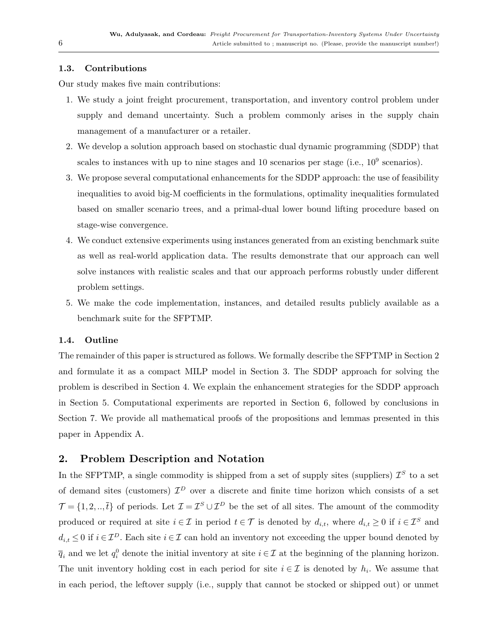## 1.3. Contributions

Our study makes five main contributions:

- 1. We study a joint freight procurement, transportation, and inventory control problem under supply and demand uncertainty. Such a problem commonly arises in the supply chain management of a manufacturer or a retailer.
- 2. We develop a solution approach based on stochastic dual dynamic programming (SDDP) that scales to instances with up to nine stages and 10 scenarios per stage (i.e.,  $10^9$  scenarios).
- 3. We propose several computational enhancements for the SDDP approach: the use of feasibility inequalities to avoid big-M coefficients in the formulations, optimality inequalities formulated based on smaller scenario trees, and a primal-dual lower bound lifting procedure based on stage-wise convergence.
- 4. We conduct extensive experiments using instances generated from an existing benchmark suite as well as real-world application data. The results demonstrate that our approach can well solve instances with realistic scales and that our approach performs robustly under different problem settings.
- 5. We make the code implementation, instances, and detailed results publicly available as a benchmark suite for the SFPTMP.

## 1.4. Outline

The remainder of this paper is structured as follows. We formally describe the SFPTMP in Section [2](#page-5-0) and formulate it as a compact MILP model in Section [3.](#page-8-0) The SDDP approach for solving the problem is described in Section [4.](#page-11-0) We explain the enhancement strategies for the SDDP approach in Section [5.](#page-18-0) Computational experiments are reported in Section [6,](#page-23-0) followed by conclusions in Section [7.](#page-31-0) We provide all mathematical proofs of the propositions and lemmas presented in this paper in Appendix [A.](#page-1-0)

## <span id="page-5-0"></span>2. Problem Description and Notation

In the SFPTMP, a single commodity is shipped from a set of supply sites (suppliers)  $\mathcal{I}^S$  to a set of demand sites (customers)  $\mathcal{I}^D$  over a discrete and finite time horizon which consists of a set  $\mathcal{T} = \{1, 2, \ldots, \bar{t}\}\$ of periods. Let  $\mathcal{I} = \mathcal{I}^S \cup \mathcal{I}^D$  be the set of all sites. The amount of the commodity produced or required at site  $i \in \mathcal{I}$  in period  $t \in \mathcal{T}$  is denoted by  $d_{i,t}$ , where  $d_{i,t} \geq 0$  if  $i \in \mathcal{I}^S$  and  $d_{i,t} \leq 0$  if  $i \in \mathcal{I}^D$ . Each site  $i \in \mathcal{I}$  can hold an inventory not exceeding the upper bound denoted by  $\overline{q}_i$  and we let  $q_i^0$  denote the initial inventory at site  $i \in \mathcal{I}$  at the beginning of the planning horizon. The unit inventory holding cost in each period for site  $i \in \mathcal{I}$  is denoted by  $h_i$ . We assume that in each period, the leftover supply (i.e., supply that cannot be stocked or shipped out) or unmet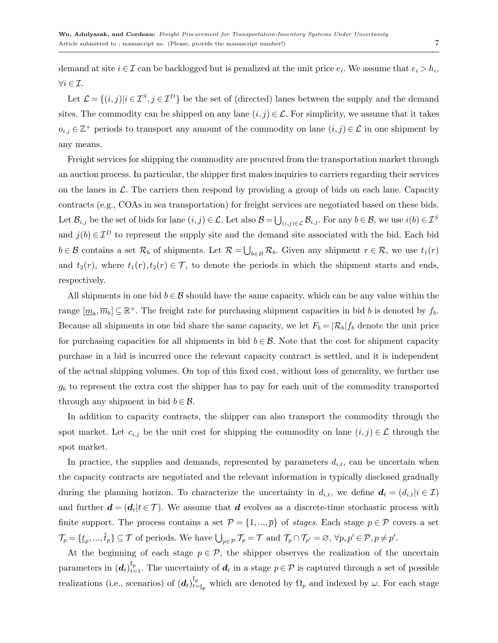demand at site  $i \in \mathcal{I}$  can be backlogged but is penalized at the unit price  $e_i$ . We assume that  $e_i > h_i$ ,  $\forall i \in \mathcal{I}.$ 

Let  $\mathcal{L} = \{(i, j)|i \in \mathcal{I}^S, j \in \mathcal{I}^D\}$  be the set of (directed) lanes between the supply and the demand sites. The commodity can be shipped on any lane  $(i, j) \in \mathcal{L}$ . For simplicity, we assume that it takes  $o_{i,j} \in \mathbb{Z}^+$  periods to transport any amount of the commodity on lane  $(i, j) \in \mathcal{L}$  in one shipment by any means.

Freight services for shipping the commodity are procured from the transportation market through an auction process. In particular, the shipper first makes inquiries to carriers regarding their services on the lanes in  $\mathcal{L}$ . The carriers then respond by providing a group of bids on each lane. Capacity contracts (e.g., COAs in sea transportation) for freight services are negotiated based on these bids. Let  $\mathcal{B}_{i,j}$  be the set of bids for lane  $(i, j) \in \mathcal{L}$ . Let also  $\mathcal{B} = \bigcup_{(i,j) \in \mathcal{L}} \mathcal{B}_{i,j}$ . For any  $b \in \mathcal{B}$ , we use  $i(b) \in \mathcal{I}^S$ and  $j(b) \in \mathcal{I}^D$  to represent the supply site and the demand site associated with the bid. Each bid  $b \in \mathcal{B}$  contains a set  $\mathcal{R}_b$  of shipments. Let  $\mathcal{R} = \bigcup_{b \in B} \mathcal{R}_b$ . Given any shipment  $r \in \mathcal{R}$ , we use  $t_1(r)$ and  $t_2(r)$ , where  $t_1(r)$ ,  $t_2(r) \in \mathcal{T}$ , to denote the periods in which the shipment starts and ends, respectively.

All shipments in one bid  $b \in \mathcal{B}$  should have the same capacity, which can be any value within the range  $[m_b, \overline{m}_b] \subseteq \mathbb{R}^+$ . The freight rate for purchasing shipment capacities in bid b is denoted by  $f_b$ . Because all shipments in one bid share the same capacity, we let  $F_b = |\mathcal{R}_b| f_b$  denote the unit price for purchasing capacities for all shipments in bid  $b \in \mathcal{B}$ . Note that the cost for shipment capacity purchase in a bid is incurred once the relevant capacity contract is settled, and it is independent of the actual shipping volumes. On top of this fixed cost, without loss of generality, we further use  $g_b$  to represent the extra cost the shipper has to pay for each unit of the commodity transported through any shipment in bid  $b \in \mathcal{B}$ .

In addition to capacity contracts, the shipper can also transport the commodity through the spot market. Let  $c_{i,j}$  be the unit cost for shipping the commodity on lane  $(i,j) \in \mathcal{L}$  through the spot market.

In practice, the supplies and demands, represented by parameters  $d_{i,t}$ , can be uncertain when the capacity contracts are negotiated and the relevant information is typically disclosed gradually during the planning horizon. To characterize the uncertainty in  $d_{i,t}$ , we define  $d_t = (d_{i,t}|i \in \mathcal{I})$ and further  $d = (d_t | t \in \mathcal{T})$ . We assume that d evolves as a discrete-time stochastic process with finite support. The process contains a set  $\mathcal{P} = \{1,...,\overline{p}\}\$  of *stages*. Each stage  $p \in \mathcal{P}$  covers a set  $\mathcal{T}_p = \{\underline{t}_p, ..., \overline{t}_p\} \subseteq \mathcal{T}$  of periods. We have  $\bigcup_{p \in \mathcal{P}} \mathcal{T}_p = \mathcal{T}$  and  $\mathcal{T}_p \cap \mathcal{T}_{p'} = \varnothing, \forall p, p' \in \mathcal{P}, p \neq p'.$ 

At the beginning of each stage  $p \in \mathcal{P}$ , the shipper observes the realization of the uncertain parameters in  $(d_t)^{\bar{t}_p}_{t=1}$ . The uncertainty of  $d_t$  in a stage  $p \in \mathcal{P}$  is captured through a set of possible realizations (i.e., scenarios) of  $(d_t)_{t=0}^{\overline{t}_p}$  $t_{t=t_p}^{t_p}$  which are denoted by  $\Omega_p$  and indexed by  $\omega$ . For each stage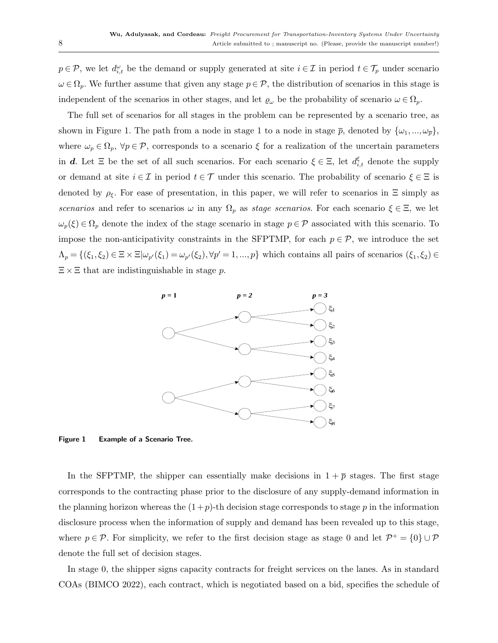$p \in \mathcal{P}$ , we let  $d_{i,t}^{\omega}$  be the demand or supply generated at site  $i \in \mathcal{I}$  in period  $t \in \mathcal{T}_p$  under scenario  $\omega \in \Omega_p$ . We further assume that given any stage  $p \in \mathcal{P}$ , the distribution of scenarios in this stage is independent of the scenarios in other stages, and let  $\varrho_\omega$  be the probability of scenario  $\omega \in \Omega_p$ .

The full set of scenarios for all stages in the problem can be represented by a scenario tree, as shown in Figure [1.](#page-7-0) The path from a node in stage 1 to a node in stage  $\bar{p}$ , denoted by  $\{\omega_1,...,\omega_{\bar{n}}\}$ , where  $\omega_p \in \Omega_p$ ,  $\forall p \in \mathcal{P}$ , corresponds to a scenario  $\xi$  for a realization of the uncertain parameters in d. Let  $\Xi$  be the set of all such scenarios. For each scenario  $\xi \in \Xi$ , let  $d_{i,t}^{\xi}$  denote the supply or demand at site  $i \in \mathcal{I}$  in period  $t \in \mathcal{T}$  under this scenario. The probability of scenario  $\xi \in \Xi$  is denoted by  $\rho_{\xi}$ . For ease of presentation, in this paper, we will refer to scenarios in  $\Xi$  simply as scenarios and refer to scenarios  $\omega$  in any  $\Omega_p$  as stage scenarios. For each scenario  $\xi \in \Xi$ , we let  $\omega_p(\xi) \in \Omega_p$  denote the index of the stage scenario in stage  $p \in \mathcal{P}$  associated with this scenario. To impose the non-anticipativity constraints in the SFPTMP, for each  $p \in \mathcal{P}$ , we introduce the set  $\Lambda_p = \{(\xi_1, \xi_2) \in \Xi \times \Xi | \omega_{p'}(\xi_1) = \omega_{p'}(\xi_2), \forall p' = 1, ..., p\}$  which contains all pairs of scenarios  $(\xi_1, \xi_2) \in \Xi$  $\Xi \times \Xi$  that are indistinguishable in stage p.



<span id="page-7-0"></span>Figure 1 Example of a Scenario Tree.

In the SFPTMP, the shipper can essentially make decisions in  $1 + \overline{p}$  stages. The first stage corresponds to the contracting phase prior to the disclosure of any supply-demand information in the planning horizon whereas the  $(1+p)$ -th decision stage corresponds to stage p in the information disclosure process when the information of supply and demand has been revealed up to this stage, where  $p \in \mathcal{P}$ . For simplicity, we refer to the first decision stage as stage 0 and let  $\mathcal{P}^+ = \{0\} \cup \mathcal{P}$ denote the full set of decision stages.

In stage 0, the shipper signs capacity contracts for freight services on the lanes. As in standard COAs [\(BIMCO](#page-38-4) [2022\)](#page-38-4), each contract, which is negotiated based on a bid, specifies the schedule of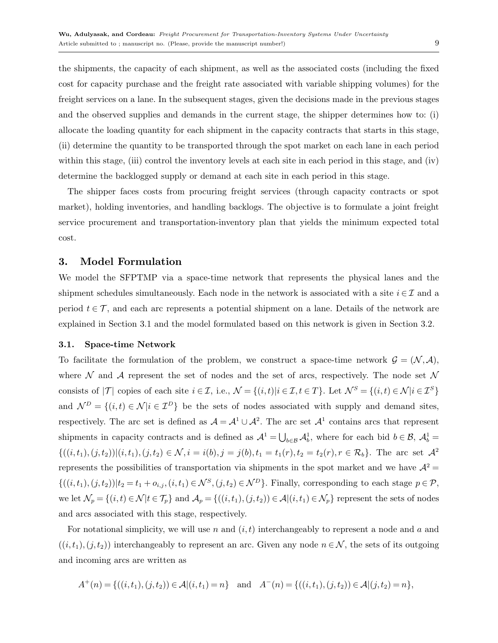the shipments, the capacity of each shipment, as well as the associated costs (including the fixed cost for capacity purchase and the freight rate associated with variable shipping volumes) for the freight services on a lane. In the subsequent stages, given the decisions made in the previous stages and the observed supplies and demands in the current stage, the shipper determines how to: (i) allocate the loading quantity for each shipment in the capacity contracts that starts in this stage, (ii) determine the quantity to be transported through the spot market on each lane in each period within this stage, (iii) control the inventory levels at each site in each period in this stage, and (iv) determine the backlogged supply or demand at each site in each period in this stage.

The shipper faces costs from procuring freight services (through capacity contracts or spot market), holding inventories, and handling backlogs. The objective is to formulate a joint freight service procurement and transportation-inventory plan that yields the minimum expected total cost.

## <span id="page-8-0"></span>3. Model Formulation

We model the SFPTMP via a space-time network that represents the physical lanes and the shipment schedules simultaneously. Each node in the network is associated with a site  $i \in \mathcal{I}$  and a period  $t \in \mathcal{T}$ , and each arc represents a potential shipment on a lane. Details of the network are explained in Section [3.1](#page-8-1) and the model formulated based on this network is given in Section [3.2.](#page-9-0)

### <span id="page-8-1"></span>3.1. Space-time Network

To facilitate the formulation of the problem, we construct a space-time network  $\mathcal{G} = (\mathcal{N}, \mathcal{A})$ , where  $\mathcal N$  and  $\mathcal A$  represent the set of nodes and the set of arcs, respectively. The node set  $\mathcal N$ consists of  $|\mathcal{T}|$  copies of each site  $i \in \mathcal{I}$ , i.e.,  $\mathcal{N} = \{(i, t)|i \in \mathcal{I}, t \in \mathcal{T}\}\$ . Let  $\mathcal{N}^S = \{(i, t) \in \mathcal{N}|i \in \mathcal{I}^S\}$ and  $\mathcal{N}^D = \{(i, t) \in \mathcal{N} | i \in \mathcal{I}^D\}$  be the sets of nodes associated with supply and demand sites, respectively. The arc set is defined as  $\mathcal{A} = \mathcal{A}^1 \cup \mathcal{A}^2$ . The arc set  $\mathcal{A}^1$  contains arcs that represent shipments in capacity contracts and is defined as  $\mathcal{A}^1 = \bigcup_{b \in \mathcal{B}} \mathcal{A}_b^1$ , where for each bid  $b \in \mathcal{B}$ ,  $\mathcal{A}_b^1 =$  $\{((i, t_1), (j, t_2))|(i, t_1), (j, t_2) \in \mathcal{N}, i = i(b), j = j(b), t_1 = t_1(r), t_2 = t_2(r), r \in \mathcal{R}_b\}.$  The arc set  $\mathcal{A}^2$ represents the possibilities of transportation via shipments in the spot market and we have  $A^2$  =  $\{((i, t_1), (j, t_2)) | t_2 = t_1 + o_{i,j}, (i, t_1) \in \mathcal{N}^S, (j, t_2) \in \mathcal{N}^D\}$ . Finally, corresponding to each stage  $p \in \mathcal{P}$ , we let  $\mathcal{N}_p = \{(i, t) \in \mathcal{N} | t \in \mathcal{T}_p\}$  and  $\mathcal{A}_p = \{((i, t_1), (j, t_2)) \in \mathcal{A} | (i, t_1) \in \mathcal{N}_p\}$  represent the sets of nodes and arcs associated with this stage, respectively.

For notational simplicity, we will use n and  $(i, t)$  interchangeably to represent a node and a and  $((i, t_1), (j, t_2))$  interchangeably to represent an arc. Given any node  $n \in \mathcal{N}$ , the sets of its outgoing and incoming arcs are written as

<span id="page-8-2"></span>
$$
A^+(n) = \{((i, t_1), (j, t_2)) \in \mathcal{A} | (i, t_1) = n\} \text{ and } A^-(n) = \{((i, t_1), (j, t_2)) \in \mathcal{A} | (j, t_2) = n\},\
$$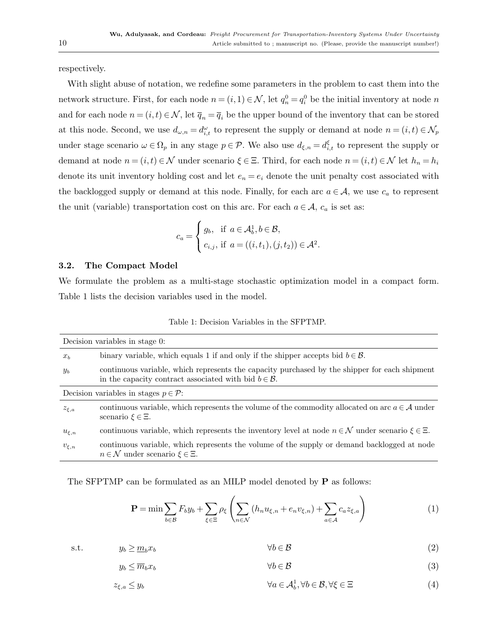respectively.

With slight abuse of notation, we redefine some parameters in the problem to cast them into the network structure. First, for each node  $n = (i, 1) \in \mathcal{N}$ , let  $q_n^0 = q_i^0$  be the initial inventory at node n and for each node  $n = (i, t) \in \mathcal{N}$ , let  $\overline{q}_n = \overline{q}_i$  be the upper bound of the inventory that can be stored at this node. Second, we use  $d_{\omega,n} = d_{i,t}^{\omega}$  to represent the supply or demand at node  $n = (i, t) \in \mathcal{N}_p$ under stage scenario  $\omega \in \Omega_p$  in any stage  $p \in \mathcal{P}$ . We also use  $d_{\xi,n} = d_{i,t}^{\xi}$  to represent the supply or demand at node  $n = (i, t) \in \mathcal{N}$  under scenario  $\xi \in \Xi$ . Third, for each node  $n = (i, t) \in \mathcal{N}$  let  $h_n = h_i$ denote its unit inventory holding cost and let  $e_n = e_i$  denote the unit penalty cost associated with the backlogged supply or demand at this node. Finally, for each arc  $a \in \mathcal{A}$ , we use  $c_a$  to represent the unit (variable) transportation cost on this arc. For each  $a \in \mathcal{A}$ ,  $c_a$  is set as:

$$
c_a = \begin{cases} g_b, & \text{if } a \in \mathcal{A}_b^1, b \in \mathcal{B}, \\ c_{i,j}, & \text{if } a = ((i, t_1), (j, t_2)) \in \mathcal{A}^2. \end{cases}
$$

#### <span id="page-9-0"></span>3.2. The Compact Model

We formulate the problem as a multi-stage stochastic optimization model in a compact form. Table [1](#page-9-1) lists the decision variables used in the model.

Table 1: Decision Variables in the SFPTMP.

<span id="page-9-1"></span>

|                | Decision variables in stage 0:                                                                                                                                      |
|----------------|---------------------------------------------------------------------------------------------------------------------------------------------------------------------|
| x <sub>b</sub> | binary variable, which equals 1 if and only if the shipper accepts bid $b \in \mathcal{B}$ .                                                                        |
| $y_b$          | continuous variable, which represents the capacity purchased by the shipper for each shipment<br>in the capacity contract associated with bid $b \in \mathcal{B}$ . |
|                | Decision variables in stages $p \in \mathcal{P}$ :                                                                                                                  |
| $z_{\xi,a}$    | continuous variable, which represents the volume of the commodity allocated on arc $a \in \mathcal{A}$ under<br>scenario $\xi \in \Xi$ .                            |
| $u_{\xi,n}$    | continuous variable, which represents the inventory level at node $n \in \mathcal{N}$ under scenario $\xi \in \Xi$ .                                                |
| $v_{\xi,n}$    | continuous variable, which represents the volume of the supply or demand backlogged at node<br>$n \in \mathcal{N}$ under scenario $\xi \in \Xi$ .                   |

The SFPTMP can be formulated as an MILP model denoted by P as follows:

<span id="page-9-4"></span><span id="page-9-3"></span><span id="page-9-2"></span>
$$
\mathbf{P} = \min \sum_{b \in \mathcal{B}} F_b y_b + \sum_{\xi \in \Xi} \rho_{\xi} \left( \sum_{n \in \mathcal{N}} \left( h_n u_{\xi,n} + e_n v_{\xi,n} \right) + \sum_{a \in \mathcal{A}} c_a z_{\xi,a} \right) \tag{1}
$$

s.t.  $y_b \geq \underline{m}_b x_b$   $\forall b \in \mathcal{B}$  (2)

$$
y_b \le \overline{m}_b x_b \qquad \qquad \forall b \in \mathcal{B} \tag{3}
$$

$$
z_{\xi,a} \le y_b \qquad \qquad \forall a \in \mathcal{A}_b^1, \forall b \in \mathcal{B}, \forall \xi \in \Xi \tag{4}
$$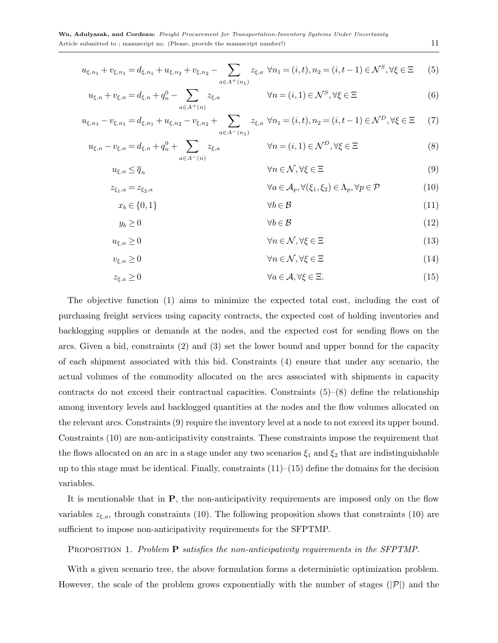$$
u_{\xi,n_1} + v_{\xi,n_1} = d_{\xi,n_1} + u_{\xi,n_2} + v_{\xi,n_2} - \sum_{a \in A^+(n_1)} z_{\xi,a} \ \forall n_1 = (i,t), n_2 = (i,t-1) \in \mathcal{N}^S, \forall \xi \in \Xi \tag{5}
$$

$$
u_{\xi,n} + v_{\xi,n} = d_{\xi,n} + q_n^0 - \sum_{a \in A^+(n)} z_{\xi,a} \qquad \forall n = (i,1) \in \mathcal{N}^S, \forall \xi \in \Xi
$$
 (6)

$$
u_{\xi,n_1} - v_{\xi,n_1} = d_{\xi,n_1} + u_{\xi,n_2} - v_{\xi,n_2} + \sum_{a \in A^-(n_1)} z_{\xi,a} \ \forall n_1 = (i,t), n_2 = (i,t-1) \in \mathcal{N}^D, \forall \xi \in \Xi \tag{7}
$$

$$
u_{\xi,n} - v_{\xi,n} = d_{\xi,n} + q_n^0 + \sum_{a \in A^-(n)} z_{\xi,a} \qquad \forall n = (i,1) \in \mathcal{N}^D, \forall \xi \in \Xi
$$
 (8)

<span id="page-10-8"></span><span id="page-10-1"></span><span id="page-10-0"></span>
$$
u_{\xi,n} \le \overline{q}_n \qquad \qquad \forall n \in \mathcal{N}, \forall \xi \in \Xi \tag{9}
$$

$$
z_{\xi_1, a} = z_{\xi_2, a} \qquad \qquad \forall a \in \mathcal{A}_p, \forall (\xi_1, \xi_2) \in \Lambda_p, \forall p \in \mathcal{P} \qquad (10)
$$

<span id="page-10-9"></span><span id="page-10-6"></span><span id="page-10-4"></span><span id="page-10-3"></span><span id="page-10-2"></span>
$$
x_b \in \{0, 1\} \qquad \qquad \forall b \in \mathcal{B} \tag{11}
$$

$$
y_b \ge 0 \qquad \qquad \forall b \in \mathcal{B} \tag{12}
$$

$$
u_{\xi,n} \ge 0 \qquad \qquad \forall n \in \mathcal{N}, \forall \xi \in \Xi \tag{13}
$$

<span id="page-10-5"></span>
$$
v_{\xi,n} \ge 0 \qquad \qquad \forall n \in \mathcal{N}, \forall \xi \in \Xi \tag{14}
$$

$$
z_{\xi,a} \ge 0 \qquad \qquad \forall a \in \mathcal{A}, \forall \xi \in \Xi. \tag{15}
$$

The objective function [\(1\)](#page-8-2) aims to minimize the expected total cost, including the cost of purchasing freight services using capacity contracts, the expected cost of holding inventories and backlogging supplies or demands at the nodes, and the expected cost for sending flows on the arcs. Given a bid, constraints [\(2\)](#page-9-2) and [\(3\)](#page-9-3) set the lower bound and upper bound for the capacity of each shipment associated with this bid. Constraints [\(4\)](#page-9-4) ensure that under any scenario, the actual volumes of the commodity allocated on the arcs associated with shipments in capacity contracts do not exceed their contractual capacities. Constraints [\(5\)](#page-10-0)–[\(8\)](#page-10-1) define the relationship among inventory levels and backlogged quantities at the nodes and the flow volumes allocated on the relevant arcs. Constraints [\(9\)](#page-10-2) require the inventory level at a node to not exceed its upper bound. Constraints [\(10\)](#page-10-3) are non-anticipativity constraints. These constraints impose the requirement that the flows allocated on an arc in a stage under any two scenarios  $\xi_1$  and  $\xi_2$  that are indistinguishable up to this stage must be identical. Finally, constraints  $(11)$ – $(15)$  define the domains for the decision variables.

It is mentionable that in P, the non-anticipativity requirements are imposed only on the flow variables  $z_{\xi,a}$ , through constraints [\(10\)](#page-10-3). The following proposition shows that constraints (10) are sufficient to impose non-anticipativity requirements for the SFPTMP.

## <span id="page-10-7"></span>PROPOSITION 1. Problem **P** satisfies the non-anticipativity requirements in the SFPTMP.

With a given scenario tree, the above formulation forms a deterministic optimization problem. However, the scale of the problem grows exponentially with the number of stages  $(|\mathcal{P}|)$  and the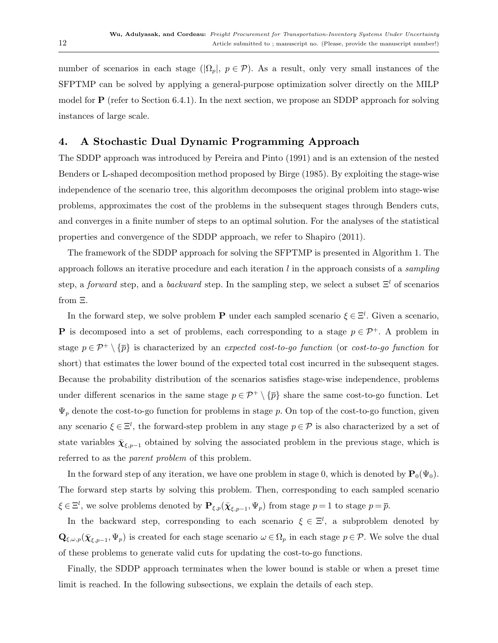number of scenarios in each stage ( $|\Omega_p|, p \in \mathcal{P}$ ). As a result, only very small instances of the SFPTMP can be solved by applying a general-purpose optimization solver directly on the MILP model for  $P$  (refer to Section [6.4.1\)](#page-26-0). In the next section, we propose an SDDP approach for solving instances of large scale.

# <span id="page-11-0"></span>4. A Stochastic Dual Dynamic Programming Approach

The SDDP approach was introduced by [Pereira and Pinto](#page-39-7) [\(1991\)](#page-39-7) and is an extension of the nested Benders or L-shaped decomposition method proposed by [Birge](#page-38-14) [\(1985\)](#page-38-14). By exploiting the stage-wise independence of the scenario tree, this algorithm decomposes the original problem into stage-wise problems, approximates the cost of the problems in the subsequent stages through Benders cuts, and converges in a finite number of steps to an optimal solution. For the analyses of the statistical properties and convergence of the SDDP approach, we refer to [Shapiro](#page-39-8) [\(2011\)](#page-39-8).

The framework of the SDDP approach for solving the SFPTMP is presented in Algorithm [1.](#page-12-0) The approach follows an iterative procedure and each iteration  $l$  in the approach consists of a *sampling* step, a forward step, and a backward step. In the sampling step, we select a subset  $\Xi^l$  of scenarios from Ξ.

In the forward step, we solve problem **P** under each sampled scenario  $\xi \in \Xi^l$ . Given a scenario, **P** is decomposed into a set of problems, each corresponding to a stage  $p \in \mathcal{P}^+$ . A problem in stage  $p \in \mathcal{P}^+ \setminus {\overline{p}}$  is characterized by an expected cost-to-go function (or cost-to-go function for short) that estimates the lower bound of the expected total cost incurred in the subsequent stages. Because the probability distribution of the scenarios satisfies stage-wise independence, problems under different scenarios in the same stage  $p \in \mathcal{P}^+ \setminus {\overline{p}}$  share the same cost-to-go function. Let  $\Psi_p$  denote the cost-to-go function for problems in stage p. On top of the cost-to-go function, given any scenario  $\xi \in \Xi^l$ , the forward-step problem in any stage  $p \in \mathcal{P}$  is also characterized by a set of state variables  $\bar{\chi}_{\xi,p-1}$  obtained by solving the associated problem in the previous stage, which is referred to as the *parent problem* of this problem.

In the forward step of any iteration, we have one problem in stage 0, which is denoted by  $\mathbf{P}_0(\Psi_0)$ . The forward step starts by solving this problem. Then, corresponding to each sampled scenario  $\xi \in \Xi^l$ , we solve problems denoted by  $\mathbf{P}_{\xi,p}(\bar{\boldsymbol{\chi}}_{\xi,p-1}, \Psi_p)$  from stage  $p = 1$  to stage  $p = \overline{p}$ .

In the backward step, corresponding to each scenario  $\xi \in \Xi^l$ , a subproblem denoted by  $\mathbf{Q}_{\xi,\omega,p}(\bar{\boldsymbol{\chi}}_{\xi,p-1},\Psi_p)$  is created for each stage scenario  $\omega \in \Omega_p$  in each stage  $p \in \mathcal{P}$ . We solve the dual of these problems to generate valid cuts for updating the cost-to-go functions.

Finally, the SDDP approach terminates when the lower bound is stable or when a preset time limit is reached. In the following subsections, we explain the details of each step.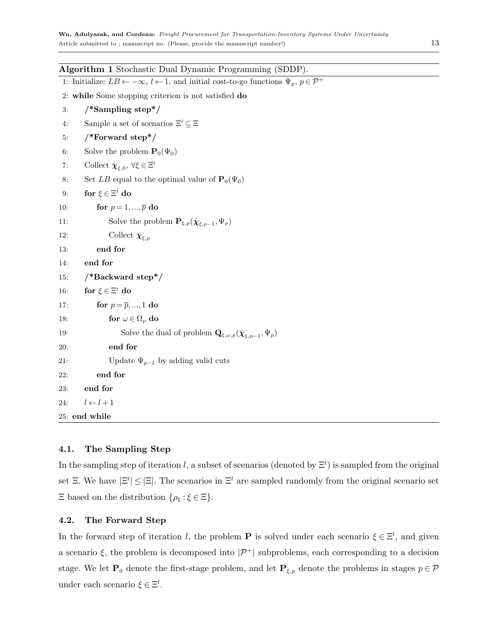<span id="page-12-0"></span>

| Algorithm 1 Stochastic Dual Dynamic Programming (SDDP).                                                                       |
|-------------------------------------------------------------------------------------------------------------------------------|
| 1: Initialize: $LB \leftarrow -\infty$ , $l \leftarrow 1$ , and initial cost-to-go functions $\Psi_p$ , $p \in \mathcal{P}^+$ |
| 2: while Some stopping criterion is not satisfied do                                                                          |
| $/*$ Sampling step*/<br>3:                                                                                                    |
| Sample a set of scenarios $\Xi^l \subseteq \Xi$<br>4:                                                                         |
| $/*$ Forward step*/<br>5:                                                                                                     |
| Solve the problem $\mathbf{P}_0(\Psi_0)$<br>6:                                                                                |
| Collect $\bar{\chi}_{\varepsilon,0}, \forall \xi \in \Xi^l$<br>7:                                                             |
| Set LB equal to the optimal value of $\mathbf{P}_0(\Psi_0)$<br>8:                                                             |
| for $\xi \in \Xi^l$ do<br>9:                                                                                                  |
| for $p=1,,\overline{p}$ do<br>10:                                                                                             |
| Solve the problem $\mathbf{P}_{\xi,p}(\bar{\boldsymbol{\chi}}_{\xi,p-1},\Psi_p)$<br>11:                                       |
| Collect $\bar{\chi}_{\xi,p}$<br>12:                                                                                           |
| end for<br>13:                                                                                                                |
| end for<br>14:                                                                                                                |
| $/*$ Backward step*/<br>15:                                                                                                   |
| for $\xi \in \Xi^l$ do<br>16:                                                                                                 |
| for $p = \overline{p}, , 1$ do<br>17:                                                                                         |
| for $\omega \in \Omega_p$ do<br>18:                                                                                           |
| Solve the dual of problem $\mathbf{Q}_{\xi,\omega,p}(\bar{\boldsymbol{\chi}}_{\xi,p-1},\Psi_p)$<br>19:                        |
| end for<br>20:                                                                                                                |
| Update $\Psi_{p-1}$ by adding valid cuts<br>21:                                                                               |
| end for<br>22:                                                                                                                |
| end for<br>23:                                                                                                                |
| $l \leftarrow l + 1$<br>24:                                                                                                   |
| 25: end while                                                                                                                 |

# 4.1. The Sampling Step

In the sampling step of iteration l, a subset of scenarios (denoted by  $\Xi^l$ ) is sampled from the original set  $\Xi$ . We have  $|\Xi^l| \leq |\Xi|$ . The scenarios in  $\Xi^l$  are sampled randomly from the original scenario set  $\Xi$  based on the distribution  $\{\rho_{\xi} : \xi \in \Xi\}$ .

## 4.2. The Forward Step

In the forward step of iteration l, the problem **P** is solved under each scenario  $\xi \in \Xi^l$ , and given a scenario  $\xi$ , the problem is decomposed into  $|\mathcal{P}^+|$  subproblems, each corresponding to a decision stage. We let  $\mathbf{P}_0$  denote the first-stage problem, and let  $\mathbf{P}_{\xi,p}$  denote the problems in stages  $p \in \mathcal{P}$ under each scenario  $\xi \in \Xi^l$ .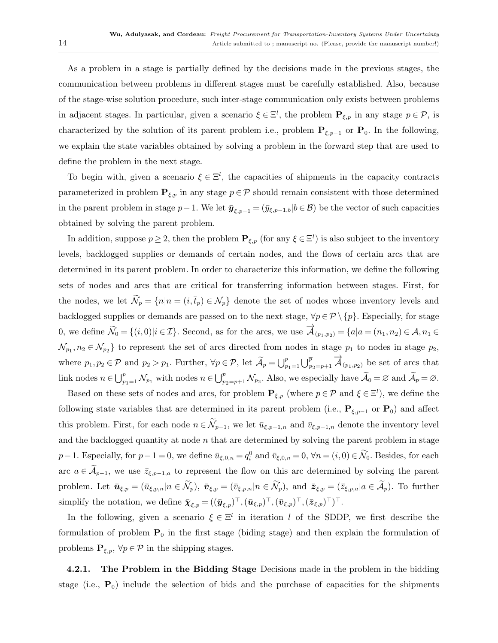As a problem in a stage is partially defined by the decisions made in the previous stages, the communication between problems in different stages must be carefully established. Also, because of the stage-wise solution procedure, such inter-stage communication only exists between problems in adjacent stages. In particular, given a scenario  $\xi \in \Xi^l$ , the problem  $\mathbf{P}_{\xi,p}$  in any stage  $p \in \mathcal{P}$ , is characterized by the solution of its parent problem i.e., problem  $P_{\xi,p-1}$  or  $P_0$ . In the following, we explain the state variables obtained by solving a problem in the forward step that are used to define the problem in the next stage.

To begin with, given a scenario  $\xi \in \Xi^l$ , the capacities of shipments in the capacity contracts parameterized in problem  $\mathbf{P}_{\xi,p}$  in any stage  $p \in \mathcal{P}$  should remain consistent with those determined in the parent problem in stage  $p-1$ . We let  $\bar{\mathbf{y}}_{\xi,p-1} = (\bar{y}_{\xi,p-1,b} | b \in \mathcal{B})$  be the vector of such capacities obtained by solving the parent problem.

In addition, suppose  $p \ge 2$ , then the problem  $P_{\xi,p}$  (for any  $\xi \in \Xi^l$ ) is also subject to the inventory levels, backlogged supplies or demands of certain nodes, and the flows of certain arcs that are determined in its parent problem. In order to characterize this information, we define the following sets of nodes and arcs that are critical for transferring information between stages. First, for the nodes, we let  $\widetilde{\mathcal{N}}_p = \{n | n = (i, \overline{t}_p) \in \mathcal{N}_p \}$  denote the set of nodes whose inventory levels and backlogged supplies or demands are passed on to the next stage,  $\forall p \in \mathcal{P} \setminus \{\bar{p}\}\.$  Especially, for stage 0, we define  $\widetilde{\mathcal{N}}_0 = \{(i,0)|i\in\mathcal{I}\}\)$ . Second, as for the arcs, we use  $\overrightarrow{\mathcal{A}}_{(p_1,p_2)} = \{a|a=(n_1,n_2)\in\mathcal{A},n_1\in\mathcal{A}\}\$  $\mathcal{N}_{p_1}, n_2 \in \mathcal{N}_{p_2}$  to represent the set of arcs directed from nodes in stage  $p_1$  to nodes in stage  $p_2$ , where  $p_1, p_2 \in \mathcal{P}$  and  $p_2 > p_1$ . Further,  $\forall p \in \mathcal{P}$ , let  $\widetilde{A}_p = \bigcup_{p_1=1}^p \bigcup_{p_2=p+1}^{\overline{p}} \overrightarrow{A}_{(p_1,p_2)}$  be set of arcs that link nodes  $n \in \bigcup_{p_1=1}^p \mathcal{N}_{p_1}$  with nodes  $n \in \bigcup_{p_2=p+1}^{\overline{p}} \mathcal{N}_{p_2}$ . Also, we especially have  $\widetilde{\mathcal{A}}_0 = \varnothing$  and  $\widetilde{\mathcal{A}}_{\overline{p}} = \varnothing$ .

Based on these sets of nodes and arcs, for problem  $P_{\xi,p}$  (where  $p \in \mathcal{P}$  and  $\xi \in \Xi^l$ ), we define the following state variables that are determined in its parent problem (i.e.,  $P_{\xi,p-1}$  or  $P_0$ ) and affect this problem. First, for each node  $n \in \widetilde{\mathcal{N}}_{p-1}$ , we let  $\bar{u}_{\xi,p-1,n}$  and  $\bar{v}_{\xi,p-1,n}$  denote the inventory level and the backlogged quantity at node  $n$  that are determined by solving the parent problem in stage  $p-1$ . Especially, for  $p-1=0$ , we define  $\bar{u}_{\xi,0,n} = q_i^0$  and  $\bar{v}_{\xi,0,n} = 0$ ,  $\forall n = (i,0) \in \mathcal{N}_0$ . Besides, for each arc  $a \in \mathcal{A}_{p-1}$ , we use  $\bar{z}_{\xi,p-1,a}$  to represent the flow on this arc determined by solving the parent problem. Let  $\bar{\mathbf{u}}_{\xi,p} = (\bar{u}_{\xi,p,n}|n \in \tilde{\mathcal{N}}_p)$ ,  $\bar{\mathbf{v}}_{\xi,p} = (\bar{v}_{\xi,p,n}|n \in \tilde{\mathcal{N}}_p)$ , and  $\bar{\mathbf{z}}_{\xi,p} = (\bar{z}_{\xi,p,a}|a \in \tilde{\mathcal{A}}_p)$ . To further simplify the notation, we define  $\bar{\boldsymbol{\chi}}_{\xi,p} = ((\bar{\boldsymbol{y}}_{\xi,p})^{\top},(\bar{\boldsymbol{u}}_{\xi,p})^{\top},(\bar{\boldsymbol{v}}_{\xi,p})^{\top},(\bar{\boldsymbol{z}}_{\xi,p})^{\top})^{\top}$ .

In the following, given a scenario  $\xi \in \Xi^l$  in iteration l of the SDDP, we first describe the formulation of problem  $P_0$  in the first stage (biding stage) and then explain the formulation of problems  $\mathbf{P}_{\xi,p}$ ,  $\forall p \in \mathcal{P}$  in the shipping stages.

4.2.1. The Problem in the Bidding Stage Decisions made in the problem in the bidding stage (i.e.,  $P_0$ ) include the selection of bids and the purchase of capacities for the shipments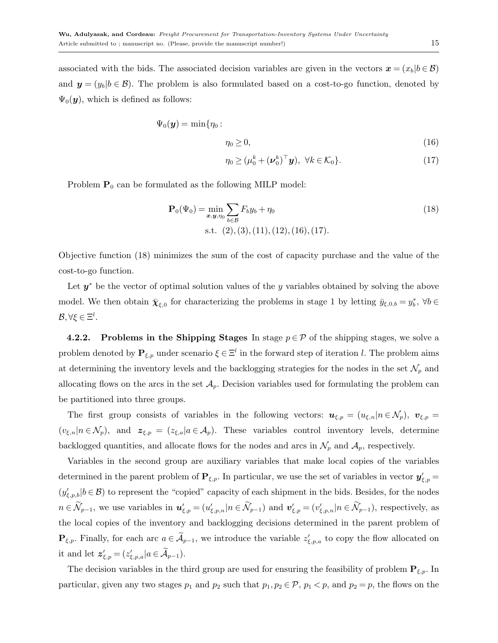associated with the bids. The associated decision variables are given in the vectors  $\mathbf{x} = (x_b | b \in \mathcal{B})$ and  $y = (y_b | b \in \mathcal{B})$ . The problem is also formulated based on a cost-to-go function, denoted by  $\Psi_0(\mathbf{y})$ , which is defined as follows:

<span id="page-14-0"></span>
$$
\Psi_0(\mathbf{y}) = \min{\eta_0 :}
$$
\n
$$
\eta_0 \ge 0,
$$
\n(16)

<span id="page-14-1"></span>
$$
\eta_0 \ge (\mu_0^k + (\boldsymbol{\nu}_0^k)^\top \mathbf{y}), \ \forall k \in \mathcal{K}_0 \}. \tag{17}
$$

Problem  $P_0$  can be formulated as the following MILP model:

$$
\mathbf{P}_0(\Psi_0) = \min_{\mathbf{x}, \mathbf{y}, \eta_0} \sum_{b \in \mathcal{B}} F_b y_b + \eta_0
$$
  
s.t. (2), (3), (11), (12), (16), (17).

Objective function [\(18\)](#page-14-1) minimizes the sum of the cost of capacity purchase and the value of the cost-to-go function.

Let  $y^*$  be the vector of optimal solution values of the y variables obtained by solving the above model. We then obtain  $\bar{\chi}_{\xi,0}$  for characterizing the problems in stage 1 by letting  $\bar{y}_{\xi,0,b} = y_b^*$ ,  $\forall b \in$  $\mathcal{B}, \forall \xi \in \Xi^l$ .

4.2.2. Problems in the Shipping Stages In stage  $p \in \mathcal{P}$  of the shipping stages, we solve a problem denoted by  $P_{\xi,p}$  under scenario  $\xi \in \Xi^l$  in the forward step of iteration l. The problem aims at determining the inventory levels and the backlogging strategies for the nodes in the set  $\mathcal{N}_p$  and allocating flows on the arcs in the set  $A_p$ . Decision variables used for formulating the problem can be partitioned into three groups.

The first group consists of variables in the following vectors:  $u_{\xi,p} = (u_{\xi,n}|n \in \mathcal{N}_p)$ ,  $v_{\xi,p} =$  $(v_{\xi,n}|n \in \mathcal{N}_p)$ , and  $z_{\xi,p} = (z_{\xi,a}|a \in \mathcal{A}_p)$ . These variables control inventory levels, determine backlogged quantities, and allocate flows for the nodes and arcs in  $\mathcal{N}_p$  and  $\mathcal{A}_p$ , respectively.

Variables in the second group are auxiliary variables that make local copies of the variables determined in the parent problem of  $\mathbf{P}_{\xi,p}$ . In particular, we use the set of variables in vector  $\mathbf{y}'_{\xi,p}$  $(y'_{\xi,p,b}|b\in\mathcal{B})$  to represent the "copied" capacity of each shipment in the bids. Besides, for the nodes  $n \in \mathcal{N}_{p-1}$ , we use variables in  $\mathbf{u}'_{\xi,p} = (u'_{\xi,p,n}|n \in \mathcal{N}_{p-1})$  and  $\mathbf{v}'_{\xi,p} = (v'_{\xi,p,n}|n \in \mathcal{N}_{p-1})$ , respectively, as the local copies of the inventory and backlogging decisions determined in the parent problem of  $\mathbf{P}_{\xi,p}$ . Finally, for each arc  $a \in \mathcal{A}_{p-1}$ , we introduce the variable  $z'_{\xi,p,a}$  to copy the flow allocated on it and let  $z'_{\xi,p} = (z'_{\xi,p,a}|a \in \mathcal{A}_{p-1}).$ 

The decision variables in the third group are used for ensuring the feasibility of problem  $P_{\xi,p}$ . In particular, given any two stages  $p_1$  and  $p_2$  such that  $p_1, p_2 \in \mathcal{P}$ ,  $p_1 < p$ , and  $p_2 = p$ , the flows on the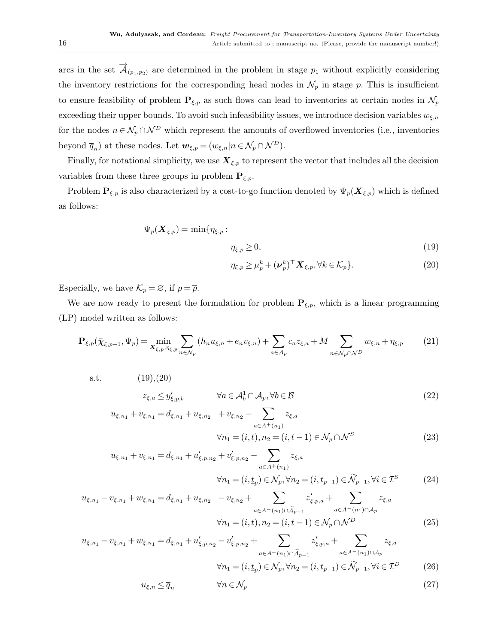arcs in the set  $\vec{\mathcal{A}}_{(p_1,p_2)}$  are determined in the problem in stage  $p_1$  without explicitly considering the inventory restrictions for the corresponding head nodes in  $\mathcal{N}_p$  in stage p. This is insufficient to ensure feasibility of problem  $P_{\xi,p}$  as such flows can lead to inventories at certain nodes in  $\mathcal{N}_p$ exceeding their upper bounds. To avoid such infeasibility issues, we introduce decision variables  $w_{\xi,n}$ for the nodes  $n \in \mathcal{N}_p \cap \mathcal{N}^D$  which represent the amounts of overflowed inventories (i.e., inventories beyond  $\overline{q}_n$ ) at these nodes. Let  $\mathbf{w}_{\xi,p} = (w_{\xi,n}|n \in \mathcal{N}_p \cap \mathcal{N}^D)$ .

Finally, for notational simplicity, we use  $\mathbf{X}_{\xi,p}$  to represent the vector that includes all the decision variables from these three groups in problem  $P_{\xi,p}$ .

Problem  $P_{\xi,p}$  is also characterized by a cost-to-go function denoted by  $\Psi_p(\mathbf{X}_{\xi,p})$  which is defined as follows:

<span id="page-15-0"></span>
$$
\Psi_p(\bm{X}_{\xi,p}) = \min \{ \eta_{\xi,p} :
$$

$$
\eta_{\xi,p} \ge 0,\tag{19}
$$

<span id="page-15-4"></span><span id="page-15-3"></span><span id="page-15-2"></span>
$$
\eta_{\xi,p} \ge \mu_p^k + (\nu_p^k)^\top \mathbf{X}_{\xi,p}, \forall k \in \mathcal{K}_p \}. \tag{20}
$$

Especially, we have  $\mathcal{K}_p = \emptyset$ , if  $p = \overline{p}$ .

We are now ready to present the formulation for problem  $P_{\xi,p}$ , which is a linear programming (LP) model written as follows:

<span id="page-15-1"></span>
$$
\mathbf{P}_{\xi,p}(\bar{\chi}_{\xi,p-1},\Psi_p) = \min_{\mathbf{X}_{\xi,p},\eta_{\xi,p}} \sum_{n \in \mathcal{N}_p} (h_n u_{\xi,n} + e_n v_{\xi,n}) + \sum_{a \in \mathcal{A}_p} c_a z_{\xi,a} + M \sum_{n \in \mathcal{N}_p \cap \mathcal{N}^D} w_{\xi,n} + \eta_{\xi,p} \tag{21}
$$

s.t.  $(19),(20)$  $(19),(20)$  $(19),(20)$ 

$$
z_{\xi,a} \le y'_{\xi,p,b} \qquad \forall a \in \mathcal{A}_b^1 \cap \mathcal{A}_p, \forall b \in \mathcal{B}
$$
\n
$$
(22)
$$

$$
u_{\xi,n_1} + v_{\xi,n_1} = d_{\xi,n_1} + u_{\xi,n_2} + v_{\xi,n_2} - \sum_{a \in A^+(n_1)} z_{\xi,a}
$$
  

$$
\forall n_1 = (i, t), n_2 = (i, t - 1) \in \mathcal{N}_p \cap \mathcal{N}^S
$$
 (23)

$$
u_{\xi,n_1} + v_{\xi,n_1} = d_{\xi,n_1} + u'_{\xi,p,n_2} + v'_{\xi,p,n_2} - \sum_{a \in A^+(n_1)} z_{\xi,a}
$$
  

$$
\forall n_1 = (i, \underline{t}_p) \in \mathcal{N}_p, \forall n_2 = (i, \overline{t}_{p-1}) \in \widetilde{\mathcal{N}}_{p-1}, \forall i \in \mathcal{I}^S
$$
 (24)

$$
u_{\xi,n_1} - v_{\xi,n_1} + w_{\xi,n_1} = d_{\xi,n_1} + u_{\xi,n_2} - v_{\xi,n_2} + \sum_{a \in A^-(n_1) \cap \widetilde{A}_{p-1}} z'_{\xi,p,a} + \sum_{a \in A^-(n_1) \cap A_p} z_{\xi,a}
$$
  

$$
\forall n_1 = (i, t), n_2 = (i, t - 1) \in \mathcal{N}_p \cap \mathcal{N}^D
$$
 (25)

$$
u_{\xi,n_1} - v_{\xi,n_1} + w_{\xi,n_1} = d_{\xi,n_1} + u'_{\xi,p,n_2} - v'_{\xi,p,n_2} + \sum_{a \in A^-(n_1) \cap \widetilde{A}_{p-1}} z'_{\xi,p,a} + \sum_{a \in A^-(n_1) \cap A_p} z_{\xi,a}
$$
  

$$
\forall n_1 = (i, t_p) \in \mathcal{N}_p, \forall n_2 = (i, \overline{t}_{p-1}) \in \widetilde{\mathcal{N}}_{p-1}, \forall i \in \mathcal{I}^D
$$
 (26)

<span id="page-15-7"></span><span id="page-15-6"></span><span id="page-15-5"></span>
$$
u_{\xi,n} \le \overline{q}_n \qquad \qquad \forall n \in \mathcal{N}_p \tag{27}
$$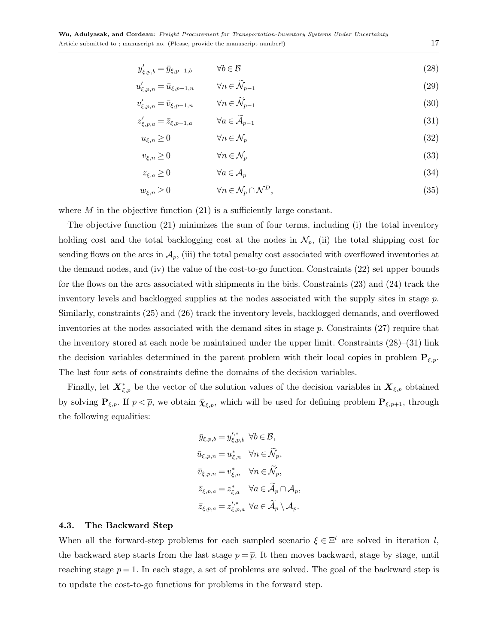| $y'_{\xi,p,b}=\bar{y}_{\xi,p-1,b}$ | $\forall b \in \mathcal{B}$ | (28) |
|------------------------------------|-----------------------------|------|
|------------------------------------|-----------------------------|------|

<span id="page-16-0"></span>
$$
u'_{\xi,p,n} = \bar{u}_{\xi,p-1,n} \qquad \forall n \in \widetilde{\mathcal{N}}_{p-1}
$$
\n
$$
(29)
$$

$$
v'_{\xi,p,n} = \bar{v}_{\xi,p-1,n} \qquad \forall n \in \widetilde{\mathcal{N}}_{p-1} \tag{30}
$$

$$
z'_{\xi,p,a} = \bar{z}_{\xi,p-1,a} \qquad \forall a \in \tilde{\mathcal{A}}_{p-1}
$$
\n
$$
(31)
$$

<span id="page-16-2"></span><span id="page-16-1"></span>
$$
u_{\xi,n} \ge 0 \qquad \qquad \forall n \in \mathcal{N}_p \tag{32}
$$

$$
v_{\xi,n} \ge 0 \qquad \qquad \forall n \in \mathcal{N}_p \tag{33}
$$

<span id="page-16-4"></span><span id="page-16-3"></span>
$$
z_{\xi,a} \ge 0 \qquad \qquad \forall a \in \mathcal{A}_p \tag{34}
$$

$$
w_{\xi,n} \ge 0 \qquad \qquad \forall n \in \mathcal{N}_p \cap \mathcal{N}^D,\tag{35}
$$

where  $M$  in the objective function  $(21)$  is a sufficiently large constant.

The objective function [\(21\)](#page-15-1) minimizes the sum of four terms, including (i) the total inventory holding cost and the total backlogging cost at the nodes in  $\mathcal{N}_p$ , (ii) the total shipping cost for sending flows on the arcs in  $\mathcal{A}_p$ , (iii) the total penalty cost associated with overflowed inventories at the demand nodes, and (iv) the value of the cost-to-go function. Constraints [\(22\)](#page-15-2) set upper bounds for the flows on the arcs associated with shipments in the bids. Constraints [\(23\)](#page-15-3) and [\(24\)](#page-15-4) track the inventory levels and backlogged supplies at the nodes associated with the supply sites in stage  $p$ . Similarly, constraints [\(25\)](#page-15-5) and [\(26\)](#page-15-6) track the inventory levels, backlogged demands, and overflowed inventories at the nodes associated with the demand sites in stage p. Constraints [\(27\)](#page-15-7) require that the inventory stored at each node be maintained under the upper limit. Constraints [\(28\)](#page-16-0)–[\(31\)](#page-16-1) link the decision variables determined in the parent problem with their local copies in problem  $P_{\xi,p}$ . The last four sets of constraints define the domains of the decision variables.

Finally, let  $\bm{X}_{\xi,p}^*$  be the vector of the solution values of the decision variables in  $\bm{X}_{\xi,p}$  obtained by solving  $\mathbf{P}_{\xi,p}$ . If  $p < \overline{p}$ , we obtain  $\overline{\chi}_{\xi,p}$ , which will be used for defining problem  $\mathbf{P}_{\xi,p+1}$ , through the following equalities:

$$
\bar{y}_{\xi,p,b} = y^{\prime,*}_{\xi,p,b} \quad \forall b \in \mathcal{B},
$$
\n
$$
\bar{u}_{\xi,p,n} = u^*_{\xi,n} \quad \forall n \in \widetilde{\mathcal{N}}_p,
$$
\n
$$
\bar{v}_{\xi,p,n} = v^*_{\xi,n} \quad \forall n \in \widetilde{\mathcal{N}}_p,
$$
\n
$$
\bar{z}_{\xi,p,a} = z^*_{\xi,a} \quad \forall a \in \widetilde{\mathcal{A}}_p \cap \mathcal{A}_p,
$$
\n
$$
\bar{z}_{\xi,p,a} = z^{\prime,*}_{\xi,p,a} \quad \forall a \in \widetilde{\mathcal{A}}_p \setminus \mathcal{A}_p.
$$

## 4.3. The Backward Step

When all the forward-step problems for each sampled scenario  $\xi \in \Xi^l$  are solved in iteration l, the backward step starts from the last stage  $p = \overline{p}$ . It then moves backward, stage by stage, until reaching stage  $p = 1$ . In each stage, a set of problems are solved. The goal of the backward step is to update the cost-to-go functions for problems in the forward step.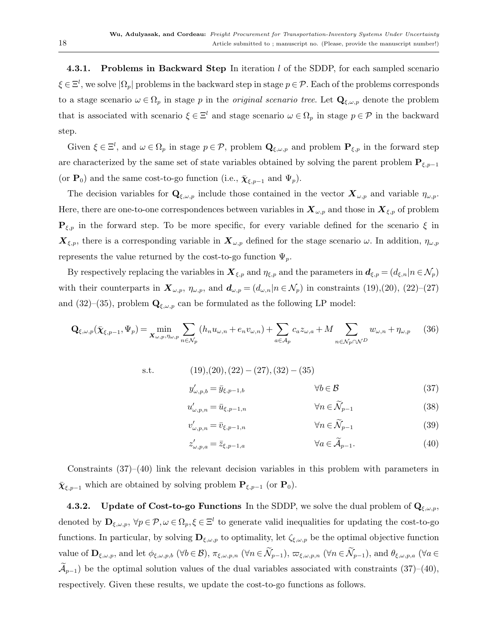**4.3.1.** Problems in Backward Step In iteration  $l$  of the SDDP, for each sampled scenario  $\xi \in \Xi^l$ , we solve  $|\Omega_p|$  problems in the backward step in stage  $p \in \mathcal{P}$ . Each of the problems corresponds to a stage scenario  $\omega \in \Omega_p$  in stage p in the *original scenario tree*. Let  $\mathbf{Q}_{\xi,\omega,p}$  denote the problem that is associated with scenario  $\xi \in \Xi^l$  and stage scenario  $\omega \in \Omega_p$  in stage  $p \in \mathcal{P}$  in the backward step.

Given  $\xi \in \Xi^l$ , and  $\omega \in \Omega_p$  in stage  $p \in \mathcal{P}$ , problem  $\mathbf{Q}_{\xi,\omega,p}$  and problem  $\mathbf{P}_{\xi,p}$  in the forward step are characterized by the same set of state variables obtained by solving the parent problem  ${\bf P}_{\xi,p-1}$ (or  $\mathbf{P}_0$ ) and the same cost-to-go function (i.e.,  $\bar{\chi}_{\varepsilon,p-1}$  and  $\Psi_p$ ).

The decision variables for  $\mathbf{Q}_{\xi,\omega,p}$  include those contained in the vector  $\mathbf{X}_{\omega,p}$  and variable  $\eta_{\omega,p}$ . Here, there are one-to-one correspondences between variables in  $\mathbf{X}_{\omega,p}$  and those in  $\mathbf{X}_{\xi,p}$  of problem  ${\bf P}_{\xi,p}$  in the forward step. To be more specific, for every variable defined for the scenario  $\xi$  in  $\mathbf{X}_{\xi,p}$ , there is a corresponding variable in  $\mathbf{X}_{\omega,p}$  defined for the stage scenario  $\omega$ . In addition,  $\eta_{\omega,p}$ represents the value returned by the cost-to-go function  $\Psi_p$ .

By respectively replacing the variables in  $\mathbf{X}_{\xi,p}$  and  $\eta_{\xi,p}$  and the parameters in  $\mathbf{d}_{\xi,p} = (d_{\xi,n}|n \in \mathcal{N}_p)$ with their counterparts in  $\mathbf{X}_{\omega,p}$ ,  $\eta_{\omega,p}$ , and  $\mathbf{d}_{\omega,p} = (d_{\omega,n}|n \in \mathcal{N}_p)$  in constraints [\(19\)](#page-15-0),[\(20\)](#page-15-0), [\(22\)](#page-15-2)–[\(27\)](#page-15-7) and [\(32\)](#page-16-2)–[\(35\)](#page-16-3), problem  $\mathbf{Q}_{\xi,\omega,p}$  can be formulated as the following LP model:

$$
\mathbf{Q}_{\xi,\omega,p}(\bar{\boldsymbol{\chi}}_{\xi,p-1},\Psi_p) = \min_{\mathbf{X}_{\omega,p},\eta_{\omega,p}} \sum_{n \in \mathcal{N}_p} (h_n u_{\omega,n} + e_n v_{\omega,n}) + \sum_{a \in \mathcal{A}_p} c_a z_{\omega,a} + M \sum_{n \in \mathcal{N}_p \cap \mathcal{N}^D} w_{\omega,n} + \eta_{\omega,p} \tag{36}
$$

s.t. 
$$
(19),(20),(22)-(27),(32)-(35)
$$

$$
y'_{\omega,p,b} = \bar{y}_{\xi,p-1,b} \qquad \forall b \in \mathcal{B}
$$

$$
(37)
$$

<span id="page-17-0"></span>
$$
u'_{\omega,p,n} = \bar{u}_{\xi,p-1,n} \qquad \qquad \forall n \in \widetilde{\mathcal{N}}_{p-1} \tag{38}
$$

$$
v'_{\omega,p,n} = \bar{v}_{\xi,p-1,n} \qquad \qquad \forall n \in \widetilde{\mathcal{N}}_{p-1} \tag{39}
$$

<span id="page-17-1"></span>
$$
z'_{\omega,p,a} = \bar{z}_{\xi,p-1,a} \qquad \qquad \forall a \in \tilde{\mathcal{A}}_{p-1}.
$$
\n
$$
(40)
$$

Constraints [\(37\)](#page-17-0)–[\(40\)](#page-17-1) link the relevant decision variables in this problem with parameters in  $\bar{\chi}_{\xi,p-1}$  which are obtained by solving problem  $\mathbf{P}_{\xi,p-1}$  (or  $\mathbf{P}_0$ ).

4.3.2. Update of Cost-to-go Functions In the SDDP, we solve the dual problem of  $Q_{\xi,\omega,p}$ , denoted by  $\mathbf{D}_{\xi,\omega,p}$ ,  $\forall p \in \mathcal{P}, \omega \in \Omega_p, \xi \in \Xi^l$  to generate valid inequalities for updating the cost-to-go functions. In particular, by solving  $\mathbf{D}_{\xi,\omega,p}$  to optimality, let  $\zeta_{\xi,\omega,p}$  be the optimal objective function value of  $\mathbf{D}_{\xi,\omega,p}$ , and let  $\phi_{\xi,\omega,p,b}$  ( $\forall b \in \mathcal{B}$ ),  $\pi_{\xi,\omega,p,n}$  ( $\forall n \in \widetilde{\mathcal{N}}_{p-1}$ ),  $\varpi_{\xi,\omega,p,n}$  ( $\forall n \in \widetilde{\mathcal{N}}_{p-1}$ ), and  $\theta_{\xi,\omega,p,a}$  ( $\forall a \in \mathcal{B}$  $\mathcal{A}_{p-1}$ ) be the optimal solution values of the dual variables associated with constraints [\(37\)](#page-17-0)–[\(40\)](#page-17-1), respectively. Given these results, we update the cost-to-go functions as follows.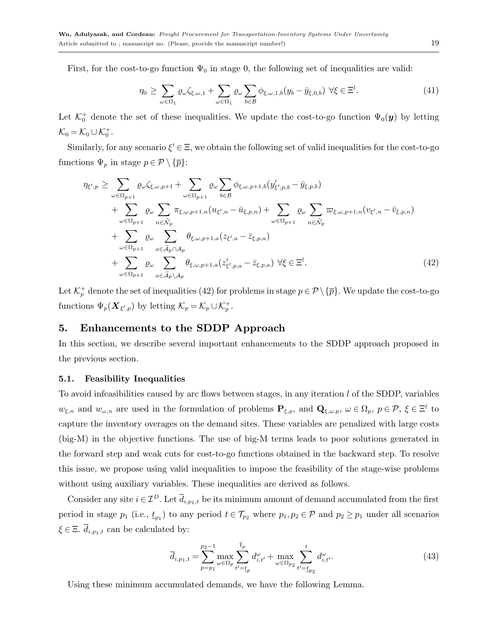First, for the cost-to-go function  $\Psi_0$  in stage 0, the following set of inequalities are valid:

$$
\eta_0 \ge \sum_{\omega \in \Omega_1} \varrho_\omega \zeta_{\xi,\omega,1} + \sum_{\omega \in \Omega_1} \varrho_\omega \sum_{b \in \mathcal{B}} \phi_{\xi,\omega,1,b}(y_b - \bar{y}_{\xi,0,b}) \ \forall \xi \in \Xi^l. \tag{41}
$$

Let  $\mathcal{K}_0^+$  denote the set of these inequalities. We update the cost-to-go function  $\Psi_0(\bm{y})$  by letting  $\mathcal{K}_0 = \mathcal{K}_0 \cup \mathcal{K}_0^+$ .

Similarly, for any scenario  $\xi' \in \Xi$ , we obtain the following set of valid inequalities for the cost-to-go functions  $\Psi_p$  in stage  $p \in \mathcal{P} \setminus {\{\overline{p}\}}$ :

<span id="page-18-1"></span>
$$
\eta_{\xi',p} \geq \sum_{\omega \in \Omega_{p+1}} \varrho_{\omega} \zeta_{\xi,\omega,p+1} + \sum_{\omega \in \Omega_{p+1}} \varrho_{\omega} \sum_{b \in \mathcal{B}} \phi_{\xi,\omega,p+1,b}(y'_{\xi',p,b} - \bar{y}_{\xi,p,b}) \n+ \sum_{\omega \in \Omega_{p+1}} \varrho_{\omega} \sum_{n \in \tilde{\mathcal{N}}_p} \pi_{\xi,\omega,p+1,n}(u_{\xi',n} - \bar{u}_{\xi,p,n}) + \sum_{\omega \in \Omega_{p+1}} \varrho_{\omega} \sum_{n \in \tilde{\mathcal{N}}_p} \varpi_{\xi,\omega,p+1,n}(v_{\xi',n} - \bar{v}_{\xi,p,n}) \n+ \sum_{\omega \in \Omega_{p+1}} \varrho_{\omega} \sum_{a \in \tilde{\mathcal{A}}_p \cap \mathcal{A}_p} \theta_{\xi,\omega,p+1,a}(z_{\xi',a} - \bar{z}_{\xi,p,a}) \n+ \sum_{\omega \in \Omega_{p+1}} \varrho_{\omega} \sum_{a \in \tilde{\mathcal{A}}_p \setminus \mathcal{A}_p} \theta_{\xi,\omega,p+1,a}(z'_{\xi',p,a} - \bar{z}_{\xi,p,a}) \ \forall \xi \in \Xi^l.
$$
\n(42)

Let  $\mathcal{K}_p^+$  denote the set of inequalities [\(42\)](#page-18-1) for problems in stage  $p \in \mathcal{P} \setminus \{\overline{p}\}\.$  We update the cost-to-go functions  $\Psi_p(\mathbf{X}_{\xi',p})$  by letting  $\mathcal{K}_p = \mathcal{K}_p \cup \mathcal{K}_p^+$ .

# <span id="page-18-0"></span>5. Enhancements to the SDDP Approach

In this section, we describe several important enhancements to the SDDP approach proposed in the previous section.

#### <span id="page-18-3"></span>5.1. Feasibility Inequalities

To avoid infeasibilities caused by arc flows between stages, in any iteration  $l$  of the SDDP, variables  $w_{\xi,n}$  and  $w_{\omega,n}$  are used in the formulation of problems  $\mathbf{P}_{\xi,p}$ , and  $\mathbf{Q}_{\xi,\omega,p}$ ,  $\omega \in \Omega_p$ ,  $p \in \mathcal{P}, \xi \in \Xi^l$  to capture the inventory overages on the demand sites. These variables are penalized with large costs (big-M) in the objective functions. The use of big-M terms leads to poor solutions generated in the forward step and weak cuts for cost-to-go functions obtained in the backward step. To resolve this issue, we propose using valid inequalities to impose the feasibility of the stage-wise problems without using auxiliary variables. These inequalities are derived as follows.

Consider any site  $i \in \mathcal{I}^D$ . Let  $\overline{d}_{i,p_1,t}$  be its minimum amount of demand accumulated from the first period in stage  $p_1$  (i.e.,  $t_{p_1}$ ) to any period  $t \in \mathcal{T}_{p_2}$  where  $p_1, p_2 \in \mathcal{P}$  and  $p_2 \ge p_1$  under all scenarios  $\xi \in \Xi .$   $\overline{d}_{i, p_1, t}$  can be calculated by:

$$
\overline{d}_{i,p_1,t} = \sum_{p=p_1}^{p_2-1} \max_{\omega \in \Omega_p} \sum_{t'=t_p}^{\overline{t}_p} d_{i,t'}^{\omega} + \max_{\omega \in \Omega_{p_2}} \sum_{t'=t_{p_2}}^{t} d_{i,t'}^{\omega}.
$$
\n(43)

<span id="page-18-2"></span>Using these minimum accumulated demands, we have the following Lemma.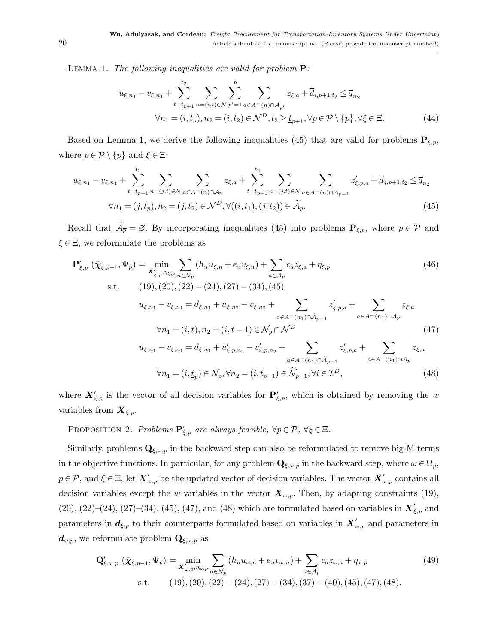LEMMA 1. The following inequalities are valid for problem  $P$ :

$$
u_{\xi,n_1} - v_{\xi,n_1} + \sum_{t=t_{p+1}}^{t_2} \sum_{n=(i,t)\in\mathcal{N}} \sum_{p'=1}^p \sum_{a\in A^-(n)\cap A_{p'}} z_{\xi,a} + \overline{d}_{i,p+1,t_2} \le \overline{q}_{n_2}
$$
  

$$
\forall n_1 = (i, \overline{t}_p), n_2 = (i, t_2) \in \mathcal{N}^D, t_2 \ge \underline{t}_{p+1}, \forall p \in \mathcal{P} \setminus {\{\overline{p}\}}, \forall \xi \in \Xi.
$$
 (44)

Based on Lemma [1,](#page-18-2) we derive the following inequalities [\(45\)](#page-19-0) that are valid for problems  $P_{\xi,p}$ , where  $p \in \mathcal{P} \setminus {\{\overline{p}\}}$  and  $\xi \in \Xi$ :

<span id="page-19-0"></span>
$$
u_{\xi,n_1} - v_{\xi,n_1} + \sum_{t=t_{p+1}}^{t_2} \sum_{n=(j,t)\in\mathcal{N}} \sum_{a\in A^-(n)\cap A_p} z_{\xi,a} + \sum_{t=t_{p+1}}^{t_2} \sum_{n=(j,t)\in\mathcal{N}} \sum_{a\in A^-(n)\cap \tilde{A}_{p-1}} z'_{\xi,p,a} + \bar{d}_{j,p+1,t_2} \le \bar{q}_{n_2}
$$
  

$$
\forall n_1 = (j,\bar{t}_p), n_2 = (j,t_2) \in \mathcal{N}^D, \forall ((i,t_1), (j,t_2)) \in \tilde{\mathcal{A}}_p.
$$
 (45)

Recall that  $\mathcal{A}_{\overline{p}} = \emptyset$ . By incorporating inequalities [\(45\)](#page-19-0) into problems  $\mathbf{P}_{\xi,p}$ , where  $p \in \mathcal{P}$  and  $\xi \in \Xi$ , we reformulate the problems as

<span id="page-19-1"></span>
$$
\mathbf{P}'_{\xi,p} \left( \bar{\chi}_{\xi,p-1}, \Psi_p \right) = \min_{\mathbf{X}'_{\xi,p}, \eta_{\xi,p}} \sum_{n \in \mathcal{N}_p} (h_n u_{\xi,n} + e_n v_{\xi,n}) + \sum_{a \in \mathcal{A}_p} c_a z_{\xi,a} + \eta_{\xi,p} \tag{46}
$$
\n
$$
\text{s.t.} \qquad (19), (20), (22) - (24), (27) - (34), (45)
$$
\n
$$
u_{\xi,n_1} - v_{\xi,n_1} = d_{\xi,n_1} + u_{\xi,n_2} - v_{\xi,n_2} + \sum_{a \in A^-(n_1) \cap \tilde{\mathcal{A}}_{p-1}} z'_{\xi,p,a} + \sum_{a \in A^-(n_1) \cap \mathcal{A}_p} z_{\xi,a}
$$
\n
$$
\forall n_1 = (i, t), n_2 = (i, t - 1) \in \mathcal{N}_p \cap \mathcal{N}^D \qquad (47)
$$
\n
$$
u_{\xi,n_1} - v_{\xi,n_1} = d_{\xi,n_1} + u'_{\xi,p,n_2} - v'_{\xi,p,n_2} + \sum_{a \in A^-(n_1) \cap \tilde{\mathcal{A}}_{p-1}} z'_{\xi,p,a} + \sum_{a \in A^-(n_1) \cap \mathcal{A}_p} z_{\xi,a}
$$
\n
$$
\forall n_1 = (i, t_p) \in \mathcal{N}_p, \forall n_2 = (i, \bar{t}_{p-1}) \in \widetilde{\mathcal{N}}_{p-1}, \forall i \in \mathcal{I}^D, \qquad (48)
$$

where  $\mathbf{X}'_{\xi,p}$  is the vector of all decision variables for  $\mathbf{P}'_{\xi,p}$ , which is obtained by removing the w variables from  $\mathbf{X}_{\xi,p}$ .

<span id="page-19-2"></span>PROPOSITION 2. Problems  $\mathbf{P}'_{\xi,p}$  are always feasible,  $\forall p \in \mathcal{P}, \forall \xi \in \Xi$ .

Similarly, problems  $\mathbf{Q}_{\xi,\omega,p}$  in the backward step can also be reformulated to remove big-M terms in the objective functions. In particular, for any problem  $\mathbf{Q}_{\xi,\omega,p}$  in the backward step, where  $\omega \in \Omega_p$ ,  $p \in \mathcal{P}$ , and  $\xi \in \Xi$ , let  $\boldsymbol{X}'_{\omega,p}$  be the updated vector of decision variables. The vector  $\boldsymbol{X}'_{\omega,p}$  contains all decision variables except the w variables in the vector  $\mathbf{X}_{\omega,p}$ . Then, by adapting constraints [\(19\)](#page-15-0), [\(20\)](#page-15-0), [\(22\)](#page-15-2)–[\(24\)](#page-15-4), [\(27\)](#page-15-7)–[\(34\)](#page-16-4), [\(45\)](#page-19-0), [\(47\)](#page-19-1), and [\(48\)](#page-19-1) which are formulated based on variables in  $\mathbf{X}'_{\xi,p}$  and parameters in  $d_{\xi,p}$  to their counterparts formulated based on variables in  $X'_{\omega,p}$  and parameters in  $d_{\omega,p}$ , we reformulate problem  $\mathbf{Q}_{\xi,\omega,p}$  as

<span id="page-19-3"></span>
$$
\mathbf{Q}'_{\xi,\omega,p} \left( \bar{\chi}_{\xi,p-1}, \Psi_p \right) = \min_{\mathbf{X}'_{\omega,p}, \eta_{\omega,p}} \sum_{n \in \mathcal{N}_p} \left( h_n u_{\omega,n} + e_n v_{\omega,n} \right) + \sum_{a \in \mathcal{A}_p} c_a z_{\omega,a} + \eta_{\omega,p} \tag{49}
$$
\n
$$
\text{s.t.} \quad (19), (20), (22) - (24), (27) - (34), (37) - (40), (45), (47), (48).
$$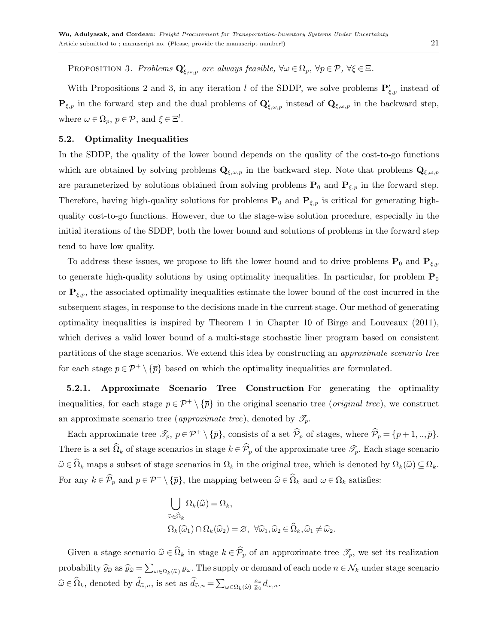PROPOSITION 3. Problems  $\mathbf{Q}'_{\xi,\omega,p}$  are always feasible,  $\forall \omega \in \Omega_p$ ,  $\forall p \in \mathcal{P}$ ,  $\forall \xi \in \Xi$ .

With Propositions [2](#page-19-2) and [3,](#page-19-3) in any iteration l of the SDDP, we solve problems  $\mathbf{P}'_{\xi,p}$  instead of  $\mathbf{P}_{\xi,p}$  in the forward step and the dual problems of  $\mathbf{Q}'_{\xi,\omega,p}$  instead of  $\mathbf{Q}_{\xi,\omega,p}$  in the backward step, where  $\omega \in \Omega_p$ ,  $p \in \mathcal{P}$ , and  $\xi \in \Xi^l$ .

## <span id="page-20-1"></span>5.2. Optimality Inequalities

In the SDDP, the quality of the lower bound depends on the quality of the cost-to-go functions which are obtained by solving problems  $\mathbf{Q}_{\xi,\omega,p}$  in the backward step. Note that problems  $\mathbf{Q}_{\xi,\omega,p}$ are parameterized by solutions obtained from solving problems  $P_0$  and  $P_{\xi,p}$  in the forward step. Therefore, having high-quality solutions for problems  $P_0$  and  $P_{\xi,p}$  is critical for generating highquality cost-to-go functions. However, due to the stage-wise solution procedure, especially in the initial iterations of the SDDP, both the lower bound and solutions of problems in the forward step tend to have low quality.

To address these issues, we propose to lift the lower bound and to drive problems  $P_0$  and  $P_{\xi,p}$ to generate high-quality solutions by using optimality inequalities. In particular, for problem  $P_0$ or  $P_{\xi,p}$ , the associated optimality inequalities estimate the lower bound of the cost incurred in the subsequent stages, in response to the decisions made in the current stage. Our method of generating optimality inequalities is inspired by Theorem 1 in Chapter 10 of [Birge and Louveaux](#page-38-15) [\(2011\)](#page-38-15), which derives a valid lower bound of a multi-stage stochastic liner program based on consistent partitions of the stage scenarios. We extend this idea by constructing an approximate scenario tree for each stage  $p \in \mathcal{P}^+ \setminus {\overline{p}}$  based on which the optimality inequalities are formulated.

5.2.1. Approximate Scenario Tree Construction For generating the optimality inequalities, for each stage  $p \in \mathcal{P}^+ \setminus \{\overline{p}\}\$ in the original scenario tree (*original tree*), we construct an approximate scenario tree (*approximate tree*), denoted by  $\mathscr{T}_{p}$ .

Each approximate tree  $\mathcal{T}_p$ ,  $p \in \mathcal{P}^+ \setminus {\overline{p}}$ , consists of a set  $\widehat{\mathcal{P}}_p$  of stages, where  $\widehat{\mathcal{P}}_p = {p + 1, \ldots, \overline{p}}$ . There is a set  $\widehat{\Omega}_k$  of stage scenarios in stage  $k \in \widehat{\mathcal{P}}_p$  of the approximate tree  $\mathscr{T}_p$ . Each stage scenario  $\widehat{\omega} \in \widehat{\Omega}_k$  maps a subset of stage scenarios in  $\Omega_k$  in the original tree, which is denoted by  $\Omega_k(\widehat{\omega}) \subseteq \Omega_k$ . For any  $k \in \hat{\mathcal{P}}_p$  and  $p \in \mathcal{P}^+ \setminus {\{\overline{p}\}}$ , the mapping between  $\widehat{\omega} \in \widehat{\Omega}_k$  and  $\omega \in \Omega_k$  satisfies:

<span id="page-20-0"></span>
$$
\begin{aligned} &\bigcup_{\widehat{\omega}\in\widehat{\Omega}_k}\Omega_k(\widehat{\omega})=\Omega_k,\\ &\Omega_k(\widehat{\omega}_1)\cap\Omega_k(\widehat{\omega}_2)=\varnothing,\ \forall\widehat{\omega}_1,\widehat{\omega}_2\in\widehat{\Omega}_k,\widehat{\omega}_1\neq\widehat{\omega}_2. \end{aligned}
$$

Given a stage scenario  $\widehat{\omega} \in \widehat{\Omega}_k$  in stage  $k \in \widehat{\mathcal{P}}_p$  of an approximate tree  $\mathscr{T}_p$ , we set its realization probability  $\widehat{\varrho}_{\widehat{\omega}}$  as  $\widehat{\varrho}_{\widehat{\omega}} = \sum_{\omega \in \Omega_k(\widehat{\omega})} \varrho_{\omega}$ . The supply or demand of each node  $n \in \mathcal{N}_k$  under stage scenario  $\widehat{\omega} \in \widehat{\Omega}_k$ , denoted by  $\widehat{d}_{\widehat{\omega},n}$ , is set as  $\widehat{d}_{\widehat{\omega},n} = \sum_{\omega \in \Omega_k(\widehat{\omega})} \frac{\varrho_{\omega}}{\widehat{\varrho}_{\widehat{\omega}}}$  $\frac{\varrho_\omega}{\widehat{\varrho}_\widehat{\omega}}d_{\omega,n}.$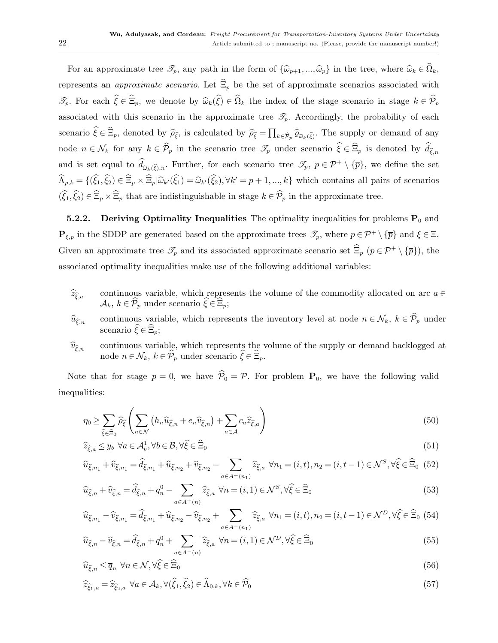For an approximate tree  $\mathscr{T}_p$ , any path in the form of  $\{\widehat{\omega}_{p+1},...,\widehat{\omega}_{\overline{p}}\}$  in the tree, where  $\widehat{\omega}_k \in \widehat{\Omega}_k$ , represents an *approximate scenario*. Let  $\widehat{\Xi}_p$  be the set of approximate scenarios associated with  $\mathscr{T}_p$ . For each  $\hat{\xi} \in \widehat{\Xi}_p$ , we denote by  $\widehat{\omega}_k(\widehat{\xi}) \in \widehat{\Omega}_k$  the index of the stage scenario in stage  $k \in \widehat{\mathcal{P}}_p$ associated with this scenario in the approximate tree  $\mathcal{T}_p$ . Accordingly, the probability of each scenario  $\xi \in \Xi_p$ , denoted by  $\widehat{\rho}_{\widehat{\xi}}$ , is calculated by  $\widehat{\rho}_{\widehat{\xi}} = \prod_{k \in \widehat{\mathcal{P}}_p} \widehat{\varrho}_{\widehat{\omega}_k(\widehat{\xi})}$ . The supply or demand of any node  $n \in \mathcal{N}_k$  for any  $k \in \mathcal{P}_p$  in the scenario tree  $\mathcal{I}_p$  under scenario  $\xi \in \Xi_p$  is denoted by  $d_{\widehat{\xi},n}$ and is set equal to  $d_{\hat{\omega}_k(\hat{\xi}),n}$ . Further, for each scenario tree  $\mathscr{T}_p$ ,  $p \in \mathcal{P}^+ \setminus {\{\overline{p}\}}$ , we define the set  $\widehat{\Lambda}_{p,k} = \{(\widehat{\xi}_1, \widehat{\xi}_2) \in \widehat{\Xi}_p \times \widehat{\Xi}_p | \widehat{\omega}_{k'}(\widehat{\xi}_1) = \widehat{\omega}_{k'}(\widehat{\xi}_2), \forall k'=p+1,\dots,k\}$  which contains all pairs of scenarios  $(\widehat{\xi}_1, \widehat{\xi}_2) \in \widehat{\Xi}_p \times \widehat{\Xi}_p$  that are indistinguishable in stage  $k \in \widehat{\mathcal{P}}_p$  in the approximate tree.

**5.2.2.** Deriving Optimality Inequalities The optimality inequalities for problems  $P_0$  and  $\mathbf{P}_{\xi,p}$  in the SDDP are generated based on the approximate trees  $\mathscr{T}_p$ , where  $p \in \mathcal{P}^+ \setminus {\overline{p}}$  and  $\xi \in \Xi$ . Given an approximate tree  $\mathscr{T}_p$  and its associated approximate scenario set  $\widehat{\Xi}_p$   $(p \in \mathcal{P}^+ \setminus {\overline{p}})$ , the associated optimality inequalities make use of the following additional variables:

- $\widehat{z}_{\widehat{\epsilon},a}$  continuous variable, which represents the volume of the commodity allocated on arc  $a \in \mathbb{R}$  $\mathcal{A}_k, k \in \widehat{\mathcal{P}}_p$  under scenario  $\widehat{\xi} \in \widehat{\Xi}_p$ ;
- $\widehat{u}_{\widehat{\xi},n}$  continuous variable, which represents the inventory level at node  $n \in \mathcal{N}_k$ ,  $k \in \widehat{\mathcal{P}}_p$  under scenario  $\widehat{\xi} \in \widehat{\Xi}_p$ ;
- $\hat{v}_{\hat{\epsilon}_n}$  continuous variable, which represents the volume of the supply or demand backlogged at node  $n \in \mathcal{N}_k, \ k \in \widehat{\mathcal{P}}_p$  under scenario  $\widehat{\xi} \in \widehat{\Xi}_p.$

Note that for stage  $p = 0$ , we have  $\hat{\mathcal{P}}_0 = \mathcal{P}$ . For problem  $P_0$ , we have the following valid inequalities:

$$
\eta_0 \ge \sum_{\hat{\xi} \in \hat{\Xi}_0} \widehat{\rho}_{\hat{\xi}} \left( \sum_{n \in \mathcal{N}} \left( h_n \widehat{u}_{\hat{\xi},n} + e_n \widehat{v}_{\hat{\xi},n} \right) + \sum_{a \in \mathcal{A}} c_a \widehat{z}_{\hat{\xi},a} \right)
$$
(50)

$$
\widehat{z}_{\widehat{\xi},a} \le y_b \ \forall a \in \mathcal{A}_b^1, \forall b \in \mathcal{B}, \forall \widehat{\xi} \in \widehat{\Xi}_0 \tag{51}
$$

$$
\widehat{u}_{\widehat{\xi},n_1} + \widehat{v}_{\widehat{\xi},n_1} = \widehat{d}_{\widehat{\xi},n_1} + \widehat{u}_{\widehat{\xi},n_2} + \widehat{v}_{\widehat{\xi},n_2} - \sum_{a \in A^+(n_1)} \widehat{z}_{\widehat{\xi},a} \,\,\forall n_1 = (i,t), n_2 = (i,t-1) \in \mathcal{N}^S, \forall \widehat{\xi} \in \widehat{\Xi}_0 \tag{52}
$$

$$
\widehat{u}_{\widehat{\xi},n} + \widehat{v}_{\widehat{\xi},n} = \widehat{d}_{\widehat{\xi},n} + q_n^0 - \sum_{a \in A^+(n)} \widehat{z}_{\widehat{\xi},a} \ \forall n = (i,1) \in \mathcal{N}^S, \forall \widehat{\xi} \in \widehat{\Xi}_0
$$
\n
$$
(53)
$$

$$
\widehat{u}_{\widehat{\xi},n_1} - \widehat{v}_{\widehat{\xi},n_1} = \widehat{d}_{\widehat{\xi},n_1} + \widehat{u}_{\widehat{\xi},n_2} - \widehat{v}_{\widehat{\xi},n_2} + \sum_{a \in A^-(n_1)} \widehat{z}_{\widehat{\xi},a} \ \forall n_1 = (i,t), n_2 = (i,t-1) \in \mathcal{N}^D, \forall \widehat{\xi} \in \widehat{\Xi}_0 \tag{54}
$$

$$
\widehat{u}_{\widehat{\xi},n} - \widehat{v}_{\widehat{\xi},n} = \widehat{d}_{\widehat{\xi},n} + q_n^0 + \sum_{a \in A^-(n)} \widehat{z}_{\widehat{\xi},a} \ \forall n = (i,1) \in \mathcal{N}^D, \forall \widehat{\xi} \in \widehat{\Xi}_0
$$
\n
$$
(55)
$$

$$
\widehat{u}_{\widehat{\xi},n} \leq \overline{q}_n \ \forall n \in \mathcal{N}, \forall \widehat{\xi} \in \widehat{\Xi}_0 \tag{56}
$$

$$
\widehat{z}_{\widehat{\xi}_1, a} = \widehat{z}_{\widehat{\xi}_2, a} \ \forall a \in \mathcal{A}_k, \forall (\widehat{\xi}_1, \widehat{\xi}_2) \in \widehat{\Lambda}_{0, k}, \forall k \in \widehat{\mathcal{P}}_0
$$
\n
$$
(57)
$$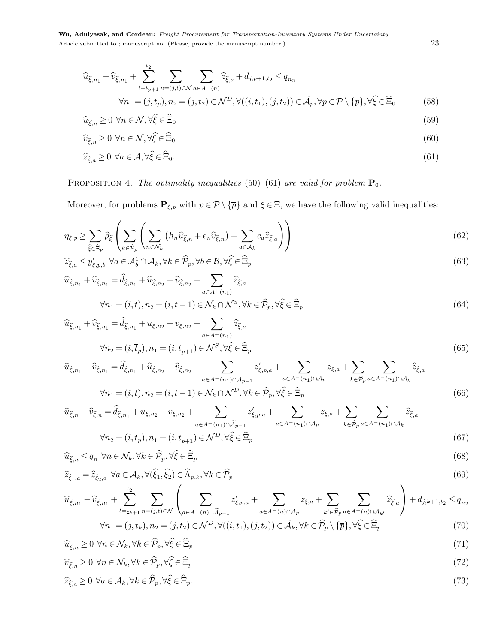$$
\widehat{u}_{\widehat{\xi},n_1} - \widehat{v}_{\widehat{\xi},n_1} + \sum_{t=t_{p+1}}^{t_2} \sum_{n=(j,t)\in\mathcal{N}} \sum_{a\in A^-(n)} \widehat{z}_{\widehat{\xi},a} + \overline{d}_{j,p+1,t_2} \le \overline{q}_{n_2}
$$
\n
$$
\forall n_1 = (j,\overline{t}_p), n_2 = (j,t_2) \in \mathcal{N}^D, \forall ((i,t_1), (j,t_2)) \in \widetilde{\mathcal{A}}_p, \forall p \in \mathcal{P} \setminus \{\overline{p}\}, \forall \widehat{\xi} \in \widehat{\Xi}_0
$$
\n(58)

$$
\widehat{u}_{\widehat{\xi},n} \ge 0 \ \forall n \in \mathcal{N}, \forall \widehat{\xi} \in \widehat{\Xi}_0 \tag{59}
$$

$$
\widehat{v}_{\widehat{\xi},n} \ge 0 \ \forall n \in \mathcal{N}, \forall \widehat{\xi} \in \widehat{\Xi}_0 \tag{60}
$$

$$
\widehat{z}_{\widehat{\xi},a} \ge 0 \ \forall a \in \mathcal{A}, \forall \widehat{\xi} \in \widehat{\Xi}_0. \tag{61}
$$

# <span id="page-22-1"></span>PROPOSITION 4. The optimality inequalities [\(50\)](#page-20-0)–[\(61\)](#page-20-0) are valid for problem  $P_0$ .

Moreover, for problems  $\mathbf{P}_{\xi,p}$  with  $p \in \mathcal{P} \setminus {\{\overline{p}\}}$  and  $\xi \in \Xi$ , we have the following valid inequalities:

<span id="page-22-0"></span>
$$
\eta_{\xi,p} \ge \sum_{\hat{\xi}\in\hat{\Xi}_p} \widehat{\rho}_{\hat{\xi}} \left( \sum_{k\in\hat{\mathcal{P}}_p} \left( \sum_{n\in\mathcal{N}_k} \left( h_n \widehat{u}_{\hat{\xi},n} + e_n \widehat{v}_{\hat{\xi},n} \right) + \sum_{a\in\mathcal{A}_k} c_a \widehat{z}_{\hat{\xi},a} \right) \right)
$$
(62)

$$
\widehat{z}_{\widehat{\xi},a} \le y'_{\xi,p,b} \ \forall a \in \mathcal{A}_b^1 \cap \mathcal{A}_k, \forall k \in \widehat{\mathcal{P}}_p, \forall b \in \mathcal{B}, \forall \widehat{\xi} \in \widehat{\Xi}_p
$$
\n
$$
(63)
$$

$$
\hat{u}_{\hat{\xi},n_1} + \hat{v}_{\hat{\xi},n_1} = \hat{d}_{\hat{\xi},n_1} + \hat{u}_{\hat{\xi},n_2} + \hat{v}_{\hat{\xi},n_2} - \sum_{a \in A^+(n_1)} \hat{z}_{\hat{\xi},a}
$$
\n
$$
\forall n_1 = (i,t), n_2 = (i,t-1) \in \mathcal{N}_k \cap \mathcal{N}^S, \forall k \in \hat{\mathcal{P}}_p, \forall \hat{\xi} \in \hat{\Xi}_p \tag{64}
$$

$$
\widehat{u}_{\widehat{\xi},n_1} + \widehat{v}_{\widehat{\xi},n_1} = \widehat{d}_{\widehat{\xi},n_1} + u_{\xi,n_2} + v_{\xi,n_2} - \sum_{a \in A^+(n_1)} \widehat{z}_{\widehat{\xi},a}
$$
  

$$
\forall n_2 = (i, \overline{t}_p), n_1 = (i, \underline{t}_{p+1}) \in \mathcal{N}^S, \forall \widehat{\xi} \in \widehat{\Xi}_p
$$
\n(65)

$$
\widehat{u}_{\widehat{\xi},n_1} - \widehat{v}_{\widehat{\xi},n_1} = \widehat{d}_{\widehat{\xi},n_1} + \widehat{u}_{\widehat{\xi},n_2} - \widehat{v}_{\widehat{\xi},n_2} + \sum_{a \in A^-(n_1) \cap \widetilde{A}_{p-1}} z'_{\xi,p,a} + \sum_{a \in A^-(n_1) \cap A_p} z_{\xi,a} + \sum_{k \in \widehat{\mathcal{P}}_p} \sum_{a \in A^-(n_1) \cap A_k} \widehat{z}_{\widehat{\xi},a}
$$
\n
$$
\forall n = (i, t), n = (i, t, 1) \in \mathcal{N} \cap \mathcal{N}^D \ \forall k \in \widehat{\mathcal{D}} \ \ \forall \widehat{\xi} \in \widehat{\Xi}
$$
\n(66)

$$
\forall n_1 = (i, t), n_2 = (i, t - 1) \in \mathcal{N}_k \cap \mathcal{N}^D, \forall k \in \widehat{\mathcal{P}}_p, \forall \widehat{\xi} \in \widehat{\Xi}_p
$$
\n
$$
(66)
$$

$$
\widehat{u}_{\widehat{\xi},n} - \widehat{v}_{\widehat{\xi},n} = \widehat{d}_{\widehat{\xi},n_1} + u_{\xi,n_2} - v_{\xi,n_2} + \sum_{a \in A^-(n_1) \cap \widetilde{A}_{p-1}} z'_{\xi,p,a} + \sum_{a \in A^-(n_1) \cap A_p} z_{\xi,a} + \sum_{k \in \widehat{\mathcal{P}}_p} \sum_{a \in A^-(n_1) \cap A_k} \widehat{z}_{\widehat{\xi},a}
$$
\n
$$
\forall n_2 = (i, \overline{t}_p), n_1 = (i, \underline{t}_{p+1}) \in \mathcal{N}^D, \forall \widehat{\xi} \in \widehat{\Xi}_p \tag{67}
$$

$$
\widehat{u}_{\widehat{\xi},n} \leq \overline{q}_n \ \forall n \in \mathcal{N}_k, \forall k \in \widehat{\mathcal{P}}_p, \forall \widehat{\xi} \in \widehat{\Xi}_p \tag{68}
$$

$$
\widehat{z}_{\widehat{\xi}_1, a} = \widehat{z}_{\widehat{\xi}_2, a} \ \forall a \in \mathcal{A}_k, \forall (\widehat{\xi}_1, \widehat{\xi}_2) \in \widehat{\Lambda}_{p,k}, \forall k \in \widehat{\mathcal{P}}_p \tag{69}
$$

$$
\widehat{u}_{\widehat{\xi},n_1} - \widehat{v}_{\widehat{\xi},n_1} + \sum_{t=t_{k+1}}^{t_2} \sum_{n=(j,t)\in\mathcal{N}} \left( \sum_{a\in A^-(n)\cap\widetilde{A}_{p-1}} z'_{\xi,p,a} + \sum_{a\in A^-(n)\cap A_p} z_{\xi,a} + \sum_{k'\in\widehat{\mathcal{P}}_p} \sum_{a\in A^-(n)\cap A_{k'}} \widehat{z}_{\widehat{\xi},a} \right) + \overline{d}_{j,k+1,t_2} \leq \overline{q}_{n_2}
$$
\n
$$
\forall n_1 = (j,\overline{t}_k), n_2 = (j,t_2) \in \mathcal{N}^D, \forall ((i,t_1), (j,t_2)) \in \widetilde{\mathcal{A}}_k, \forall k \in \widehat{\mathcal{P}}_p \setminus \{\overline{p}\}, \forall \widehat{\xi} \in \widehat{\Xi}_p \tag{70}
$$

$$
\widehat{u}_{\widehat{\epsilon},n} \ge 0 \ \forall n \in \mathcal{N}_k, \forall k \in \widehat{\mathcal{P}}_p, \forall \widehat{\xi} \in \widehat{\Xi}_p \tag{71}
$$

$$
\widehat{v}_{\widehat{\epsilon}_n} \ge 0 \ \forall n \in \mathcal{N}_k, \forall k \in \widehat{\mathcal{P}}_p, \forall \widehat{\xi} \in \widehat{\Xi}_p \tag{72}
$$

<span id="page-22-2"></span>
$$
\hat{z}_{\hat{\xi},a} \ge 0 \ \forall a \in \mathcal{A}_k, \forall k \in \hat{\mathcal{P}}_p, \forall \hat{\xi} \in \hat{\Xi}_p.
$$
\n
$$
(73)
$$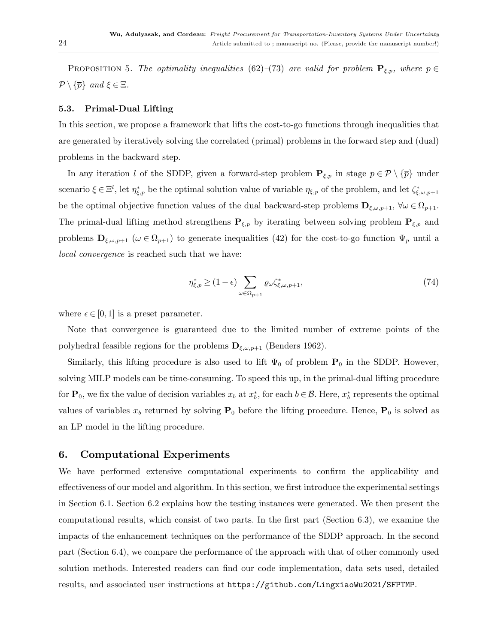PROPOSITION 5. The optimality inequalities [\(62\)](#page-22-0)–[\(73\)](#page-22-0) are valid for problem  $\mathbf{P}_{\xi,p}$ , where  $p \in$  $\mathcal{P}\setminus\{\overline{p}\}\$ and  $\xi\in\Xi$ .

### <span id="page-23-1"></span>5.3. Primal-Dual Lifting

In this section, we propose a framework that lifts the cost-to-go functions through inequalities that are generated by iteratively solving the correlated (primal) problems in the forward step and (dual) problems in the backward step.

In any iteration l of the SDDP, given a forward-step problem  $P_{\xi,p}$  in stage  $p \in \mathcal{P} \setminus \{\overline{p}\}\$  under scenario  $\xi \in \Xi^l$ , let  $\eta_{\xi,p}^*$  be the optimal solution value of variable  $\eta_{\xi,p}$  of the problem, and let  $\zeta_{\xi,\omega,p+1}^*$ be the optimal objective function values of the dual backward-step problems  $\mathbf{D}_{\xi,\omega,p+1}$ ,  $\forall \omega \in \Omega_{p+1}$ . The primal-dual lifting method strengthens  $P_{\xi,p}$  by iterating between solving problem  $P_{\xi,p}$  and problems  $\mathbf{D}_{\xi,\omega,p+1}$  ( $\omega \in \Omega_{p+1}$ ) to generate inequalities [\(42\)](#page-18-1) for the cost-to-go function  $\Psi_p$  until a local convergence is reached such that we have:

$$
\eta_{\xi,p}^* \ge (1 - \epsilon) \sum_{\omega \in \Omega_{p+1}} \varrho \omega \zeta_{\xi,\omega,p+1}^*,\tag{74}
$$

where  $\epsilon \in [0,1]$  is a preset parameter.

Note that convergence is guaranteed due to the limited number of extreme points of the polyhedral feasible regions for the problems  $\mathbf{D}_{\xi,\omega,p+1}$  [\(Benders](#page-37-3) [1962\)](#page-37-3).

Similarly, this lifting procedure is also used to lift  $\Psi_0$  of problem  $P_0$  in the SDDP. However, solving MILP models can be time-consuming. To speed this up, in the primal-dual lifting procedure for  $P_0$ , we fix the value of decision variables  $x_b$  at  $x_b^*$ , for each  $b \in \mathcal{B}$ . Here,  $x_b^*$  represents the optimal values of variables  $x_b$  returned by solving  $P_0$  before the lifting procedure. Hence,  $P_0$  is solved as an LP model in the lifting procedure.

# <span id="page-23-0"></span>6. Computational Experiments

We have performed extensive computational experiments to confirm the applicability and effectiveness of our model and algorithm. In this section, we first introduce the experimental settings in Section [6.1.](#page-24-0) Section [6.2](#page-25-0) explains how the testing instances were generated. We then present the computational results, which consist of two parts. In the first part (Section [6.3\)](#page-26-1), we examine the impacts of the enhancement techniques on the performance of the SDDP approach. In the second part (Section [6.4\)](#page-26-2), we compare the performance of the approach with that of other commonly used solution methods. Interested readers can find our code implementation, data sets used, detailed results, and associated user instructions at <https://github.com/LingxiaoWu2021/SFPTMP>.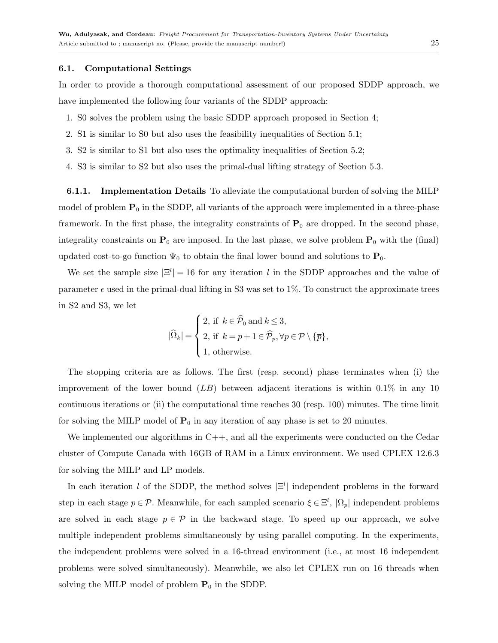## <span id="page-24-0"></span>6.1. Computational Settings

In order to provide a thorough computational assessment of our proposed SDDP approach, we have implemented the following four variants of the SDDP approach:

- 1. S0 solves the problem using the basic SDDP approach proposed in Section [4;](#page-11-0)
- 2. S1 is similar to S0 but also uses the feasibility inequalities of Section [5.1;](#page-18-3)
- 3. S2 is similar to S1 but also uses the optimality inequalities of Section [5.2;](#page-20-1)
- 4. S3 is similar to S2 but also uses the primal-dual lifting strategy of Section [5.3.](#page-23-1)

<span id="page-24-1"></span>**6.1.1.** Implementation Details To alleviate the computational burden of solving the MILP model of problem  $P_0$  in the SDDP, all variants of the approach were implemented in a three-phase framework. In the first phase, the integrality constraints of  $P_0$  are dropped. In the second phase, integrality constraints on  $P_0$  are imposed. In the last phase, we solve problem  $P_0$  with the (final) updated cost-to-go function  $\Psi_0$  to obtain the final lower bound and solutions to  $\mathbf{P}_0$ .

We set the sample size  $|\Xi^l| = 16$  for any iteration l in the SDDP approaches and the value of parameter  $\epsilon$  used in the primal-dual lifting in S3 was set to 1%. To construct the approximate trees in S2 and S3, we let

$$
|\widehat{\Omega}_k| = \begin{cases} 2, \text{ if } k \in \widehat{\mathcal{P}}_0 \text{ and } k \le 3, \\ 2, \text{ if } k = p + 1 \in \widehat{\mathcal{P}}_p, \forall p \in \mathcal{P} \setminus \{\overline{p}\}, \\ 1, \text{ otherwise.} \end{cases}
$$

The stopping criteria are as follows. The first (resp. second) phase terminates when (i) the improvement of the lower bound  $(LB)$  between adjacent iterations is within 0.1% in any 10 continuous iterations or (ii) the computational time reaches 30 (resp. 100) minutes. The time limit for solving the MILP model of  $P_0$  in any iteration of any phase is set to 20 minutes.

We implemented our algorithms in  $C++$ , and all the experiments were conducted on the Cedar cluster of Compute Canada with 16GB of RAM in a Linux environment. We used CPLEX 12.6.3 for solving the MILP and LP models.

In each iteration l of the SDDP, the method solves  $|\Xi^l|$  independent problems in the forward step in each stage  $p \in \mathcal{P}$ . Meanwhile, for each sampled scenario  $\xi \in \Xi^l$ ,  $|\Omega_p|$  independent problems are solved in each stage  $p \in \mathcal{P}$  in the backward stage. To speed up our approach, we solve multiple independent problems simultaneously by using parallel computing. In the experiments, the independent problems were solved in a 16-thread environment (i.e., at most 16 independent problems were solved simultaneously). Meanwhile, we also let CPLEX run on 16 threads when solving the MILP model of problem  $P_0$  in the SDDP.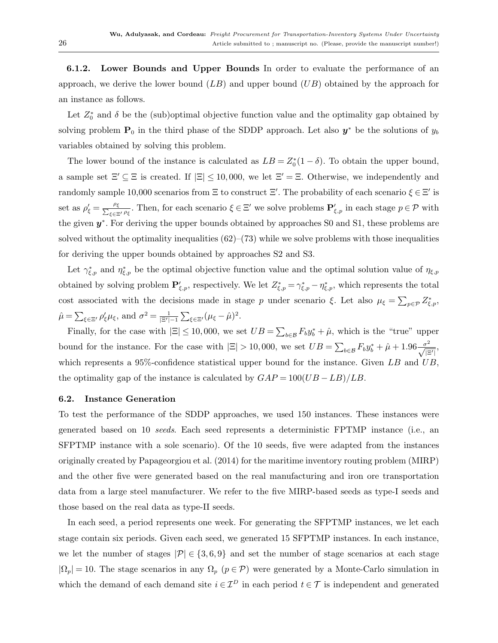<span id="page-25-1"></span>6.1.2. Lower Bounds and Upper Bounds In order to evaluate the performance of an approach, we derive the lower bound  $(LB)$  and upper bound  $(UB)$  obtained by the approach for an instance as follows.

Let  $Z_0^*$  and  $\delta$  be the (sub)optimal objective function value and the optimality gap obtained by solving problem  $P_0$  in the third phase of the SDDP approach. Let also  $y^*$  be the solutions of  $y_b$ variables obtained by solving this problem.

The lower bound of the instance is calculated as  $LB = Z_0^*(1 - \delta)$ . To obtain the upper bound, a sample set  $\Xi' \subseteq \Xi$  is created. If  $|\Xi| \le 10,000$ , we let  $\Xi' = \Xi$ . Otherwise, we independently and randomly sample 10,000 scenarios from  $\Xi$  to construct  $\Xi'$ . The probability of each scenario  $\xi \in \Xi'$  is set as  $\rho'_\xi = \frac{\rho_\xi}{\sum_{\xi \in \Xi}}$  $\frac{\rho_{\xi}}{\xi \in \Xi' \rho_{\xi}}$ . Then, for each scenario  $\xi \in \Xi'$  we solve problems  $\mathbf{P}'_{\xi,p}$  in each stage  $p \in \mathcal{P}$  with the given  $y^*$ . For deriving the upper bounds obtained by approaches S0 and S1, these problems are solved without the optimality inequalities  $(62)$ – $(73)$  while we solve problems with those inequalities for deriving the upper bounds obtained by approaches S2 and S3.

Let  $\gamma_{\xi,p}^*$  and  $\eta_{\xi,p}^*$  be the optimal objective function value and the optimal solution value of  $\eta_{\xi,p}$ obtained by solving problem  $\mathbf{P}'_{\xi,p}$ , respectively. We let  $Z^*_{\xi,p} = \gamma^*_{\xi,p} - \eta^*_{\xi,p}$ , which represents the total cost associated with the decisions made in stage p under scenario ξ. Let also  $\mu_{\xi} = \sum_{p \in \mathcal{P}} Z_{\xi, p}^*$ ,  $\hat{\mu} = \sum_{\xi \in \Xi'} \rho'_{\xi} \mu_{\xi}$ , and  $\sigma^2 = \frac{1}{|\Xi'| - 1} \sum_{\xi \in \Xi'} (\mu_{\xi} - \hat{\mu})^2$ .

Finally, for the case with  $|\Xi| \leq 10,000$ , we set  $UB = \sum_{b \in \mathcal{B}} F_b y_b^* + \hat{\mu}$ , which is the "true" upper bound for the instance. For the case with  $|\Xi| > 10,000$ , we set  $UB = \sum_{b \in \mathcal{B}} F_b y_b^* + \hat{\mu} + 1.96 \frac{\sigma^2}{\sqrt{|\Xi'|}},$ which represents a 95%-confidence statistical upper bound for the instance. Given  $LB$  and  $UB$ , the optimality gap of the instance is calculated by  $GAP = 100(UB - LB)/LB$ .

#### <span id="page-25-0"></span>6.2. Instance Generation

To test the performance of the SDDP approaches, we used 150 instances. These instances were generated based on 10 seeds. Each seed represents a deterministic FPTMP instance (i.e., an SFPTMP instance with a sole scenario). Of the 10 seeds, five were adapted from the instances originally created by [Papageorgiou et al.](#page-39-9) [\(2014\)](#page-39-9) for the maritime inventory routing problem (MIRP) and the other five were generated based on the real manufacturing and iron ore transportation data from a large steel manufacturer. We refer to the five MIRP-based seeds as type-I seeds and those based on the real data as type-II seeds.

In each seed, a period represents one week. For generating the SFPTMP instances, we let each stage contain six periods. Given each seed, we generated 15 SFPTMP instances. In each instance, we let the number of stages  $|\mathcal{P}| \in \{3, 6, 9\}$  and set the number of stage scenarios at each stage  $|\Omega_p| = 10$ . The stage scenarios in any  $\Omega_p$  ( $p \in \mathcal{P}$ ) were generated by a Monte-Carlo simulation in which the demand of each demand site  $i \in \mathcal{I}^D$  in each period  $t \in \mathcal{T}$  is independent and generated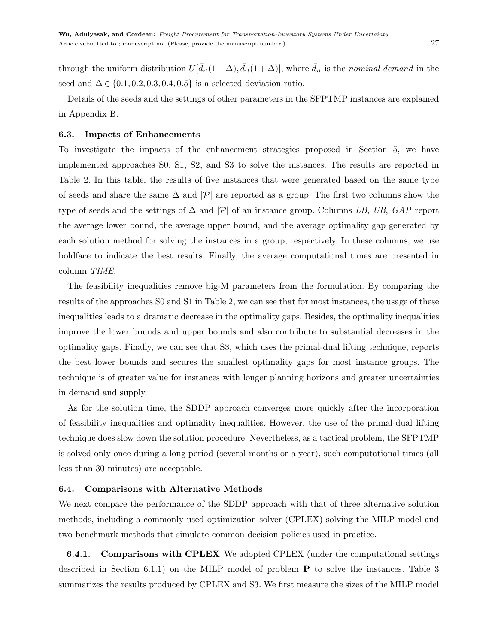through the uniform distribution  $U[\bar{d}_{it}(1-\Delta), \bar{d}_{it}(1+\Delta)]$ , where  $\bar{d}_{it}$  is the nominal demand in the seed and  $\Delta \in \{0.1, 0.2, 0.3, 0.4, 0.5\}$  is a selected deviation ratio.

Details of the seeds and the settings of other parameters in the SFPTMP instances are explained in Appendix [B.](#page-5-0)

## <span id="page-26-1"></span>6.3. Impacts of Enhancements

To investigate the impacts of the enhancement strategies proposed in Section [5,](#page-18-0) we have implemented approaches S0, S1, S2, and S3 to solve the instances. The results are reported in Table [2.](#page-27-0) In this table, the results of five instances that were generated based on the same type of seeds and share the same  $\Delta$  and  $|\mathcal{P}|$  are reported as a group. The first two columns show the type of seeds and the settings of  $\Delta$  and  $|\mathcal{P}|$  of an instance group. Columns LB, UB, GAP report the average lower bound, the average upper bound, and the average optimality gap generated by each solution method for solving the instances in a group, respectively. In these columns, we use boldface to indicate the best results. Finally, the average computational times are presented in column TIME.

The feasibility inequalities remove big-M parameters from the formulation. By comparing the results of the approaches S0 and S1 in Table [2,](#page-27-0) we can see that for most instances, the usage of these inequalities leads to a dramatic decrease in the optimality gaps. Besides, the optimality inequalities improve the lower bounds and upper bounds and also contribute to substantial decreases in the optimality gaps. Finally, we can see that S3, which uses the primal-dual lifting technique, reports the best lower bounds and secures the smallest optimality gaps for most instance groups. The technique is of greater value for instances with longer planning horizons and greater uncertainties in demand and supply.

As for the solution time, the SDDP approach converges more quickly after the incorporation of feasibility inequalities and optimality inequalities. However, the use of the primal-dual lifting technique does slow down the solution procedure. Nevertheless, as a tactical problem, the SFPTMP is solved only once during a long period (several months or a year), such computational times (all less than 30 minutes) are acceptable.

## <span id="page-26-2"></span>6.4. Comparisons with Alternative Methods

We next compare the performance of the SDDP approach with that of three alternative solution methods, including a commonly used optimization solver (CPLEX) solving the MILP model and two benchmark methods that simulate common decision policies used in practice.

<span id="page-26-0"></span>6.4.1. Comparisons with CPLEX We adopted CPLEX (under the computational settings described in Section [6.1.1\)](#page-24-1) on the MILP model of problem P to solve the instances. Table [3](#page-28-0) summarizes the results produced by CPLEX and S3. We first measure the sizes of the MILP model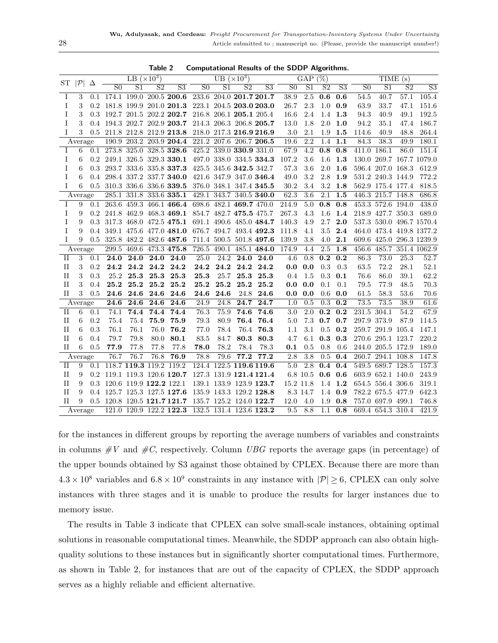|             |              |                  |                         | LB $(\times 10^3)$ |                         |                                                     |                         | UB $(\times 10^3)$ |                         |                         |                   | GAP            | $(\%)$         |                |                |                   | TIME (s)       |                          |
|-------------|--------------|------------------|-------------------------|--------------------|-------------------------|-----------------------------------------------------|-------------------------|--------------------|-------------------------|-------------------------|-------------------|----------------|----------------|----------------|----------------|-------------------|----------------|--------------------------|
| ST          | $ {\cal P} $ | Δ                | S <sub>0</sub>          | S <sub>1</sub>     | S <sub>2</sub>          | $\overline{S3}$                                     | S <sub>0</sub>          | S <sub>1</sub>     | S <sub>2</sub>          | $\overline{S3}$         | S <sub>0</sub>    | S <sub>1</sub> | S <sub>2</sub> | S <sub>3</sub> | S <sub>0</sub> | S <sub>1</sub>    | S <sub>2</sub> | $\overline{S3}$          |
| T           | 3            |                  |                         |                    |                         | $0.1$ 174.1 199.0 200.5 200.6                       | 233.6 204.0 201.7 201.7 |                    |                         |                         | 38.9              | 2.5            | 0.6            | 0.6            | 54.5           | 40.7              | 57.1           | 105.4                    |
| Ι           | 3            | 0.2 <sub>1</sub> |                         |                    |                         | 181.8 199.9 201.0 201.3                             |                         |                    |                         | 223.1 204.5 203.0 203.0 | 26.7              | 2.3            | 1.0            | 0.9            | 63.9           | 33.7              | 47.1           | 151.6                    |
| I           | 3            | 0.3              |                         |                    |                         | 192.7 201.5 202.2 202.7 216.8 206.1 205.1 205.4     |                         |                    |                         |                         | 16.6              | 2.4            | 1.4            | 1.3            | 94.3           | 40.9              | 49.1           | 192.5                    |
| I           | 3            | 0.4              |                         |                    |                         | 194.3 202.7 202.9 203.7 214.3 206.3 206.8 205.7     |                         |                    |                         |                         | 13.0              | 1.8            | $2.0\,$        | 1.0            | 94.2           | 35.1              | 47.4           | 186.7                    |
| T           | 3            |                  |                         |                    |                         | 0.5 211.8 212.8 212.9 213.8 218.0 217.3 216.9 216.9 |                         |                    |                         |                         | 3.0               | 2.1            | 1.9            | 1.5            | 114.6          | 40.9              | 48.8           | 264.4                    |
|             | Average      |                  |                         |                    |                         | 190.9 203.2 203.9 204.4 221.2 207.6 206.7 206.5     |                         |                    |                         |                         | $\overline{19.6}$ | 2.2            | 1.4            | 1.1            | 84.3           | 38.3              | 49.9           | 180.1                    |
| I           | 6            |                  |                         |                    |                         | $0.1$ 273.8 325.0 328.5 328.6                       | 425.2 339.0 330.9 331.0 |                    |                         |                         | 67.9              | 4.2            | 0.8            | 0.8            | 411.0 186.1    |                   | 86.0           | 151.4                    |
| Ι           | 6            |                  |                         |                    |                         | 0.2 249.1 326.5 329.3 330.1 497.0 338.0 334.5 334.3 |                         |                    |                         |                         | 107.2             | 3.6            | 1.6            | 1.3            |                |                   |                | 130.0 269.7 167.7 1079.0 |
| T           | 6            | 0.3              |                         |                    |                         | 293.7 333.6 335.8 337.3                             | 425.5 345.6 342.5 342.7 |                    |                         |                         | 57.3              | 3.6            | $2.0\,$        | 1.6            |                | 596.4 207.0 168.3 |                | 612.9                    |
| T           | 6            | 0.4              |                         |                    |                         | 298.4 337.2 337.7 340.0                             | 421.6 347.9 347.0 346.4 |                    |                         |                         | 49.0              | $3.2\,$        | $2.8\,$        | 1.9            |                | 531.2 240.3 144.9 |                | 772.2                    |
| T           | 6            | 0.5              |                         |                    |                         | 310.3 336.6 336.6 339.5 376.0 348.1 347.4 345.5     |                         |                    |                         |                         | 30.2              | 3.4            | $3.2\,$        | 1.8            |                | 562.9 175.4 177.4 |                | 818.5                    |
|             | Average      |                  |                         |                    |                         | 285.1 331.8 333.6 335.1                             |                         |                    |                         | 429.1 343.7 340.5 340.0 | 62.3              | 3.6            | 2.1            | 1.5            |                | 446.3 215.7 148.8 |                | 686.8                    |
| T           | 9            | 0.1              | 263.6                   |                    |                         | 459.3 466.1 466.4                                   |                         |                    | 698.6 482.1 469.7 470.0 |                         | 214.9             | 5.0            | 0.8            | 0.8            |                | 453.3 572.6 194.0 |                | 438.0                    |
| I           | 9            | $0.2\,$          |                         |                    |                         | 241.8 462.9 468.3 469.1 854.7 482.7 475.5 475.7     |                         |                    |                         |                         | 267.3             | 4.3            | 1.6            | 1.4            |                | 218.9 427.7 350.3 |                | 689.0                    |
| I           | 9            | 0.3              |                         |                    |                         | 317.3 468.0 472.5 475.1                             |                         |                    |                         | 691.1 490.6 485.0 484.7 | 140.3             | 4.9            | 2.7            | 2.0            |                |                   |                | 537.3 530.0 496.7 1570.4 |
| I           | 9            | 0.4              |                         |                    |                         | 349.1 475.6 477.0 481.0                             |                         |                    |                         | 676.7 494.7 493.4 492.3 | 111.8             | 4.1            | 3.5            | 2.4            |                |                   |                | 464.0 473.4 419.8 1377.2 |
| T           | 9            | 0.5              |                         |                    |                         | 325.8 482.2 482.6 487.6                             |                         |                    |                         | 711.4 500.5 501.8 497.6 | 139.9             | 3.8            | 4.0            | 2.1            |                |                   |                | 609.6 425.0 296.3 1239.9 |
|             | Average      |                  | 299.5                   |                    |                         | 469.6 473.3 475.8                                   | 726.5                   | 490.1              |                         | 485.1 484.0             | 174.9             | 4.4            | 2.5            | 1.8            |                | 456.6 485.7       |                | 351.4 1062.9             |
| П           | 3            | 0.1              | 24.0                    | 24.0               | 24.0                    | 24.0                                                | 25.0                    | 24.2               | 24.0                    | 24.0                    | 4.6               | 0.8            | 0.2            | 0.2            | 86.3           | 73.0              | 25.3           | 52.7                     |
| $_{\rm II}$ | 3            | 0.2              | 24.2                    | 24.2               | 24.2                    | 24.2                                                | 24.2                    | 24.2               | 24.2                    | 24.2                    | 0.0               | 0.0            | 0.3            | 0.3            | 63.5           | 72.2              | 28.1           | 52.1                     |
| $\rm II$    | 3            | 0.3              | 25.2                    | 25.3               | $\bf 25.3$              | 25.3                                                | 25.3                    | 25.7               | 25.3                    | $\bf 25.3$              | 0.4               | 1.5            | 0.3            | 0.1            | 76.6           | 86.0              | 39.1           | 62.2                     |
| $_{\rm II}$ | 3            | 0.4              | 25.2                    | 25.2               | 25.2                    | 25.2                                                | 25.2                    | 25.2               | 25.2                    | 25.2                    | 0.0               | 0.0            | 0.1            | 0.1            | 79.5           | 77.9              | 48.5           | 70.3                     |
| $_{\rm II}$ | 3            | 0.5              | 24.6                    | 24.6               | 24.6                    | 24.6                                                | 24.6                    | 24.6               | 24.8                    | 24.6                    | 0.0               | 0.0            | 0.6            | 0.0            | 61.5           | 58.3              | 53.6           | 70.6                     |
|             | Average      |                  | $\overline{24.6}$       | 24.6               | 24.6                    | 24.6                                                | 24.9                    | 24.8               | 24.7                    | 24.7                    | 1.0               | 0.5            | 0.3            | 0.2            | 73.5           | 73.5              | 38.9           | 61.6                     |
| $_{\rm II}$ | 6            | 0.1              | 74.1                    | 74.4               | 74.4                    | 74.4                                                | 76.3                    | 75.9               | 74.6                    | 74.6                    | 3.0               | 2.0            | 0.2            | 0.2            | 231.5          | 304.1             | 54.2           | 67.9                     |
| $_{\rm II}$ | 6            | 0.2              | 75.4                    | 75.4               | 75.9                    | 75.9                                                | 79.3                    | 80.9               | 76.4                    | 76.4                    | 5.0               | 7.3            | 0.7            | 0.7            |                | 297.9 373.9       | 87.9           | 114.5                    |
| $\rm II$    | 6            | 0.3              | 76.1                    | 76.1               | 76.0                    | 76.2                                                | 77.0                    | 78.4               | 76.4                    | 76.3                    | 1.1               | 3.1            | 0.5            | 0.2            |                | 259.7 291.9 105.4 |                | 147.1                    |
| $_{\rm II}$ | 6            | 0.4              | 79.7                    | 79.8               | 80.0                    | 80.1                                                | 83.5                    | 84.7               | 80.3                    | 80.3                    | 4.7               | 6.1            | 0.3            | 0.3            |                | 270.6 295.1 123.7 |                | 220.2                    |
| $\rm II$    | 6            | 0.5              | 77.9                    | 77.8               | 77.8                    | 77.8                                                | 78.0                    | 78.2               | 78.4                    | 78.3                    | 0.1               | 0.5            | 0.8            | 0.6            |                | 244.0 205.5 172.9 |                | 189.0                    |
|             | Average      |                  | 76.7                    | 76.7               | 76.8                    | 76.9                                                | 78.8                    | 79.6               | 77.2                    | 77.2                    | 2.8               | 3.8            | $0.5\,$        | 0.4            |                | 260.7 294.1 108.8 |                | 147.8                    |
| $_{\rm II}$ | 9            | 0.1              |                         |                    | 118.7 119.3 119.2 119.2 |                                                     | 124.4                   |                    |                         | 122.5 119.6 119.6       | 5.0               | 2.8            | 0.4            | 0.4            |                | 549.5 689.7 128.5 |                | 157.3                    |
| $\rm II$    | 9            | 0.2 <sub>1</sub> |                         |                    |                         | 119.1 119.3 120.6 120.7 127.3 131.9 121.4 121.4     |                         |                    |                         |                         |                   | 6.8 10.5       | 0.6            | $\bf 0.6$      |                | 603.9 652.1 140.0 |                | 243.9                    |
| $_{\rm II}$ | 9            | 0.3              | 120.6 119.9 122.2 122.1 |                    |                         |                                                     |                         |                    |                         | 139.1 133.9 123.9 123.7 | 15.2 11.8         |                |                | 1.4 1.2        |                | 654.5 556.4 306.6 |                | 319.1                    |
| $_{\rm II}$ | 9            |                  |                         |                    |                         | 0.4 125.7 125.3 127.5 127.6 135.9 143.3 129.2 128.8 |                         |                    |                         |                         |                   | 8.3 14.7       |                | 1.4 0.9        |                | 782.2 675.5 477.9 |                | 642.3                    |
| H           | 9            |                  |                         |                    |                         | 0.5 120.8 120.5 121.7 121.7 135.7 125.2 124.0 122.7 |                         |                    |                         |                         | 12.0              | 4.0            | 1.9            | 0.8            |                | 757.0 697.9 499.1 |                | 746.8                    |
|             | Average      |                  |                         |                    |                         | 121.0 120.9 122.2 122.3 132.5 131.4 123.6 123.2     |                         |                    |                         |                         | 9.5               | 8.8            | 1.1            | 0.8            |                | 669.4 654.3 310.4 |                | 421.9                    |

<span id="page-27-0"></span>Table 2 Computational Results of the SDDP Algorithms.

for the instances in different groups by reporting the average numbers of variables and constraints in columns  $\#V$  and  $\#C$ , respectively. Column UBG reports the average gaps (in percentage) of the upper bounds obtained by S3 against those obtained by CPLEX. Because there are more than  $4.3 \times 10^8$  variables and  $6.8 \times 10^9$  constraints in any instance with  $|\mathcal{P}| \ge 6$ , CPLEX can only solve instances with three stages and it is unable to produce the results for larger instances due to memory issue.

The results in Table [3](#page-28-0) indicate that CPLEX can solve small-scale instances, obtaining optimal solutions in reasonable computational times. Meanwhile, the SDDP approach can also obtain highquality solutions to these instances but in significantly shorter computational times. Furthermore, as shown in Table [2,](#page-27-0) for instances that are out of the capacity of CPLEX, the SDDP approach serves as a highly reliable and efficient alternative.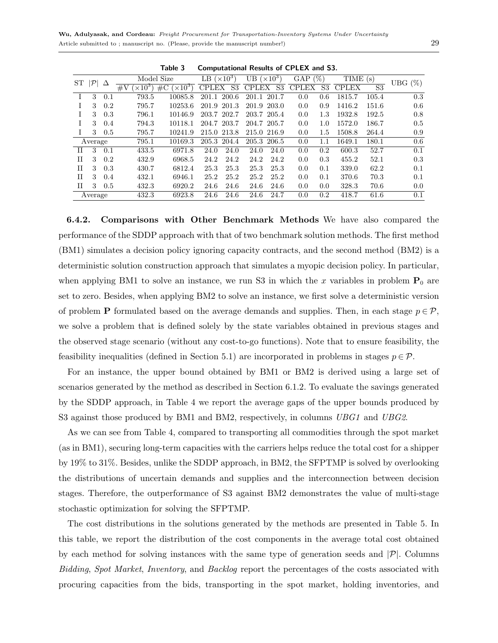| ST | $ \mathcal{P} $ | Δ            |                        | Model Size               | LB $(\times 10^3)$ |             | UB $(\times 10^3)$ |      | GAP          | $(\%)$ | TIME(s)      |                | UBG $(\%)$ |
|----|-----------------|--------------|------------------------|--------------------------|--------------------|-------------|--------------------|------|--------------|--------|--------------|----------------|------------|
|    |                 |              | $\times 10^3$<br>$\#V$ | $(\times 10^3)$<br>$\#C$ |                    | CPLEX S3    | CPLEX S3           |      | <b>CPLEX</b> | S3     | <b>CPLEX</b> | S <sub>3</sub> |            |
|    | 3               | 0.1          | 793.5                  | 10085.8                  |                    | 201.1 200.6 | 201.1 201.7        |      | 0.0          | 0.6    | 1815.7       | 105.4          | 0.3        |
|    | 3               | 0.2          | 795.7                  | 10253.6                  |                    | 201.9 201.3 | 201.9 203.0        |      | 0.0          | 0.9    | 1416.2       | 151.6          | 0.6        |
|    | 3               | 0.3          | 796.1                  | 10146.9                  |                    | 203.7 202.7 | 203.7 205.4        |      | 0.0          | 1.3    | 1932.8       | 192.5          | 0.8        |
|    | 3               | 0.4          | 794.3                  | 10118.1                  |                    | 204.7 203.7 | 204.7 205.7        |      | 0.0          | 1.0    | 1572.0       | 186.7          | 0.5        |
|    |                 | $3\quad 0.5$ | 795.7                  | 10241.9                  |                    | 215.0 213.8 | 215.0 216.9        |      | 0.0          | 1.5    | 1508.8       | 264.4          | 0.9        |
|    | Average         |              | 795.1                  | 10169.3                  |                    | 205.3 204.4 | 205.3 206.5        |      | 0.0          | 1.1    | 1649.1       | 180.1          | $0.6\,$    |
| H  | 3               | 0.1          | 433.5                  | 6971.8                   | 24.0               | 24.0        | 24.0               | 24.0 | 0.0          | 0.2    | 600.3        | 52.7           | 0.1        |
| Н  | 3               | 0.2          | 432.9                  | 6968.5                   | 24.2               | 24.2        | 24.2               | 24.2 | 0.0          | 0.3    | 455.2        | 52.1           | 0.3        |
| H  | 3               | 0.3          | 430.7                  | 6812.4                   | 25.3               | 25.3        | 25.3               | 25.3 | 0.0          | 0.1    | 339.0        | 62.2           | 0.1        |
| Н  | 3               | 0.4          | 432.1                  | 6946.1                   | 25.2               | 25.2        | 25.2               | 25.2 | 0.0          | 0.1    | 370.6        | 70.3           | 0.1        |
| Н  | $\mathbf{3}$    | 0.5          | 432.3                  | 6920.2                   | 24.6               | 24.6        | 24.6               | 24.6 | 0.0          | 0.0    | 328.3        | 70.6           | 0.0        |
|    | Average         |              | 432.3                  | 6923.8                   | 24.6               | 24.6        | 24.6               | 24.7 | 0.0          | 0.2    | 418.7        | 61.6           | 0.1        |

<span id="page-28-0"></span>Table 3 Computational Results of CPLEX and S3.

6.4.2. Comparisons with Other Benchmark Methods We have also compared the performance of the SDDP approach with that of two benchmark solution methods. The first method (BM1) simulates a decision policy ignoring capacity contracts, and the second method (BM2) is a deterministic solution construction approach that simulates a myopic decision policy. In particular, when applying BM1 to solve an instance, we run S3 in which the x variables in problem  $P_0$  are set to zero. Besides, when applying BM2 to solve an instance, we first solve a deterministic version of problem **P** formulated based on the average demands and supplies. Then, in each stage  $p \in \mathcal{P}$ , we solve a problem that is defined solely by the state variables obtained in previous stages and the observed stage scenario (without any cost-to-go functions). Note that to ensure feasibility, the feasibility inequalities (defined in Section [5.1\)](#page-18-3) are incorporated in problems in stages  $p \in \mathcal{P}$ .

For an instance, the upper bound obtained by BM1 or BM2 is derived using a large set of scenarios generated by the method as described in Section [6.1.2.](#page-25-1) To evaluate the savings generated by the SDDP approach, in Table [4](#page-29-0) we report the average gaps of the upper bounds produced by S3 against those produced by BM1 and BM2, respectively, in columns UBG1 and UBG2.

As we can see from Table [4,](#page-29-0) compared to transporting all commodities through the spot market (as in BM1), securing long-term capacities with the carriers helps reduce the total cost for a shipper by 19% to 31%. Besides, unlike the SDDP approach, in BM2, the SFPTMP is solved by overlooking the distributions of uncertain demands and supplies and the interconnection between decision stages. Therefore, the outperformance of S3 against BM2 demonstrates the value of multi-stage stochastic optimization for solving the SFPTMP.

The cost distributions in the solutions generated by the methods are presented in Table [5.](#page-29-1) In this table, we report the distribution of the cost components in the average total cost obtained by each method for solving instances with the same type of generation seeds and  $|\mathcal{P}|$ . Columns Bidding, Spot Market, Inventory, and Backlog report the percentages of the costs associated with procuring capacities from the bids, transporting in the spot market, holding inventories, and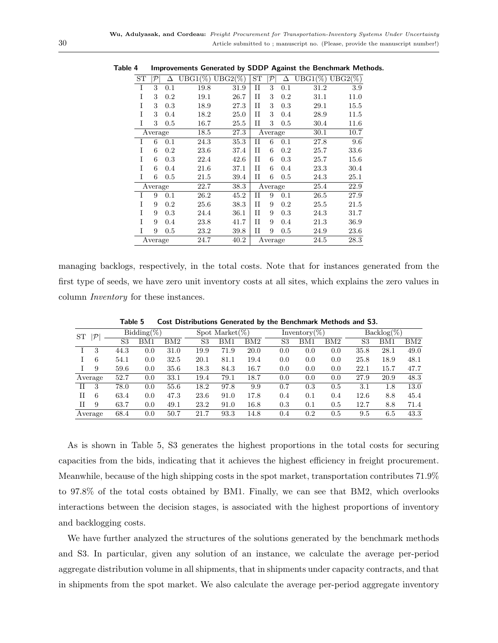<span id="page-29-0"></span>

| ST | ${\cal P}$ | Δ   | $UBG1(\%)$ UBG2(%) |      | <b>ST</b>   | ${\cal P}$ | Δ   | $UBG1(\%)$ UBG2(%) |          |
|----|------------|-----|--------------------|------|-------------|------------|-----|--------------------|----------|
| I  | 3          | 0.1 | 19.8               | 31.9 | $_{\rm II}$ | 3          | 0.1 | 31.2               | 3.9      |
| T  | 3          | 0.2 | 19.1               | 26.7 | H           | 3          | 0.2 | 31.1               | 11.0     |
| T  | 3          | 0.3 | 18.9               | 27.3 | H           | 3          | 0.3 | 29.1               | $15.5\,$ |
| T  | 3          | 0.4 | 18.2               | 25.0 | H           | 3          | 0.4 | 28.9               | 11.5     |
| I  | 3          | 0.5 | 16.7               | 25.5 | $_{\rm II}$ | 3          | 0.5 | 30.4               | 11.6     |
|    | Average    |     | 18.5               | 27.3 |             | Average    |     | 30.1               | 10.7     |
| T  | 6          | 0.1 | 24.3               | 35.3 | $_{II}$     | 6          | 0.1 | 27.8               | 9.6      |
| T  | 6          | 0.2 | 23.6               | 37.4 | $_{II}$     | 6          | 0.2 | 25.7               | 33.6     |
| T  | 6          | 0.3 | 22.4               | 42.6 | $_{\rm II}$ | 6          | 0.3 | 25.7               | $15.6\,$ |
| T  | 6          | 0.4 | $^{21.6}$          | 37.1 | H           | 6          | 0.4 | 23.3               | 30.4     |
| Ī  | 6          | 0.5 | $^{21.5}$          | 39.4 | $_{\rm II}$ | 6          | 0.5 | 24.3               | $25.1\,$ |
|    | Average    |     | 22.7               | 38.3 |             | Average    |     | 25.4               | 22.9     |
| T  | 9          | 0.1 | 26.2               | 45.2 | H           | 9          | 0.1 | 26.5               | 27.9     |
| T  | 9          | 0.2 | 25.6               | 38.3 | H           | 9          | 0.2 | 25.5               | 21.5     |
| T  | 9          | 0.3 | 24.4               | 36.1 | H           | 9          | 0.3 | 24.3               | 31.7     |
| T  | 9          | 0.4 | 23.8               | 41.7 | H           | 9          | 0.4 | 21.3               | 36.9     |
| Ī  | 9          | 0.5 | 23.2               | 39.8 | $_{\rm II}$ | 9          | 0.5 | 24.9               | 23.6     |
|    | Average    |     | 24.7               | 40.2 |             | Average    |     | 24.5               | 28.3     |

Table 4 Improvements Generated by SDDP Against the Benchmark Methods.

managing backlogs, respectively, in the total costs. Note that for instances generated from the first type of seeds, we have zero unit inventory costs at all sites, which explains the zero values in column Inventory for these instances.

| $ \mathcal{P} $<br><b>ST</b> |         | $Bidding(\%)$ |     |      |      | Spot Market $(\%)$ |      |     | Inventory $(\%)$ |     |         | $Backlog(\%)$ |      |  |
|------------------------------|---------|---------------|-----|------|------|--------------------|------|-----|------------------|-----|---------|---------------|------|--|
|                              |         | S3            | BM1 | BM2  | S3   | BM1                | BM2  | S3  | BM1              | BM2 | S3      | BM1           | BM2  |  |
|                              | 3       | 44.3          | 0.0 | 31.0 | 19.9 | 71.9               | 20.0 | 0.0 | 0.0              | 0.0 | 35.8    | 28.1          | 49.0 |  |
| L                            | 6       | 54.1          | 0.0 | 32.5 | 20.1 | 81.1               | 19.4 | 0.0 | 0.0              | 0.0 | 25.8    | 18.9          | 48.1 |  |
|                              | 9       | 59.6          | 0.0 | 35.6 | 18.3 | 84.3               | 16.7 | 0.0 | 0.0              | 0.0 | 22.1    | 15.7          | 47.7 |  |
|                              | Average | 52.7          | 0.0 | 33.1 | 19.4 | 79.1               | 18.7 | 0.0 | 0.0              | 0.0 | 27.9    | 20.9          | 48.3 |  |
| H                            | 3       | 78.0          | 0.0 | 55.6 | 18.2 | 97.8               | 9.9  | 0.7 | 0.3              | 0.5 | $3.1\,$ | 1.8           | 13.0 |  |
| H                            | 6       | 63.4          | 0.0 | 47.3 | 23.6 | 91.0               | 17.8 | 0.4 | 0.1              | 0.4 | 12.6    | 8.8           | 45.4 |  |
| H                            | 9       | 63.7          | 0.0 | 49.1 | 23.2 | 91.0               | 16.8 | 0.3 | 0.1              | 0.5 | 12.7    | 8.8           | 71.4 |  |
|                              | Average | 68.4          | 0.0 | 50.7 | 21.7 | 93.3               | 14.8 | 0.4 | 0.2              | 0.5 | 9.5     | 6.5           | 43.3 |  |

<span id="page-29-1"></span>Table 5 Cost Distributions Generated by the Benchmark Methods and S3.

As is shown in Table [5,](#page-29-1) S3 generates the highest proportions in the total costs for securing capacities from the bids, indicating that it achieves the highest efficiency in freight procurement. Meanwhile, because of the high shipping costs in the spot market, transportation contributes 71.9% to 97.8% of the total costs obtained by BM1. Finally, we can see that BM2, which overlooks interactions between the decision stages, is associated with the highest proportions of inventory and backlogging costs.

We have further analyzed the structures of the solutions generated by the benchmark methods and S3. In particular, given any solution of an instance, we calculate the average per-period aggregate distribution volume in all shipments, that in shipments under capacity contracts, and that in shipments from the spot market. We also calculate the average per-period aggregate inventory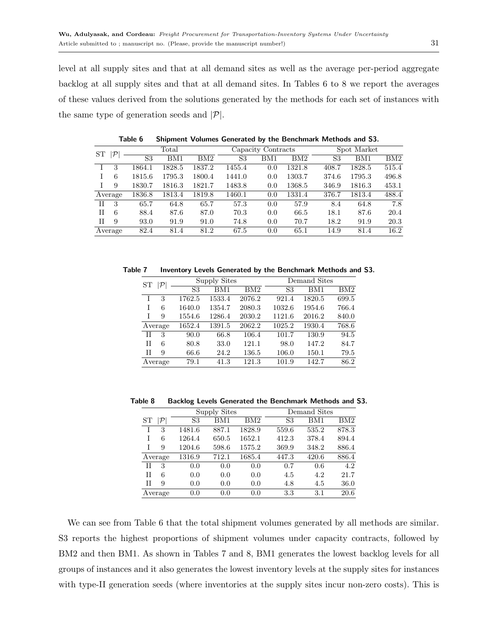level at all supply sites and that at all demand sites as well as the average per-period aggregate backlog at all supply sites and that at all demand sites. In Tables [6](#page-30-0) to [8](#page-30-1) we report the averages of these values derived from the solutions generated by the methods for each set of instances with the same type of generation seeds and  $|\mathcal{P}|$ .

| ST | $\cal P$ |                | Total  |        |                | Capacity Contracts |        |       | Spot Market |       |
|----|----------|----------------|--------|--------|----------------|--------------------|--------|-------|-------------|-------|
|    |          | S <sub>3</sub> | BM1    | BM2    | S <sub>3</sub> | BM1                | BM2    | S3    | BM1         | BM2   |
|    | 3        | 1864.1         | 1828.5 | 1837.2 | 1455.4         | 0.0                | 1321.8 | 408.7 | 1828.5      | 515.4 |
|    | 6        | 1815.6         | 1795.3 | 1800.4 | 1441.0         | 0.0                | 1303.7 | 374.6 | 1795.3      | 496.8 |
|    | 9        | 1830.7         | 1816.3 | 1821.7 | 1483.8         | 0.0                | 1368.5 | 346.9 | 1816.3      | 453.1 |
|    | Average  | 1836.8         | 1813.4 | 1819.8 | 1460.1         | 0.0                | 1331.4 | 376.7 | 1813.4      | 488.4 |
| Н  | 3        | 65.7           | 64.8   | 65.7   | 57.3           | 0.0                | 57.9   | 8.4   | 64.8        | 7.8   |
| H  | 6        | 88.4           | 87.6   | 87.0   | 70.3           | 0.0                | 66.5   | 18.1  | 87.6        | 20.4  |
| H  | 9        | 93.0           | 91.9   | 91.0   | 74.8           | 0.0                | 70.7   | 18.2  | 91.9        | 20.3  |
|    | Average  | 82.4           | 81.4   | 81.2   | 67.5           | 0.0                | 65.1   | 14.9  | 81.4        | 16.2  |

<span id="page-30-0"></span>Table 6 Shipment Volumes Generated by the Benchmark Methods and S3.

Table 7 Inventory Levels Generated by the Benchmark Methods and S3.

<span id="page-30-2"></span>

| ST |         |                | <b>Supply Sites</b> |        |        | Demand Sites |       |
|----|---------|----------------|---------------------|--------|--------|--------------|-------|
|    |         | S <sub>3</sub> | BM1                 | BM2    | S3     | BM1          | BM2   |
|    | 3       | 1762.5         | 1533.4              | 2076.2 | 921.4  | 1820.5       | 699.5 |
| T  | 6       | 1640.0         | 1354.7              | 2080.3 | 1032.6 | 1954.6       | 766.4 |
| Т  | 9       | 1554.6         | 1286.4              | 2030.2 | 1121.6 | 2016.2       | 840.0 |
|    | Average | 1652.4         | 1391.5              | 2062.2 | 1025.2 | 1930.4       | 768.6 |
| TΤ | 3       | 90.0           | 66.8                | 106.4  | 101.7  | 130.9        | 94.5  |
| H  | 6       | 80.8           | 33.0                | 121.1  | 98.0   | 147.2        | 84.7  |
| H  | 9       | 66.6           | 24.2                | 136.5  | 106.0  | 150.1        | 79.5  |
|    | Average | 79.1           | 41.3                | 121.3  | 101.9  | 142.7        | 86.2  |

Table 8 Backlog Levels Generated the Benchmark Methods and S3.

<span id="page-30-1"></span>

|    |               |        | <b>Supply Sites</b> |        |       | Demand Sites |       |
|----|---------------|--------|---------------------|--------|-------|--------------|-------|
| SТ | $\mathcal{P}$ | S3     | BM1                 | BM2    | S3    | BM1          | BM2   |
|    | 3             | 1481.6 | 887.1               | 1828.9 | 559.6 | 535.2        | 878.3 |
| T  | 6             | 1264.4 | 650.5               | 1652.1 | 412.3 | 378.4        | 894.4 |
| T  | 9             | 1204.6 | 598.6               | 1575.2 | 369.9 | 348.2        | 886.4 |
|    | Average       | 1316.9 | 712.1               | 1685.4 | 447.3 | 420.6        | 886.4 |
| H  | 3             | 0.0    | 0.0                 | 0.0    | 0.7   | 0.6          | 4.2   |
| Н  | 6             | 0.0    | 0.0                 | 0.0    | 4.5   | 4.2          | 21.7  |
| H  | 9             | 0.0    | 0.0                 | 0.0    | 4.8   | 4.5          | 36.0  |
|    | Average       | 0.0    | 0.0                 | 0.0    | 3.3   | 3.1          | 20.6  |

We can see from Table [6](#page-30-0) that the total shipment volumes generated by all methods are similar. S3 reports the highest proportions of shipment volumes under capacity contracts, followed by BM2 and then BM1. As shown in Tables [7](#page-30-2) and [8,](#page-30-1) BM1 generates the lowest backlog levels for all groups of instances and it also generates the lowest inventory levels at the supply sites for instances with type-II generation seeds (where inventories at the supply sites incur non-zero costs). This is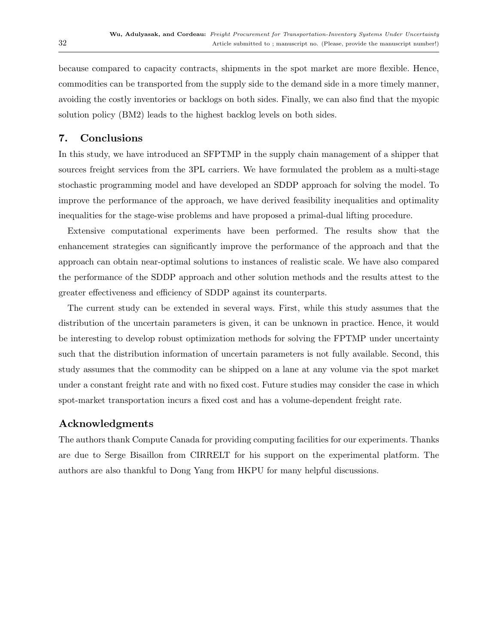because compared to capacity contracts, shipments in the spot market are more flexible. Hence, commodities can be transported from the supply side to the demand side in a more timely manner, avoiding the costly inventories or backlogs on both sides. Finally, we can also find that the myopic solution policy (BM2) leads to the highest backlog levels on both sides.

# <span id="page-31-0"></span>7. Conclusions

In this study, we have introduced an SFPTMP in the supply chain management of a shipper that sources freight services from the 3PL carriers. We have formulated the problem as a multi-stage stochastic programming model and have developed an SDDP approach for solving the model. To improve the performance of the approach, we have derived feasibility inequalities and optimality inequalities for the stage-wise problems and have proposed a primal-dual lifting procedure.

Extensive computational experiments have been performed. The results show that the enhancement strategies can significantly improve the performance of the approach and that the approach can obtain near-optimal solutions to instances of realistic scale. We have also compared the performance of the SDDP approach and other solution methods and the results attest to the greater effectiveness and efficiency of SDDP against its counterparts.

The current study can be extended in several ways. First, while this study assumes that the distribution of the uncertain parameters is given, it can be unknown in practice. Hence, it would be interesting to develop robust optimization methods for solving the FPTMP under uncertainty such that the distribution information of uncertain parameters is not fully available. Second, this study assumes that the commodity can be shipped on a lane at any volume via the spot market under a constant freight rate and with no fixed cost. Future studies may consider the case in which spot-market transportation incurs a fixed cost and has a volume-dependent freight rate.

# Acknowledgments

The authors thank Compute Canada for providing computing facilities for our experiments. Thanks are due to Serge Bisaillon from CIRRELT for his support on the experimental platform. The authors are also thankful to Dong Yang from HKPU for many helpful discussions.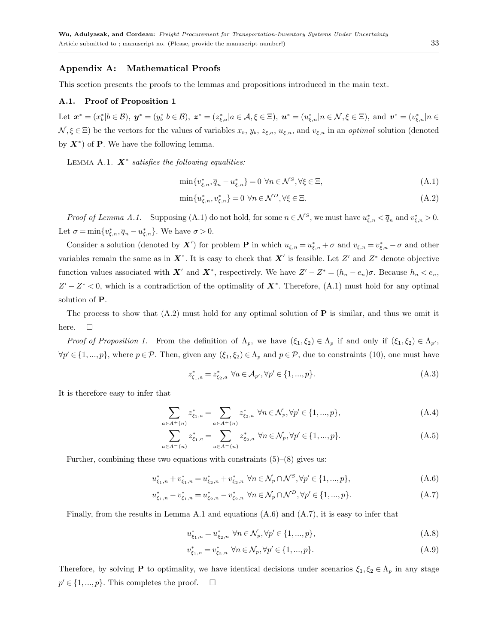### Appendix A: Mathematical Proofs

This section presents the proofs to the lemmas and propositions introduced in the main text.

#### A.1. Proof of Proposition [1](#page-10-7)

Let  $\mathbf{x}^* = (x_0^* | b \in \mathcal{B}), \ \mathbf{y}^* = (y_0^* | b \in \mathcal{B}), \ \mathbf{z}^* = (z_{\xi,a}^* | a \in \mathcal{A}, \xi \in \Xi), \ \mathbf{u}^* = (u_{\xi,n}^* | n \in \mathcal{N}, \xi \in \Xi), \text{ and } \ \mathbf{v}^* = (v_{\xi,n}^* | n \in \mathcal{N}, \xi \in \Xi)$  $\mathcal{N}, \xi \in \Xi$ ) be the vectors for the values of variables  $x_b, y_b, z_{\xi,a}, u_{\xi,n}$ , and  $v_{\xi,n}$  in an *optimal* solution (denoted by  $X^*$ ) of **P**. We have the following lemma.

LEMMA A.1.  $\mathbf{X}^*$  satisfies the following equalities:

<span id="page-32-1"></span><span id="page-32-0"></span>
$$
\min\{v_{\xi,n}^*, \overline{q}_n - u_{\xi,n}^*\} = 0 \ \forall n \in \mathcal{N}^S, \forall \xi \in \Xi,
$$
\n(A.1)

$$
\min\{u_{\xi,n}^*, v_{\xi,n}^*\} = 0 \,\,\forall n \in \mathcal{N}^D, \forall \xi \in \Xi. \tag{A.2}
$$

*Proof of Lemma [A.1.](#page-32-0)* Supposing [\(A.1\)](#page-32-1) do not hold, for some  $n \in \mathcal{N}^S$ , we must have  $u_{\xi,n}^* < \overline{q}_n$  and  $v_{\xi,n}^* > 0$ . Let  $\sigma = \min\{v_{\xi,n}^*, \overline{q}_n - u_{\xi,n}^*\}$ . We have  $\sigma > 0$ .

Consider a solution (denoted by X') for problem **P** in which  $u_{\xi,n} = u_{\xi,n}^* + \sigma$  and  $v_{\xi,n} = v_{\xi,n}^* - \sigma$  and other variables remain the same as in  $X^*$ . It is easy to check that  $X'$  is feasible. Let  $Z'$  and  $Z^*$  denote objective function values associated with X<sup>'</sup> and X<sup>\*</sup>, respectively. We have  $Z'-Z^*=(h_n-e_n)\sigma$ . Because  $h_n < e_n$ ,  $Z'-Z^*<0$ , which is a contradiction of the optimality of  $X^*$ . Therefore, [\(A.1\)](#page-32-1) must hold for any optimal solution of P.

The process to show that  $(A.2)$  must hold for any optimal solution of **P** is similar, and thus we omit it here.  $\square$ 

Proof of Proposition [1.](#page-10-7) From the definition of  $\Lambda_p$ , we have  $(\xi_1, \xi_2) \in \Lambda_p$  if and only if  $(\xi_1, \xi_2) \in \Lambda_{p'}$ ,  $\forall p' \in \{1,...,p\}$ , where  $p \in \mathcal{P}$ . Then, given any  $(\xi_1, \xi_2) \in \Lambda_p$  and  $p \in \mathcal{P}$ , due to constraints [\(10\)](#page-10-3), one must have

$$
z_{\xi_1, a}^* = z_{\xi_2, a}^* \ \forall a \in \mathcal{A}_{p'}, \forall p' \in \{1, ..., p\}.
$$
 (A.3)

It is therefore easy to infer that

$$
\sum_{a \in A^+(n)} z_{\xi_1, a}^* = \sum_{a \in A^+(n)} z_{\xi_2, a}^* \ \forall n \in \mathcal{N}_p, \forall p' \in \{1, ..., p\},\tag{A.4}
$$

$$
\sum_{a \in A^-(n)} z_{\xi_1, a}^* = \sum_{a \in A^-(n)} z_{\xi_2, a}^* \ \forall n \in \mathcal{N}_p, \forall p' \in \{1, ..., p\}.
$$
 (A.5)

Further, combining these two equations with constraints  $(5)-(8)$  $(5)-(8)$  $(5)-(8)$  gives us:

<span id="page-32-2"></span>
$$
u_{\xi_1,n}^* + v_{\xi_1,n}^* = u_{\xi_2,n}^* + v_{\xi_2,n}^* \quad \forall n \in \mathcal{N}_p \cap \mathcal{N}^S, \forall p' \in \{1, ..., p\},\tag{A.6}
$$

$$
u_{\xi_1,n}^* - v_{\xi_1,n}^* = u_{\xi_2,n}^* - v_{\xi_2,n}^* \quad \forall n \in \mathcal{N}_p \cap \mathcal{N}^D, \forall p' \in \{1, ..., p\}.
$$
 (A.7)

Finally, from the results in Lemma [A.1](#page-32-0) and equations  $(A.6)$  and  $(A.7)$ , it is easy to infer that

$$
u_{\xi_1,n}^* = u_{\xi_2,n}^* \ \forall n \in \mathcal{N}_p, \forall p' \in \{1, ..., p\},\tag{A.8}
$$

$$
v_{\xi_1,n}^* = v_{\xi_2,n}^* \ \forall n \in \mathcal{N}_p, \forall p' \in \{1, ..., p\}.
$$
 (A.9)

Therefore, by solving **P** to optimality, we have identical decisions under scenarios  $\xi_1, \xi_2 \in \Lambda_p$  in any stage  $p' \in \{1, ..., p\}$ . This completes the proof.  $\square$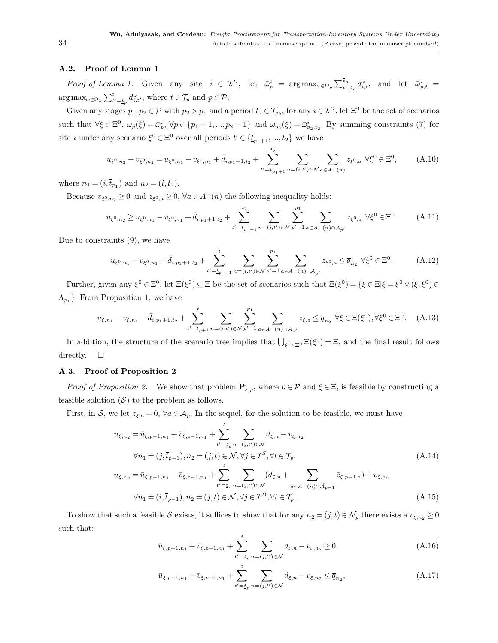## A.2. Proof of Lemma [1](#page-18-2)

Proof of Lemma [1.](#page-18-2) Given any site  $i \in \mathcal{I}^D$ , let  $\bar{\omega}_p^i = \arg \max_{\omega \in \Omega_p} \sum_{t=t_p}^{\bar{t}_p} d_{i,t}^{\omega}$ , and let  $\bar{\omega}_{p,t}^i =$  $\arg \max_{\omega \in \Omega_p} \sum_{t' = t_p}^t d_{i, t'}^{\omega},$  where  $t \in \mathcal{T}_p$  and  $p \in \mathcal{P}$ .

Given any stages  $p_1, p_2 \in \mathcal{P}$  with  $p_2 > p_1$  and a period  $t_2 \in \mathcal{T}_{p_2}$ , for any  $i \in \mathcal{I}^D$ , let  $\Xi^0$  be the set of scenarios such that  $\forall \xi \in \Xi^0$ ,  $\omega_p(\xi) = \bar{\omega}_p^i$ ,  $\forall p \in \{p_1 + 1, ..., p_2 - 1\}$  and  $\omega_{p_2}(\xi) = \bar{\omega}_{p_2, t_2}^i$ . By summing constraints [\(7\)](#page-10-8) for site *i* under any scenario  $\xi^0 \in \Xi^0$  over all periods  $t' \in \{\underline{t}_{p_1+1}, ..., \underline{t}_2\}$  we have

$$
u_{\xi^0,n_2} - v_{\xi^0,n_2} = u_{\xi^0,n_1} - v_{\xi^0,n_1} + \bar{d}_{i,p_1+1,t_2} + \sum_{t'=t_{p_1+1}}^{t_2} \sum_{n=(i,t') \in \mathcal{N}} \sum_{a \in A^-(n)} z_{\xi^0,a} \ \forall \xi^0 \in \Xi^0,
$$
 (A.10)

where  $n_1 = (i, \bar{t}_{p_1})$  and  $n_2 = (i, t_2)$ .

Because  $v_{\xi^0, n_2} \ge 0$  and  $z_{\xi^0, a} \ge 0$ ,  $\forall a \in A^-(n)$  the following inequality holds:

$$
u_{\xi^{0},n_{2}} \geq u_{\xi^{0},n_{1}} - v_{\xi^{0},n_{1}} + \bar{d}_{i,p_{1}+1,t_{2}} + \sum_{t'=t_{p_{1}+1}}^{t_{2}} \sum_{n=(i,t') \in \mathcal{N}} \sum_{p'=1}^{p_{1}} \sum_{a \in A^{-}(n) \cap \mathcal{A}_{p'}} z_{\xi^{0},a} \quad \forall \xi^{0} \in \Xi^{0}.
$$
 (A.11)

Due to constraints [\(9\)](#page-10-2), we have

$$
u_{\xi^{0},n_{1}} - v_{\xi^{0},n_{1}} + \bar{d}_{i,p_{1}+1,t_{2}} + \sum_{t'=t_{p_{1}+1}}^{t} \sum_{n=(i,t') \in \mathcal{N}} \sum_{p'=1}^{p_{1}} \sum_{a \in A^{-}(n) \cap \mathcal{A}_{p'}} z_{\xi^{0},a} \leq \overline{q}_{n_{2}} \ \forall \xi^{0} \in \Xi^{0}.
$$
 (A.12)

Further, given any  $\xi^0 \in \Xi^0$ , let  $\Xi(\xi^0) \subseteq \Xi$  be the set of scenarios such that  $\Xi(\xi^0) = \{\xi \in \Xi | \xi = \xi^0 \vee (\xi, \xi^0) \in \Xi$  $\Lambda_{p_1}$ . From Proposition [1,](#page-10-7) we have

$$
u_{\xi,n_1} - v_{\xi,n_1} + \bar{d}_{i,p_1+1,t_2} + \sum_{t'=t_{p+1}}^t \sum_{n=(i,t') \in \mathcal{N}} \sum_{p'=1}^{p_1} \sum_{a \in A^-(n) \cap \mathcal{A}_{p'}} z_{\xi,a} \le \overline{q}_{n_2} \ \forall \xi \in \Xi(\xi^0), \forall \xi^0 \in \Xi^0. \tag{A.13}
$$

In addition, the structure of the scenario tree implies that  $\bigcup_{\xi^0 \in \Xi^0} \Xi(\xi^0) = \Xi$ , and the final result follows directly.  $\square$ 

## A.3. Proof of Proposition [2](#page-19-2)

Proof of Proposition [2.](#page-19-2) We show that problem  $\mathbf{P}'_{\xi,p}$ , where  $p \in \mathcal{P}$  and  $\xi \in \Xi$ , is feasible by constructing a feasible solution  $(S)$  to the problem as follows.

First, in S, we let  $z_{\xi,a} = 0$ ,  $\forall a \in \mathcal{A}_p$ . In the sequel, for the solution to be feasible, we must have

$$
u_{\xi,n_2} = \bar{u}_{\xi,p-1,n_1} + \bar{v}_{\xi,p-1,n_1} + \sum_{t'=t_p}^{t} \sum_{n=(j,t') \in \mathcal{N}} d_{\xi,n} - v_{\xi,n_2}
$$
  

$$
\forall n_1 = (j, \bar{t}_{p-1}), n_2 = (j,t) \in \mathcal{N}, \forall j \in \mathcal{I}^S, \forall t \in \mathcal{T}_p,
$$
  
(A.14)

$$
u_{\xi,n_2} = \bar{u}_{\xi,p-1,n_1} - \bar{v}_{\xi,p-1,n_1} + \sum_{t'=t_p}^{t} \sum_{n=(j,t') \in \mathcal{N}} (d_{\xi,n} + \sum_{a \in A^-(n) \cap \tilde{A}_{p-1}} \bar{z}_{\xi,p-1,a}) + v_{\xi,n_2}
$$
  

$$
\forall n_1 = (i, \bar{t}_{p-1}), n_2 = (j,t) \in \mathcal{N}, \forall j \in \mathcal{I}^D, \forall t \in \mathcal{T}_p.
$$
 (A.15)

To show that such a feasible S exists, it suffices to show that for any  $n_2 = (j, t) \in \mathcal{N}_p$  there exists a  $v_{\xi,n_2} \ge 0$ such that:

<span id="page-33-0"></span>
$$
\bar{u}_{\xi,p-1,n_1} + \bar{v}_{\xi,p-1,n_1} + \sum_{t'=t_p}^{t} \sum_{n=(j,t') \in \mathcal{N}} d_{\xi,n} - v_{\xi,n_2} \ge 0,
$$
\n(A.16)

$$
\bar{u}_{\xi, p-1, n_1} + \bar{v}_{\xi, p-1, n_1} + \sum_{t'=t_p}^{t} \sum_{n=(j, t') \in \mathcal{N}} d_{\xi, n} - v_{\xi, n_2} \le \bar{q}_{n_2},\tag{A.17}
$$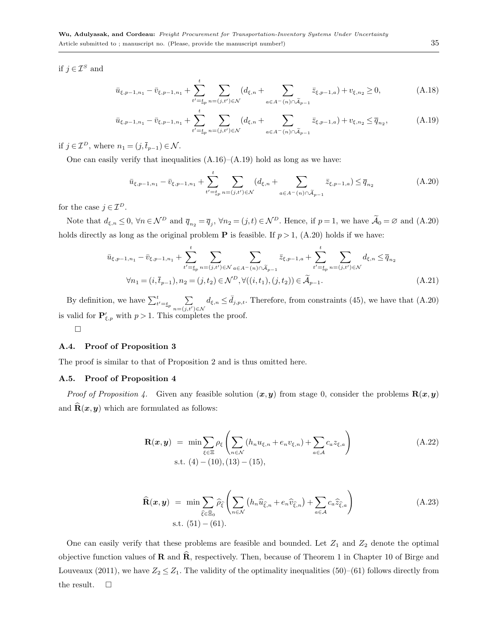if  $j \in \mathcal{I}^S$  and

<span id="page-34-0"></span>
$$
\bar{u}_{\xi,p-1,n_1} - \bar{v}_{\xi,p-1,n_1} + \sum_{t'=t_p}^{t} \sum_{n=(j,t') \in \mathcal{N}} (d_{\xi,n} + \sum_{a \in A^-(n) \cap \tilde{A}_{p-1}} \bar{z}_{\xi,p-1,a}) + v_{\xi,n_2} \ge 0,
$$
\n(A.18)

$$
\bar{u}_{\xi,p-1,n_1} - \bar{v}_{\xi,p-1,n_1} + \sum_{t'=t_p}^{t} \sum_{n=(j,t') \in \mathcal{N}} (d_{\xi,n} + \sum_{a \in A^-(n) \cap \tilde{A}_{p-1}} \bar{z}_{\xi,p-1,a}) + v_{\xi,n_2} \le \bar{q}_{n_2},
$$
\n(A.19)

if  $j \in \mathcal{I}^D$ , where  $n_1 = (j, \bar{t}_{p-1}) \in \mathcal{N}$ .

One can easily verify that inequalities  $(A.16)$ – $(A.19)$  hold as long as we have:

<span id="page-34-1"></span>
$$
\bar{u}_{\xi,p-1,n_1} - \bar{v}_{\xi,p-1,n_1} + \sum_{t'=t_p}^{t} \sum_{n=(j,t') \in \mathcal{N}} (d_{\xi,n} + \sum_{a \in A^-(n) \cap \tilde{A}_{p-1}} \bar{z}_{\xi,p-1,a}) \le \bar{q}_{n_2}
$$
\n(A.20)

for the case  $j \in \mathcal{I}^D$ .

Note that  $d_{\xi,n} \leq 0$ ,  $\forall n \in \mathcal{N}^D$  and  $\overline{q}_{n_2} = \overline{q}_j$ ,  $\forall n_2 = (j,t) \in \mathcal{N}^D$ . Hence, if  $p = 1$ , we have  $\widetilde{\mathcal{A}}_0 = \varnothing$  and  $(A.20)$ holds directly as long as the original problem **P** is feasible. If  $p > 1$ , [\(A.20\)](#page-34-1) holds if we have:

$$
\bar{u}_{\xi,p-1,n_1} - \bar{v}_{\xi,p-1,n_1} + \sum_{t'=t_p}^{t} \sum_{n=(j,t') \in \mathcal{N}} \sum_{a \in A^-(n) \cap \tilde{A}_{p-1}} \bar{z}_{\xi,p-1,a} + \sum_{t'=t_p}^{t} \sum_{n=(j,t') \in \mathcal{N}} d_{\xi,n} \le \bar{q}_{n_2}
$$
\n
$$
\forall n_1 = (i, \bar{t}_{p-1}), n_2 = (j, t_2) \in \mathcal{N}^D, \forall ((i, t_1), (j, t_2)) \in \tilde{\mathcal{A}}_{p-1}.
$$
\n(A.21)

By definition, we have  $\sum_{t'=t_p}^{t}$  $\sum_{n=(j,t')\in\mathcal{N}}d_{\xi,n}\leq \bar{d}_{j,p,t}.$  Therefore, from constraints [\(45\)](#page-19-0), we have that [\(A.20\)](#page-34-1) is valid for  $\mathbf{P}'_{\xi,p}$  with  $p > 1$ . This completes the proof.

 $\Box$ 

## A.4. Proof of Proposition [3](#page-19-3)

The proof is similar to that of Proposition [2](#page-19-2) and is thus omitted here.

## A.5. Proof of Proposition [4](#page-22-1)

*Proof of Proposition [4.](#page-22-1)* Given any feasible solution  $(x, y)$  from stage 0, consider the problems  $R(x, y)$ and  $\mathbf{R}(x,y)$  which are formulated as follows:

$$
\mathbf{R}(\boldsymbol{x}, \boldsymbol{y}) = \min \sum_{\xi \in \Xi} \rho_{\xi} \left( \sum_{n \in \mathcal{N}} (h_n u_{\xi,n} + e_n v_{\xi,n}) + \sum_{a \in \mathcal{A}} c_a z_{\xi,a} \right)
$$
\n
$$
\text{s.t. } (4) - (10), (13) - (15), \tag{A.22}
$$

$$
\widehat{\mathbf{R}}(\boldsymbol{x}, \boldsymbol{y}) = \min \sum_{\widehat{\xi} \in \widehat{\Xi}_0} \widehat{\rho}_{\widehat{\xi}} \left( \sum_{n \in \mathcal{N}} \left( h_n \widehat{u}_{\widehat{\xi}, n} + e_n \widehat{v}_{\widehat{\xi}, n} \right) + \sum_{a \in \mathcal{A}} c_a \widehat{z}_{\widehat{\xi}, a} \right)
$$
\ns.t. (51) – (61).

One can easily verify that these problems are feasible and bounded. Let  $Z_1$  and  $Z_2$  denote the optimal objective function values of **R** and  $\hat{\mathbf{R}}$ , respectively. Then, because of Theorem 1 in Chapter 10 of [Birge and](#page-38-15) [Louveaux](#page-38-15) [\(2011\)](#page-38-15), we have  $Z_2 \leq Z_1$ . The validity of the optimality inequalities [\(50\)](#page-20-0)–[\(61\)](#page-20-0) follows directly from the result.  $\square$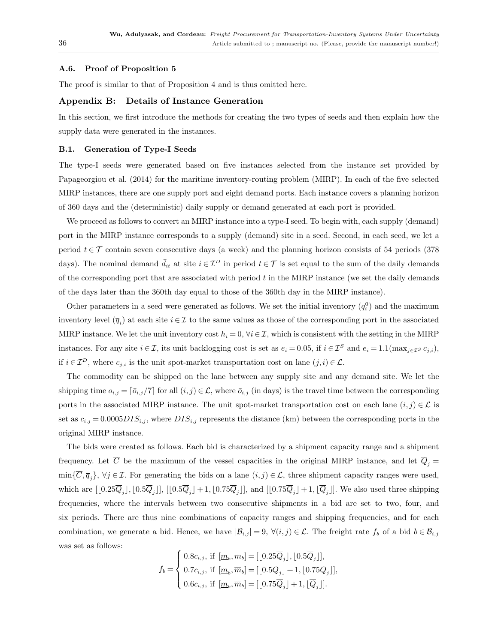## A.6. Proof of Proposition [5](#page-22-2)

The proof is similar to that of Proposition [4](#page-22-1) and is thus omitted here.

#### Appendix B: Details of Instance Generation

In this section, we first introduce the methods for creating the two types of seeds and then explain how the supply data were generated in the instances.

#### <span id="page-35-0"></span>B.1. Generation of Type-I Seeds

The type-I seeds were generated based on five instances selected from the instance set provided by [Papageorgiou et al.](#page-39-9) [\(2014\)](#page-39-9) for the maritime inventory-routing problem (MIRP). In each of the five selected MIRP instances, there are one supply port and eight demand ports. Each instance covers a planning horizon of 360 days and the (deterministic) daily supply or demand generated at each port is provided.

We proceed as follows to convert an MIRP instance into a type-I seed. To begin with, each supply (demand) port in the MIRP instance corresponds to a supply (demand) site in a seed. Second, in each seed, we let a period  $t \in \mathcal{T}$  contain seven consecutive days (a week) and the planning horizon consists of 54 periods (378 days). The nominal demand  $\bar{d}_{it}$  at site  $i \in \mathcal{I}^D$  in period  $t \in \mathcal{T}$  is set equal to the sum of the daily demands of the corresponding port that are associated with period  $t$  in the MIRP instance (we set the daily demands of the days later than the 360th day equal to those of the 360th day in the MIRP instance).

Other parameters in a seed were generated as follows. We set the initial inventory  $(q_i^0)$  and the maximum inventory level  $(\bar{q}_i)$  at each site  $i \in \mathcal{I}$  to the same values as those of the corresponding port in the associated MIRP instance. We let the unit inventory cost  $h_i = 0$ ,  $\forall i \in \mathcal{I}$ , which is consistent with the setting in the MIRP instances. For any site  $i \in \mathcal{I}$ , its unit backlogging cost is set as  $e_i = 0.05$ , if  $i \in \mathcal{I}^S$  and  $e_i = 1.1(\max_{j \in \mathcal{I}^S} c_{j,i}),$ if  $i \in \mathcal{I}^D$ , where  $c_{j,i}$  is the unit spot-market transportation cost on lane  $(j,i) \in \mathcal{L}$ .

The commodity can be shipped on the lane between any supply site and any demand site. We let the shipping time  $o_{i,j} = \lceil \bar{o}_{i,j}/7 \rceil$  for all  $(i,j) \in \mathcal{L}$ , where  $\bar{o}_{i,j}$  (in days) is the travel time between the corresponding ports in the associated MIRP instance. The unit spot-market transportation cost on each lane  $(i, j) \in \mathcal{L}$  is set as  $c_{i,j} = 0.0005DIS_{i,j}$ , where  $DIS_{i,j}$  represents the distance (km) between the corresponding ports in the original MIRP instance.

The bids were created as follows. Each bid is characterized by a shipment capacity range and a shipment frequency. Let  $\overline{C}$  be the maximum of the vessel capacities in the original MIRP instance, and let  $Q_j =$  $\min{\{\overline{C}, \overline{q}_j\}}$ ,  $\forall j \in \mathcal{I}$ . For generating the bids on a lane  $(i, j) \in \mathcal{L}$ , three shipment capacity ranges were used, which are  $[[0.25\overline{Q}_j], [0.5\overline{Q}_j]], [[0.5\overline{Q}_j]+1, [0.75\overline{Q}_j]],$  and  $[[0.75\overline{Q}_j]+1, [\overline{Q}_j]].$  We also used three shipping frequencies, where the intervals between two consecutive shipments in a bid are set to two, four, and six periods. There are thus nine combinations of capacity ranges and shipping frequencies, and for each combination, we generate a bid. Hence, we have  $|\mathcal{B}_{i,j}| = 9$ ,  $\forall (i,j) \in \mathcal{L}$ . The freight rate  $f_b$  of a bid  $b \in \mathcal{B}_{i,j}$ was set as follows:

$$
f_b = \begin{cases} 0.8c_{i,j}, \text{ if } [\underline{m}_b, \overline{m}_b] = [[0.25\overline{Q}_j], [0.5\overline{Q}_j]], \\ 0.7c_{i,j}, \text{ if } [\underline{m}_b, \overline{m}_b] = [[0.5\overline{Q}_j] + 1, [0.75\overline{Q}_j]], \\ 0.6c_{i,j}, \text{ if } [\underline{m}_b, \overline{m}_b] = [[0.75\overline{Q}_j] + 1, [\overline{Q}_j]]. \end{cases}
$$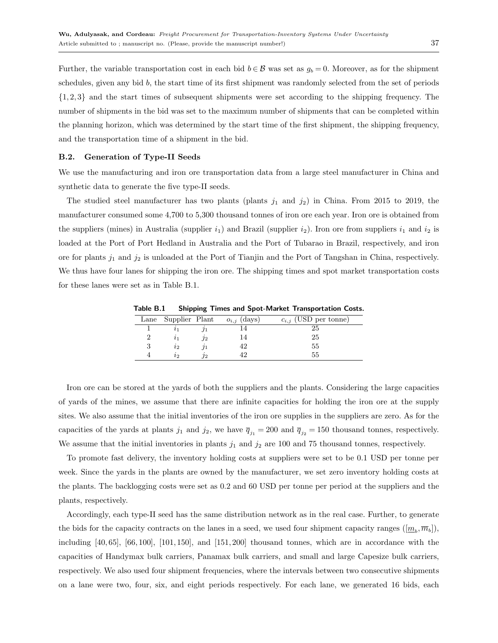Further, the variable transportation cost in each bid  $b \in \mathcal{B}$  was set as  $g_b = 0$ . Moreover, as for the shipment schedules, given any bid b, the start time of its first shipment was randomly selected from the set of periods  $\{1, 2, 3\}$  and the start times of subsequent shipments were set according to the shipping frequency. The number of shipments in the bid was set to the maximum number of shipments that can be completed within the planning horizon, which was determined by the start time of the first shipment, the shipping frequency, and the transportation time of a shipment in the bid.

#### B.2. Generation of Type-II Seeds

We use the manufacturing and iron ore transportation data from a large steel manufacturer in China and synthetic data to generate the five type-II seeds.

The studied steel manufacturer has two plants (plants  $j_1$  and  $j_2$ ) in China. From 2015 to 2019, the manufacturer consumed some 4,700 to 5,300 thousand tonnes of iron ore each year. Iron ore is obtained from the suppliers (mines) in Australia (supplier  $i_1$ ) and Brazil (supplier  $i_2$ ). Iron ore from suppliers  $i_1$  and  $i_2$  is loaded at the Port of Port Hedland in Australia and the Port of Tubarao in Brazil, respectively, and iron ore for plants  $j_1$  and  $j_2$  is unloaded at the Port of Tianjin and the Port of Tangshan in China, respectively. We thus have four lanes for shipping the iron ore. The shipping times and spot market transportation costs for these lanes were set as in Table [B.1.](#page-36-0)

<span id="page-36-0"></span>Table B.1 Shipping Times and Spot-Market Transportation Costs.

| Lane Supplier Plant |    | $o_{i,j}$ (days) | $c_{i,j}$ (USD per tonne) |
|---------------------|----|------------------|---------------------------|
|                     |    |                  | 25                        |
|                     | 72 |                  | 25                        |
| $\imath_2$          |    |                  | 55                        |
| lЭ                  | פו |                  | 55                        |

Iron ore can be stored at the yards of both the suppliers and the plants. Considering the large capacities of yards of the mines, we assume that there are infinite capacities for holding the iron ore at the supply sites. We also assume that the initial inventories of the iron ore supplies in the suppliers are zero. As for the capacities of the yards at plants  $j_1$  and  $j_2$ , we have  $\overline{q}_{j_1} = 200$  and  $\overline{q}_{j_2} = 150$  thousand tonnes, respectively. We assume that the initial inventories in plants  $j_1$  and  $j_2$  are 100 and 75 thousand tonnes, respectively.

To promote fast delivery, the inventory holding costs at suppliers were set to be 0.1 USD per tonne per week. Since the yards in the plants are owned by the manufacturer, we set zero inventory holding costs at the plants. The backlogging costs were set as 0.2 and 60 USD per tonne per period at the suppliers and the plants, respectively.

Accordingly, each type-II seed has the same distribution network as in the real case. Further, to generate the bids for the capacity contracts on the lanes in a seed, we used four shipment capacity ranges  $([\underline{m}_b, \overline{m}_b]),$ including  $[40, 65]$ ,  $[66, 100]$ ,  $[101, 150]$ , and  $[151, 200]$  thousand tonnes, which are in accordance with the capacities of Handymax bulk carriers, Panamax bulk carriers, and small and large Capesize bulk carriers, respectively. We also used four shipment frequencies, where the intervals between two consecutive shipments on a lane were two, four, six, and eight periods respectively. For each lane, we generated 16 bids, each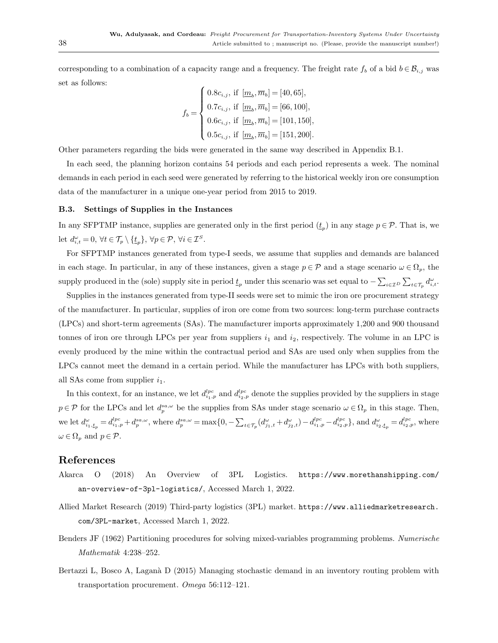corresponding to a combination of a capacity range and a frequency. The freight rate  $f_b$  of a bid  $b \in \mathcal{B}_{i,j}$  was set as follows:

$$
f_b = \begin{cases} 0.8c_{i,j}, \text{ if } [\underline{m}_b, \overline{m}_b] = [40, 65], \\ 0.7c_{i,j}, \text{ if } [\underline{m}_b, \overline{m}_b] = [66, 100], \\ 0.6c_{i,j}, \text{ if } [\underline{m}_b, \overline{m}_b] = [101, 150], \\ 0.5c_{i,j}, \text{ if } [\underline{m}_b, \overline{m}_b] = [151, 200]. \end{cases}
$$

Other parameters regarding the bids were generated in the same way described in Appendix [B.1.](#page-35-0)

In each seed, the planning horizon contains 54 periods and each period represents a week. The nominal demands in each period in each seed were generated by referring to the historical weekly iron ore consumption data of the manufacturer in a unique one-year period from 2015 to 2019.

#### B.3. Settings of Supplies in the Instances

In any SFPTMP instance, supplies are generated only in the first period  $(\underline{t}_p)$  in any stage  $p \in \mathcal{P}$ . That is, we let  $d_{i,t}^{\omega} = 0, \forall t \in \mathcal{T}_p \setminus \{t_p\}, \forall p \in \mathcal{P}, \forall i \in \mathcal{I}^S.$ 

For SFPTMP instances generated from type-I seeds, we assume that supplies and demands are balanced in each stage. In particular, in any of these instances, given a stage  $p \in \mathcal{P}$  and a stage scenario  $\omega \in \Omega_p$ , the supply produced in the (sole) supply site in period  $\underline{t}_p$  under this scenario was set equal to  $-\sum_{i\in\mathcal{I}^D}\sum_{t\in\mathcal{T}_p}d_{i,t}^{\omega}$ .

Supplies in the instances generated from type-II seeds were set to mimic the iron ore procurement strategy of the manufacturer. In particular, supplies of iron ore come from two sources: long-term purchase contracts (LPCs) and short-term agreements (SAs). The manufacturer imports approximately 1,200 and 900 thousand tonnes of iron ore through LPCs per year from suppliers  $i_1$  and  $i_2$ , respectively. The volume in an LPC is evenly produced by the mine within the contractual period and SAs are used only when supplies from the LPCs cannot meet the demand in a certain period. While the manufacturer has LPCs with both suppliers, all SAs come from supplier  $i_1$ .

In this context, for an instance, we let  $d_{i_1,p}^{lpc}$  and  $d_{i_2,p}^{lpc}$  denote the supplies provided by the suppliers in stage  $p \in \mathcal{P}$  for the LPCs and let  $d_p^{sa,\omega}$  be the supplies from SAs under stage scenario  $\omega \in \Omega_p$  in this stage. Then, we let  $d_{i_1, t_p}^{\omega} = d_{i_1, p}^{lpc} + d_p^{sa, \omega}$ , where  $d_p^{sa, \omega} = \max\{0, -\sum_{t \in \mathcal{T}_p} (d_{j_1, t}^{\omega} + d_{j_2, t}^{\omega}) - d_{i_1, p}^{lpc} - d_{i_2, p}^{lpc}\}$ , and  $d_{i_2, t_p}^{\omega} = d_{i_2, p}^{lpc}$ , where  $\omega \in \Omega_n$  and  $p \in \mathcal{P}$ .

# <span id="page-37-1"></span>References

- Akarca O (2018) An Overview of 3PL Logistics. [https://www.morethanshipping.com/](https://www.morethanshipping.com/an-overview-of-3pl-logistics/) [an-overview-of-3pl-logistics/](https://www.morethanshipping.com/an-overview-of-3pl-logistics/), Accessed March 1, 2022.
- <span id="page-37-0"></span>Allied Market Research (2019) Third-party logistics (3PL) market. [https://www.alliedmarketresearch.](https://www.alliedmarketresearch.com/3PL-market) [com/3PL-market](https://www.alliedmarketresearch.com/3PL-market), Accessed March 1, 2022.
- <span id="page-37-3"></span>Benders JF (1962) Partitioning procedures for solving mixed-variables programming problems. Numerische Mathematik 4:238–252.
- <span id="page-37-2"></span>Bertazzi L, Bosco A, Laganà D (2015) Managing stochastic demand in an inventory routing problem with transportation procurement. Omega 56:112–121.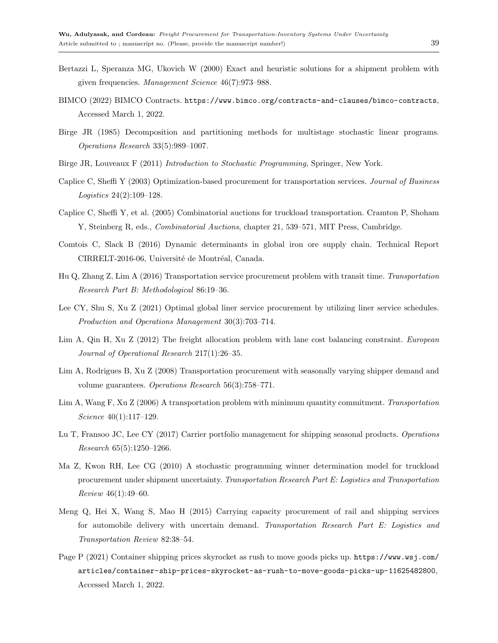- <span id="page-38-12"></span>Bertazzi L, Speranza MG, Ukovich W (2000) Exact and heuristic solutions for a shipment problem with given frequencies. Management Science 46(7):973–988.
- <span id="page-38-4"></span>BIMCO (2022) BIMCO Contracts. <https://www.bimco.org/contracts-and-clauses/bimco-contracts>, Accessed March 1, 2022.
- <span id="page-38-14"></span>Birge JR (1985) Decomposition and partitioning methods for multistage stochastic linear programs. Operations Research 33(5):989–1007.
- <span id="page-38-15"></span>Birge JR, Louveaux F (2011) Introduction to Stochastic Programming, Springer, New York.
- <span id="page-38-1"></span>Caplice C, Sheffi Y (2003) Optimization-based procurement for transportation services. Journal of Business Logistics 24(2):109–128.
- <span id="page-38-5"></span>Caplice C, Sheffi Y, et al. (2005) Combinatorial auctions for truckload transportation. Cramton P, Shoham Y, Steinberg R, eds., *Combinatorial Auctions*, chapter 21, 539–571, MIT Press, Cambridge.
- <span id="page-38-3"></span>Comtois C, Slack B (2016) Dynamic determinants in global iron ore supply chain. Technical Report CIRRELT-2016-06, Université de Montréal, Canada.
- <span id="page-38-8"></span>Hu Q, Zhang Z, Lim A (2016) Transportation service procurement problem with transit time. Transportation Research Part B: Methodological 86:19–36.
- <span id="page-38-11"></span>Lee CY, Shu S, Xu Z (2021) Optimal global liner service procurement by utilizing liner service schedules. Production and Operations Management 30(3):703–714.
- <span id="page-38-7"></span>Lim A, Qin H, Xu Z (2012) The freight allocation problem with lane cost balancing constraint. European Journal of Operational Research 217(1):26–35.
- <span id="page-38-2"></span>Lim A, Rodrigues B, Xu Z (2008) Transportation procurement with seasonally varying shipper demand and volume guarantees. Operations Research 56(3):758–771.
- <span id="page-38-6"></span>Lim A, Wang F, Xu Z (2006) A transportation problem with minimum quantity commitment. Transportation Science 40(1):117–129.
- <span id="page-38-13"></span>Lu T, Fransoo JC, Lee CY (2017) Carrier portfolio management for shipping seasonal products. Operations Research 65(5):1250–1266.
- <span id="page-38-9"></span>Ma Z, Kwon RH, Lee CG (2010) A stochastic programming winner determination model for truckload procurement under shipment uncertainty. Transportation Research Part E: Logistics and Transportation Review 46(1):49–60.
- <span id="page-38-10"></span>Meng Q, Hei X, Wang S, Mao H (2015) Carrying capacity procurement of rail and shipping services for automobile delivery with uncertain demand. Transportation Research Part E: Logistics and Transportation Review 82:38–54.
- <span id="page-38-0"></span>Page P (2021) Container shipping prices skyrocket as rush to move goods picks up. [https://www.wsj.com/](https://www.wsj.com/articles/container-ship-prices-skyrocket-as-rush-to-move-goods-picks-up-11625482800) [articles/container-ship-prices-skyrocket-as-rush-to-move-goods-picks-up-11625482800](https://www.wsj.com/articles/container-ship-prices-skyrocket-as-rush-to-move-goods-picks-up-11625482800), Accessed March 1, 2022.